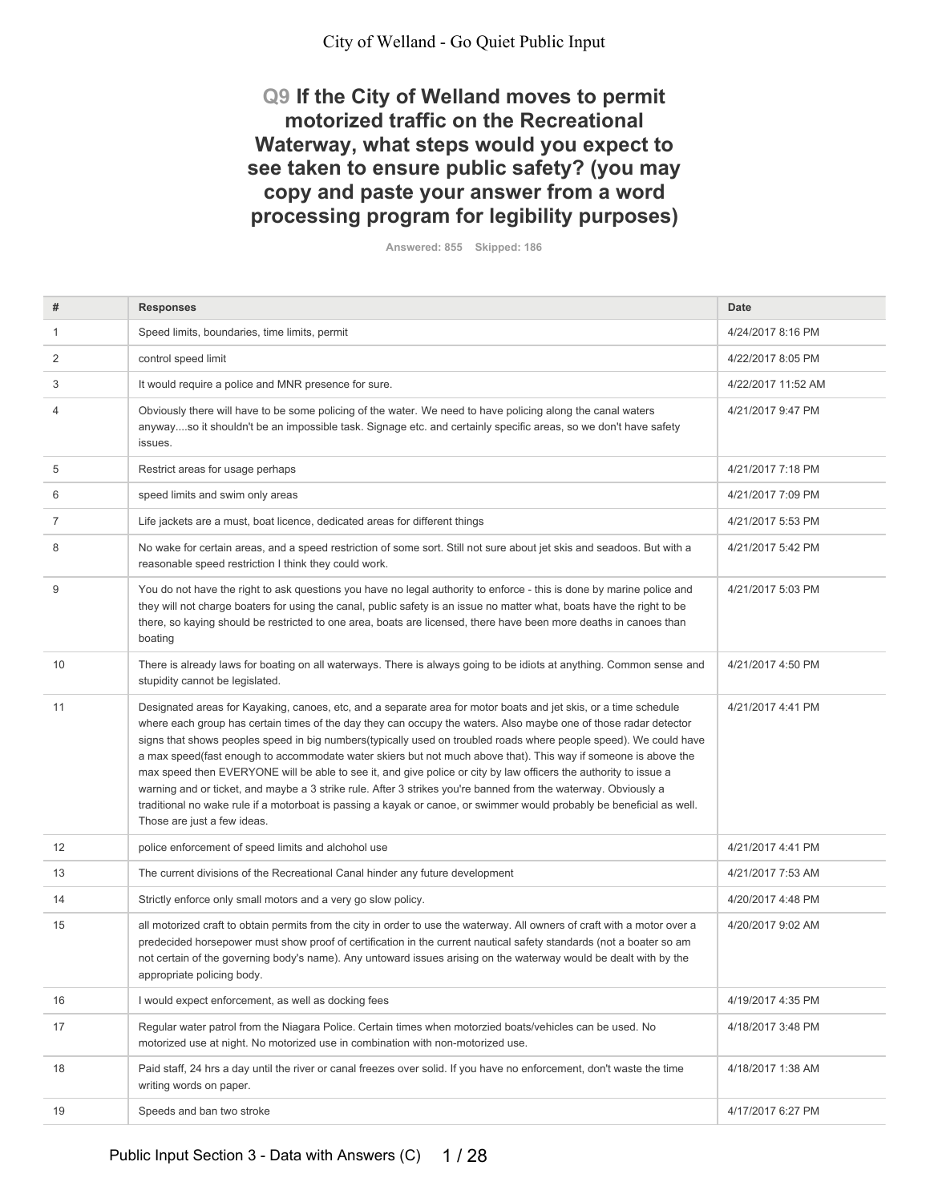## **Q9 If the City of Welland moves to permit** motorized traffic on the Recreational Waterway, what steps would you expect to see taken to ensure public safety? (you may copy and paste your answer from a word processing program for legibility purposes)

**Answered: 855 Skipped: 186** 

| #  | <b>Responses</b>                                                                                                                                                                                                                                                                                                                                                                                                                                                                                                                                                                                                                                                                                                                                                                                                                                                          | Date               |
|----|---------------------------------------------------------------------------------------------------------------------------------------------------------------------------------------------------------------------------------------------------------------------------------------------------------------------------------------------------------------------------------------------------------------------------------------------------------------------------------------------------------------------------------------------------------------------------------------------------------------------------------------------------------------------------------------------------------------------------------------------------------------------------------------------------------------------------------------------------------------------------|--------------------|
| -1 | Speed limits, boundaries, time limits, permit                                                                                                                                                                                                                                                                                                                                                                                                                                                                                                                                                                                                                                                                                                                                                                                                                             | 4/24/2017 8:16 PM  |
| 2  | control speed limit                                                                                                                                                                                                                                                                                                                                                                                                                                                                                                                                                                                                                                                                                                                                                                                                                                                       | 4/22/2017 8:05 PM  |
| 3  | It would require a police and MNR presence for sure.                                                                                                                                                                                                                                                                                                                                                                                                                                                                                                                                                                                                                                                                                                                                                                                                                      | 4/22/2017 11:52 AM |
| 4  | Obviously there will have to be some policing of the water. We need to have policing along the canal waters<br>anywayso it shouldn't be an impossible task. Signage etc. and certainly specific areas, so we don't have safety<br>issues.                                                                                                                                                                                                                                                                                                                                                                                                                                                                                                                                                                                                                                 | 4/21/2017 9:47 PM  |
| 5  | Restrict areas for usage perhaps                                                                                                                                                                                                                                                                                                                                                                                                                                                                                                                                                                                                                                                                                                                                                                                                                                          | 4/21/2017 7:18 PM  |
| 6  | speed limits and swim only areas                                                                                                                                                                                                                                                                                                                                                                                                                                                                                                                                                                                                                                                                                                                                                                                                                                          | 4/21/2017 7:09 PM  |
| 7  | Life jackets are a must, boat licence, dedicated areas for different things                                                                                                                                                                                                                                                                                                                                                                                                                                                                                                                                                                                                                                                                                                                                                                                               | 4/21/2017 5:53 PM  |
| 8  | No wake for certain areas, and a speed restriction of some sort. Still not sure about jet skis and seadoos. But with a<br>reasonable speed restriction I think they could work.                                                                                                                                                                                                                                                                                                                                                                                                                                                                                                                                                                                                                                                                                           | 4/21/2017 5:42 PM  |
| 9  | You do not have the right to ask questions you have no legal authority to enforce - this is done by marine police and<br>they will not charge boaters for using the canal, public safety is an issue no matter what, boats have the right to be<br>there, so kaying should be restricted to one area, boats are licensed, there have been more deaths in canoes than<br>boating                                                                                                                                                                                                                                                                                                                                                                                                                                                                                           | 4/21/2017 5:03 PM  |
| 10 | There is already laws for boating on all waterways. There is always going to be idiots at anything. Common sense and<br>stupidity cannot be legislated.                                                                                                                                                                                                                                                                                                                                                                                                                                                                                                                                                                                                                                                                                                                   | 4/21/2017 4:50 PM  |
| 11 | Designated areas for Kayaking, canoes, etc, and a separate area for motor boats and jet skis, or a time schedule<br>where each group has certain times of the day they can occupy the waters. Also maybe one of those radar detector<br>signs that shows peoples speed in big numbers(typically used on troubled roads where people speed). We could have<br>a max speed(fast enough to accommodate water skiers but not much above that). This way if someone is above the<br>max speed then EVERYONE will be able to see it, and give police or city by law officers the authority to issue a<br>warning and or ticket, and maybe a 3 strike rule. After 3 strikes you're banned from the waterway. Obviously a<br>traditional no wake rule if a motorboat is passing a kayak or canoe, or swimmer would probably be beneficial as well.<br>Those are just a few ideas. | 4/21/2017 4:41 PM  |
| 12 | police enforcement of speed limits and alchohol use                                                                                                                                                                                                                                                                                                                                                                                                                                                                                                                                                                                                                                                                                                                                                                                                                       | 4/21/2017 4:41 PM  |
| 13 | The current divisions of the Recreational Canal hinder any future development                                                                                                                                                                                                                                                                                                                                                                                                                                                                                                                                                                                                                                                                                                                                                                                             | 4/21/2017 7:53 AM  |
| 14 | Strictly enforce only small motors and a very go slow policy.                                                                                                                                                                                                                                                                                                                                                                                                                                                                                                                                                                                                                                                                                                                                                                                                             | 4/20/2017 4:48 PM  |
| 15 | all motorized craft to obtain permits from the city in order to use the waterway. All owners of craft with a motor over a<br>predecided horsepower must show proof of certification in the current nautical safety standards (not a boater so am<br>not certain of the governing body's name). Any untoward issues arising on the waterway would be dealt with by the<br>appropriate policing body.                                                                                                                                                                                                                                                                                                                                                                                                                                                                       | 4/20/2017 9:02 AM  |
| 16 | I would expect enforcement, as well as docking fees                                                                                                                                                                                                                                                                                                                                                                                                                                                                                                                                                                                                                                                                                                                                                                                                                       | 4/19/2017 4:35 PM  |
| 17 | Regular water patrol from the Niagara Police. Certain times when motorzied boats/vehicles can be used. No<br>motorized use at night. No motorized use in combination with non-motorized use.                                                                                                                                                                                                                                                                                                                                                                                                                                                                                                                                                                                                                                                                              | 4/18/2017 3:48 PM  |
| 18 | Paid staff, 24 hrs a day until the river or canal freezes over solid. If you have no enforcement, don't waste the time<br>writing words on paper.                                                                                                                                                                                                                                                                                                                                                                                                                                                                                                                                                                                                                                                                                                                         | 4/18/2017 1:38 AM  |
| 19 | Speeds and ban two stroke                                                                                                                                                                                                                                                                                                                                                                                                                                                                                                                                                                                                                                                                                                                                                                                                                                                 | 4/17/2017 6:27 PM  |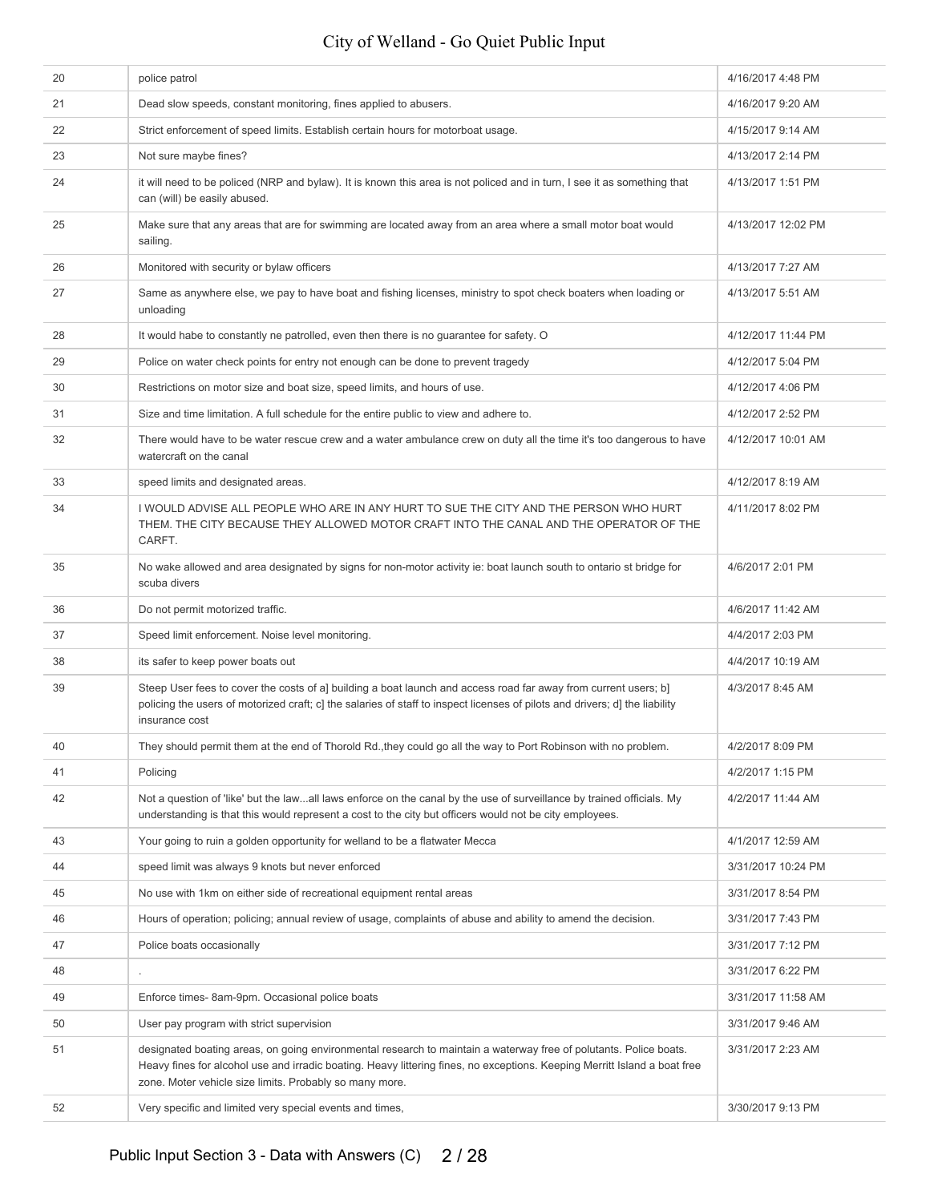| 20 | police patrol                                                                                                                                                                                                                                                                                             | 4/16/2017 4:48 PM  |
|----|-----------------------------------------------------------------------------------------------------------------------------------------------------------------------------------------------------------------------------------------------------------------------------------------------------------|--------------------|
| 21 | Dead slow speeds, constant monitoring, fines applied to abusers.                                                                                                                                                                                                                                          | 4/16/2017 9:20 AM  |
| 22 | Strict enforcement of speed limits. Establish certain hours for motorboat usage.                                                                                                                                                                                                                          | 4/15/2017 9:14 AM  |
| 23 | Not sure maybe fines?                                                                                                                                                                                                                                                                                     | 4/13/2017 2:14 PM  |
| 24 | it will need to be policed (NRP and bylaw). It is known this area is not policed and in turn, I see it as something that<br>can (will) be easily abused.                                                                                                                                                  | 4/13/2017 1:51 PM  |
| 25 | Make sure that any areas that are for swimming are located away from an area where a small motor boat would<br>sailing.                                                                                                                                                                                   | 4/13/2017 12:02 PM |
| 26 | Monitored with security or bylaw officers                                                                                                                                                                                                                                                                 | 4/13/2017 7:27 AM  |
| 27 | Same as anywhere else, we pay to have boat and fishing licenses, ministry to spot check boaters when loading or<br>unloading                                                                                                                                                                              | 4/13/2017 5:51 AM  |
| 28 | It would habe to constantly ne patrolled, even then there is no guarantee for safety. O                                                                                                                                                                                                                   | 4/12/2017 11:44 PM |
| 29 | Police on water check points for entry not enough can be done to prevent tragedy                                                                                                                                                                                                                          | 4/12/2017 5:04 PM  |
| 30 | Restrictions on motor size and boat size, speed limits, and hours of use.                                                                                                                                                                                                                                 | 4/12/2017 4:06 PM  |
| 31 | Size and time limitation. A full schedule for the entire public to view and adhere to.                                                                                                                                                                                                                    | 4/12/2017 2:52 PM  |
| 32 | There would have to be water rescue crew and a water ambulance crew on duty all the time it's too dangerous to have<br>watercraft on the canal                                                                                                                                                            | 4/12/2017 10:01 AM |
| 33 | speed limits and designated areas.                                                                                                                                                                                                                                                                        | 4/12/2017 8:19 AM  |
| 34 | I WOULD ADVISE ALL PEOPLE WHO ARE IN ANY HURT TO SUE THE CITY AND THE PERSON WHO HURT<br>THEM. THE CITY BECAUSE THEY ALLOWED MOTOR CRAFT INTO THE CANAL AND THE OPERATOR OF THE<br>CARFT.                                                                                                                 | 4/11/2017 8:02 PM  |
| 35 | No wake allowed and area designated by signs for non-motor activity ie: boat launch south to ontario st bridge for<br>scuba divers                                                                                                                                                                        | 4/6/2017 2:01 PM   |
| 36 | Do not permit motorized traffic.                                                                                                                                                                                                                                                                          | 4/6/2017 11:42 AM  |
| 37 | Speed limit enforcement. Noise level monitoring.                                                                                                                                                                                                                                                          | 4/4/2017 2:03 PM   |
| 38 | its safer to keep power boats out                                                                                                                                                                                                                                                                         | 4/4/2017 10:19 AM  |
| 39 | Steep User fees to cover the costs of a] building a boat launch and access road far away from current users; b]<br>policing the users of motorized craft; c] the salaries of staff to inspect licenses of pilots and drivers; d] the liability<br>insurance cost                                          | 4/3/2017 8:45 AM   |
| 40 | They should permit them at the end of Thorold Rd., they could go all the way to Port Robinson with no problem.                                                                                                                                                                                            | 4/2/2017 8:09 PM   |
| 41 | Policing                                                                                                                                                                                                                                                                                                  | 4/2/2017 1:15 PM   |
| 42 | Not a question of 'like' but the lawall laws enforce on the canal by the use of surveillance by trained officials. My<br>understanding is that this would represent a cost to the city but officers would not be city employees.                                                                          | 4/2/2017 11:44 AM  |
| 43 | Your going to ruin a golden opportunity for welland to be a flatwater Mecca                                                                                                                                                                                                                               | 4/1/2017 12:59 AM  |
| 44 | speed limit was always 9 knots but never enforced                                                                                                                                                                                                                                                         | 3/31/2017 10:24 PM |
| 45 | No use with 1km on either side of recreational equipment rental areas                                                                                                                                                                                                                                     | 3/31/2017 8:54 PM  |
| 46 | Hours of operation; policing; annual review of usage, complaints of abuse and ability to amend the decision.                                                                                                                                                                                              | 3/31/2017 7:43 PM  |
| 47 | Police boats occasionally                                                                                                                                                                                                                                                                                 | 3/31/2017 7:12 PM  |
| 48 |                                                                                                                                                                                                                                                                                                           | 3/31/2017 6:22 PM  |
| 49 | Enforce times-8am-9pm. Occasional police boats                                                                                                                                                                                                                                                            | 3/31/2017 11:58 AM |
| 50 | User pay program with strict supervision                                                                                                                                                                                                                                                                  | 3/31/2017 9:46 AM  |
| 51 | designated boating areas, on going environmental research to maintain a waterway free of polutants. Police boats.<br>Heavy fines for alcohol use and irradic boating. Heavy littering fines, no exceptions. Keeping Merritt Island a boat free<br>zone. Moter vehicle size limits. Probably so many more. | 3/31/2017 2:23 AM  |
| 52 | Very specific and limited very special events and times,                                                                                                                                                                                                                                                  | 3/30/2017 9:13 PM  |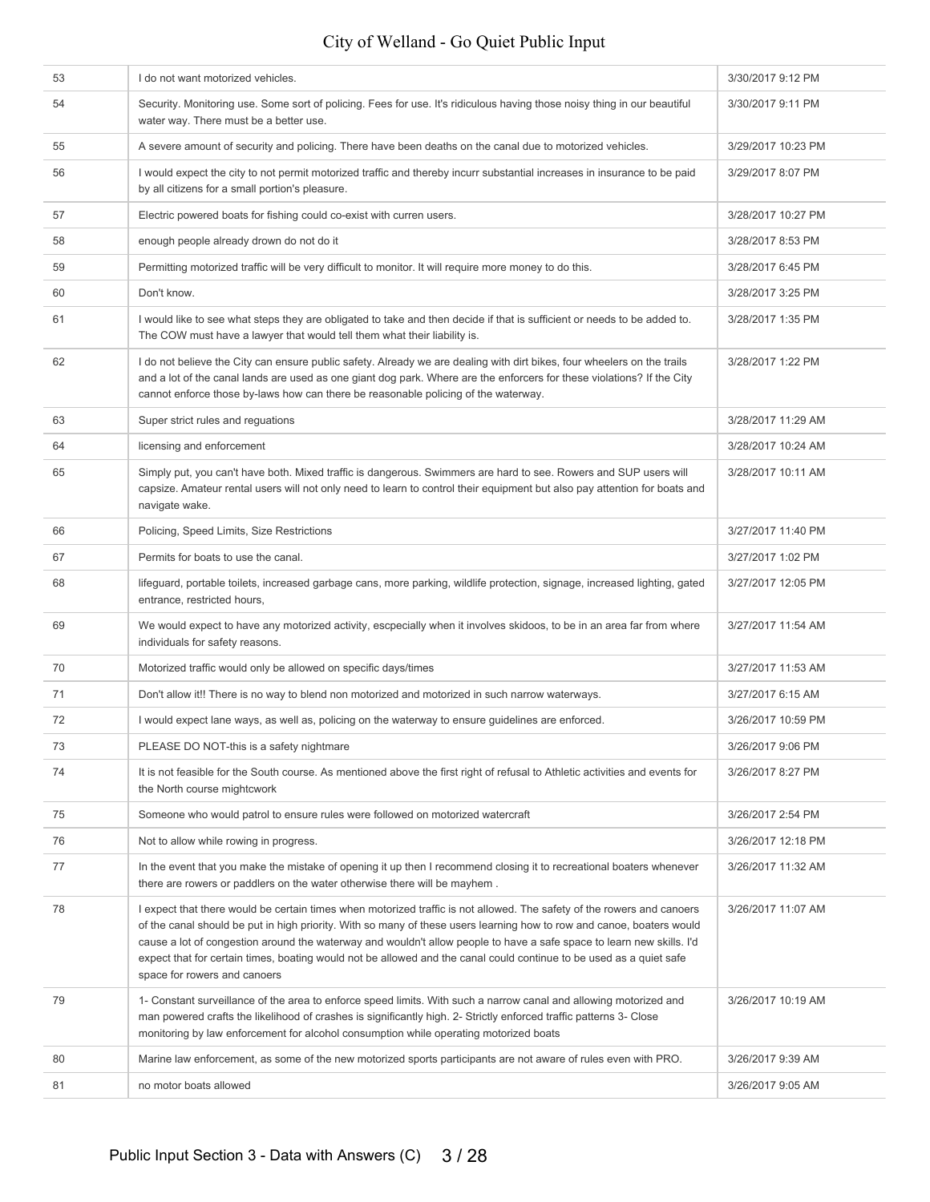| 53 | I do not want motorized vehicles.                                                                                                                                                                                                                                                                                                                                                                                                                                                                                               | 3/30/2017 9:12 PM  |
|----|---------------------------------------------------------------------------------------------------------------------------------------------------------------------------------------------------------------------------------------------------------------------------------------------------------------------------------------------------------------------------------------------------------------------------------------------------------------------------------------------------------------------------------|--------------------|
| 54 | Security. Monitoring use. Some sort of policing. Fees for use. It's ridiculous having those noisy thing in our beautiful<br>water way. There must be a better use.                                                                                                                                                                                                                                                                                                                                                              | 3/30/2017 9:11 PM  |
| 55 | A severe amount of security and policing. There have been deaths on the canal due to motorized vehicles.                                                                                                                                                                                                                                                                                                                                                                                                                        | 3/29/2017 10:23 PM |
| 56 | I would expect the city to not permit motorized traffic and thereby incurr substantial increases in insurance to be paid<br>by all citizens for a small portion's pleasure.                                                                                                                                                                                                                                                                                                                                                     | 3/29/2017 8:07 PM  |
| 57 | Electric powered boats for fishing could co-exist with curren users.                                                                                                                                                                                                                                                                                                                                                                                                                                                            | 3/28/2017 10:27 PM |
| 58 | enough people already drown do not do it                                                                                                                                                                                                                                                                                                                                                                                                                                                                                        | 3/28/2017 8:53 PM  |
| 59 | Permitting motorized traffic will be very difficult to monitor. It will require more money to do this.                                                                                                                                                                                                                                                                                                                                                                                                                          | 3/28/2017 6:45 PM  |
| 60 | Don't know.                                                                                                                                                                                                                                                                                                                                                                                                                                                                                                                     | 3/28/2017 3:25 PM  |
| 61 | I would like to see what steps they are obligated to take and then decide if that is sufficient or needs to be added to.<br>The COW must have a lawyer that would tell them what their liability is.                                                                                                                                                                                                                                                                                                                            | 3/28/2017 1:35 PM  |
| 62 | I do not believe the City can ensure public safety. Already we are dealing with dirt bikes, four wheelers on the trails<br>and a lot of the canal lands are used as one giant dog park. Where are the enforcers for these violations? If the City<br>cannot enforce those by-laws how can there be reasonable policing of the waterway.                                                                                                                                                                                         | 3/28/2017 1:22 PM  |
| 63 | Super strict rules and reguations                                                                                                                                                                                                                                                                                                                                                                                                                                                                                               | 3/28/2017 11:29 AM |
| 64 | licensing and enforcement                                                                                                                                                                                                                                                                                                                                                                                                                                                                                                       | 3/28/2017 10:24 AM |
| 65 | Simply put, you can't have both. Mixed traffic is dangerous. Swimmers are hard to see. Rowers and SUP users will<br>capsize. Amateur rental users will not only need to learn to control their equipment but also pay attention for boats and<br>navigate wake.                                                                                                                                                                                                                                                                 | 3/28/2017 10:11 AM |
| 66 | Policing, Speed Limits, Size Restrictions                                                                                                                                                                                                                                                                                                                                                                                                                                                                                       | 3/27/2017 11:40 PM |
| 67 | Permits for boats to use the canal.                                                                                                                                                                                                                                                                                                                                                                                                                                                                                             | 3/27/2017 1:02 PM  |
| 68 | lifeguard, portable toilets, increased garbage cans, more parking, wildlife protection, signage, increased lighting, gated<br>entrance, restricted hours,                                                                                                                                                                                                                                                                                                                                                                       | 3/27/2017 12:05 PM |
| 69 | We would expect to have any motorized activity, escpecially when it involves skidoos, to be in an area far from where<br>individuals for safety reasons.                                                                                                                                                                                                                                                                                                                                                                        | 3/27/2017 11:54 AM |
| 70 | Motorized traffic would only be allowed on specific days/times                                                                                                                                                                                                                                                                                                                                                                                                                                                                  | 3/27/2017 11:53 AM |
| 71 | Don't allow it!! There is no way to blend non motorized and motorized in such narrow waterways.                                                                                                                                                                                                                                                                                                                                                                                                                                 | 3/27/2017 6:15 AM  |
| 72 | I would expect lane ways, as well as, policing on the waterway to ensure guidelines are enforced.                                                                                                                                                                                                                                                                                                                                                                                                                               | 3/26/2017 10:59 PM |
| 73 | PLEASE DO NOT-this is a safety nightmare                                                                                                                                                                                                                                                                                                                                                                                                                                                                                        | 3/26/2017 9:06 PM  |
| 74 | It is not feasible for the South course. As mentioned above the first right of refusal to Athletic activities and events for<br>the North course mightcwork                                                                                                                                                                                                                                                                                                                                                                     | 3/26/2017 8:27 PM  |
| 75 | Someone who would patrol to ensure rules were followed on motorized watercraft                                                                                                                                                                                                                                                                                                                                                                                                                                                  | 3/26/2017 2:54 PM  |
| 76 | Not to allow while rowing in progress.                                                                                                                                                                                                                                                                                                                                                                                                                                                                                          | 3/26/2017 12:18 PM |
| 77 | In the event that you make the mistake of opening it up then I recommend closing it to recreational boaters whenever<br>there are rowers or paddlers on the water otherwise there will be mayhem.                                                                                                                                                                                                                                                                                                                               | 3/26/2017 11:32 AM |
| 78 | I expect that there would be certain times when motorized traffic is not allowed. The safety of the rowers and canoers<br>of the canal should be put in high priority. With so many of these users learning how to row and canoe, boaters would<br>cause a lot of congestion around the waterway and wouldn't allow people to have a safe space to learn new skills. I'd<br>expect that for certain times, boating would not be allowed and the canal could continue to be used as a quiet safe<br>space for rowers and canoers | 3/26/2017 11:07 AM |
| 79 | 1- Constant surveillance of the area to enforce speed limits. With such a narrow canal and allowing motorized and<br>man powered crafts the likelihood of crashes is significantly high. 2- Strictly enforced traffic patterns 3- Close<br>monitoring by law enforcement for alcohol consumption while operating motorized boats                                                                                                                                                                                                | 3/26/2017 10:19 AM |
| 80 | Marine law enforcement, as some of the new motorized sports participants are not aware of rules even with PRO.                                                                                                                                                                                                                                                                                                                                                                                                                  | 3/26/2017 9:39 AM  |
| 81 | no motor boats allowed                                                                                                                                                                                                                                                                                                                                                                                                                                                                                                          | 3/26/2017 9:05 AM  |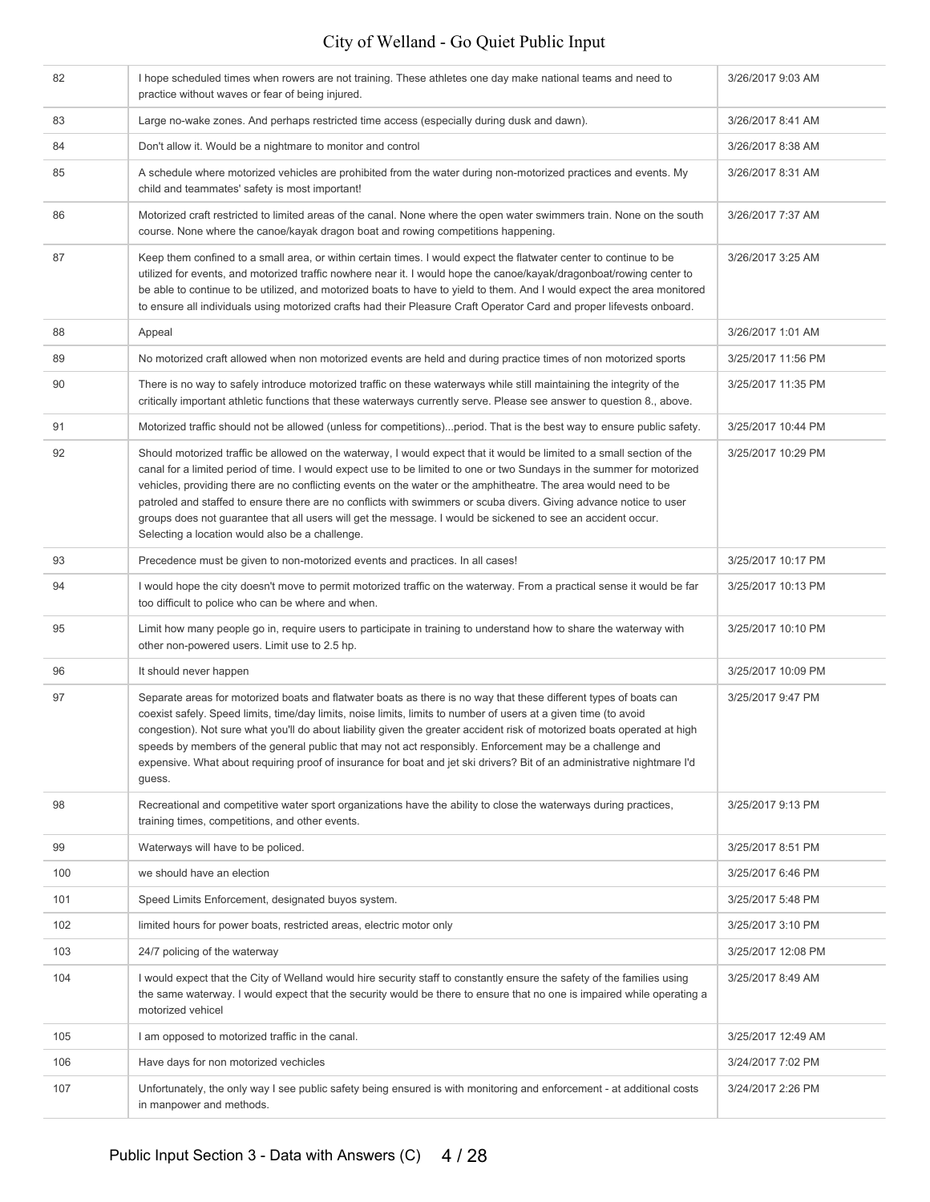| 82  | I hope scheduled times when rowers are not training. These athletes one day make national teams and need to<br>practice without waves or fear of being injured.                                                                                                                                                                                                                                                                                                                                                                                                                                                                                              | 3/26/2017 9:03 AM  |
|-----|--------------------------------------------------------------------------------------------------------------------------------------------------------------------------------------------------------------------------------------------------------------------------------------------------------------------------------------------------------------------------------------------------------------------------------------------------------------------------------------------------------------------------------------------------------------------------------------------------------------------------------------------------------------|--------------------|
| 83  | Large no-wake zones. And perhaps restricted time access (especially during dusk and dawn).                                                                                                                                                                                                                                                                                                                                                                                                                                                                                                                                                                   | 3/26/2017 8:41 AM  |
| 84  | Don't allow it. Would be a nightmare to monitor and control                                                                                                                                                                                                                                                                                                                                                                                                                                                                                                                                                                                                  | 3/26/2017 8:38 AM  |
| 85  | A schedule where motorized vehicles are prohibited from the water during non-motorized practices and events. My<br>child and teammates' safety is most important!                                                                                                                                                                                                                                                                                                                                                                                                                                                                                            | 3/26/2017 8:31 AM  |
| 86  | Motorized craft restricted to limited areas of the canal. None where the open water swimmers train. None on the south<br>course. None where the canoe/kayak dragon boat and rowing competitions happening.                                                                                                                                                                                                                                                                                                                                                                                                                                                   | 3/26/2017 7:37 AM  |
| 87  | Keep them confined to a small area, or within certain times. I would expect the flatwater center to continue to be<br>utilized for events, and motorized traffic nowhere near it. I would hope the canoe/kayak/dragonboat/rowing center to<br>be able to continue to be utilized, and motorized boats to have to yield to them. And I would expect the area monitored<br>to ensure all individuals using motorized crafts had their Pleasure Craft Operator Card and proper lifevests onboard.                                                                                                                                                               | 3/26/2017 3:25 AM  |
| 88  | Appeal                                                                                                                                                                                                                                                                                                                                                                                                                                                                                                                                                                                                                                                       | 3/26/2017 1:01 AM  |
| 89  | No motorized craft allowed when non motorized events are held and during practice times of non motorized sports                                                                                                                                                                                                                                                                                                                                                                                                                                                                                                                                              | 3/25/2017 11:56 PM |
| 90  | There is no way to safely introduce motorized traffic on these waterways while still maintaining the integrity of the<br>critically important athletic functions that these waterways currently serve. Please see answer to question 8., above.                                                                                                                                                                                                                                                                                                                                                                                                              | 3/25/2017 11:35 PM |
| 91  | Motorized traffic should not be allowed (unless for competitions)period. That is the best way to ensure public safety.                                                                                                                                                                                                                                                                                                                                                                                                                                                                                                                                       | 3/25/2017 10:44 PM |
| 92  | Should motorized traffic be allowed on the waterway, I would expect that it would be limited to a small section of the<br>canal for a limited period of time. I would expect use to be limited to one or two Sundays in the summer for motorized<br>vehicles, providing there are no conflicting events on the water or the amphitheatre. The area would need to be<br>patroled and staffed to ensure there are no conflicts with swimmers or scuba divers. Giving advance notice to user<br>groups does not guarantee that all users will get the message. I would be sickened to see an accident occur.<br>Selecting a location would also be a challenge. | 3/25/2017 10:29 PM |
| 93  | Precedence must be given to non-motorized events and practices. In all cases!                                                                                                                                                                                                                                                                                                                                                                                                                                                                                                                                                                                | 3/25/2017 10:17 PM |
| 94  | I would hope the city doesn't move to permit motorized traffic on the waterway. From a practical sense it would be far<br>too difficult to police who can be where and when.                                                                                                                                                                                                                                                                                                                                                                                                                                                                                 | 3/25/2017 10:13 PM |
| 95  | Limit how many people go in, require users to participate in training to understand how to share the waterway with<br>other non-powered users. Limit use to 2.5 hp.                                                                                                                                                                                                                                                                                                                                                                                                                                                                                          | 3/25/2017 10:10 PM |
| 96  | It should never happen                                                                                                                                                                                                                                                                                                                                                                                                                                                                                                                                                                                                                                       | 3/25/2017 10:09 PM |
| 97  | Separate areas for motorized boats and flatwater boats as there is no way that these different types of boats can<br>coexist safely. Speed limits, time/day limits, noise limits, limits to number of users at a given time (to avoid<br>congestion). Not sure what you'll do about liability given the greater accident risk of motorized boats operated at high<br>speeds by members of the general public that may not act responsibly. Enforcement may be a challenge and<br>expensive. What about requiring proof of insurance for boat and jet ski drivers? Bit of an administrative nightmare I'd<br>guess.                                           | 3/25/2017 9:47 PM  |
| 98  | Recreational and competitive water sport organizations have the ability to close the waterways during practices,<br>training times, competitions, and other events.                                                                                                                                                                                                                                                                                                                                                                                                                                                                                          | 3/25/2017 9:13 PM  |
| 99  | Waterways will have to be policed.                                                                                                                                                                                                                                                                                                                                                                                                                                                                                                                                                                                                                           | 3/25/2017 8:51 PM  |
| 100 | we should have an election                                                                                                                                                                                                                                                                                                                                                                                                                                                                                                                                                                                                                                   | 3/25/2017 6:46 PM  |
| 101 | Speed Limits Enforcement, designated buyos system.                                                                                                                                                                                                                                                                                                                                                                                                                                                                                                                                                                                                           | 3/25/2017 5:48 PM  |
| 102 | limited hours for power boats, restricted areas, electric motor only                                                                                                                                                                                                                                                                                                                                                                                                                                                                                                                                                                                         | 3/25/2017 3:10 PM  |
| 103 | 24/7 policing of the waterway                                                                                                                                                                                                                                                                                                                                                                                                                                                                                                                                                                                                                                | 3/25/2017 12:08 PM |
| 104 | I would expect that the City of Welland would hire security staff to constantly ensure the safety of the families using<br>the same waterway. I would expect that the security would be there to ensure that no one is impaired while operating a<br>motorized vehicel                                                                                                                                                                                                                                                                                                                                                                                       | 3/25/2017 8:49 AM  |
| 105 | I am opposed to motorized traffic in the canal.                                                                                                                                                                                                                                                                                                                                                                                                                                                                                                                                                                                                              | 3/25/2017 12:49 AM |
| 106 | Have days for non motorized vechicles                                                                                                                                                                                                                                                                                                                                                                                                                                                                                                                                                                                                                        | 3/24/2017 7:02 PM  |
| 107 | Unfortunately, the only way I see public safety being ensured is with monitoring and enforcement - at additional costs<br>in manpower and methods.                                                                                                                                                                                                                                                                                                                                                                                                                                                                                                           | 3/24/2017 2:26 PM  |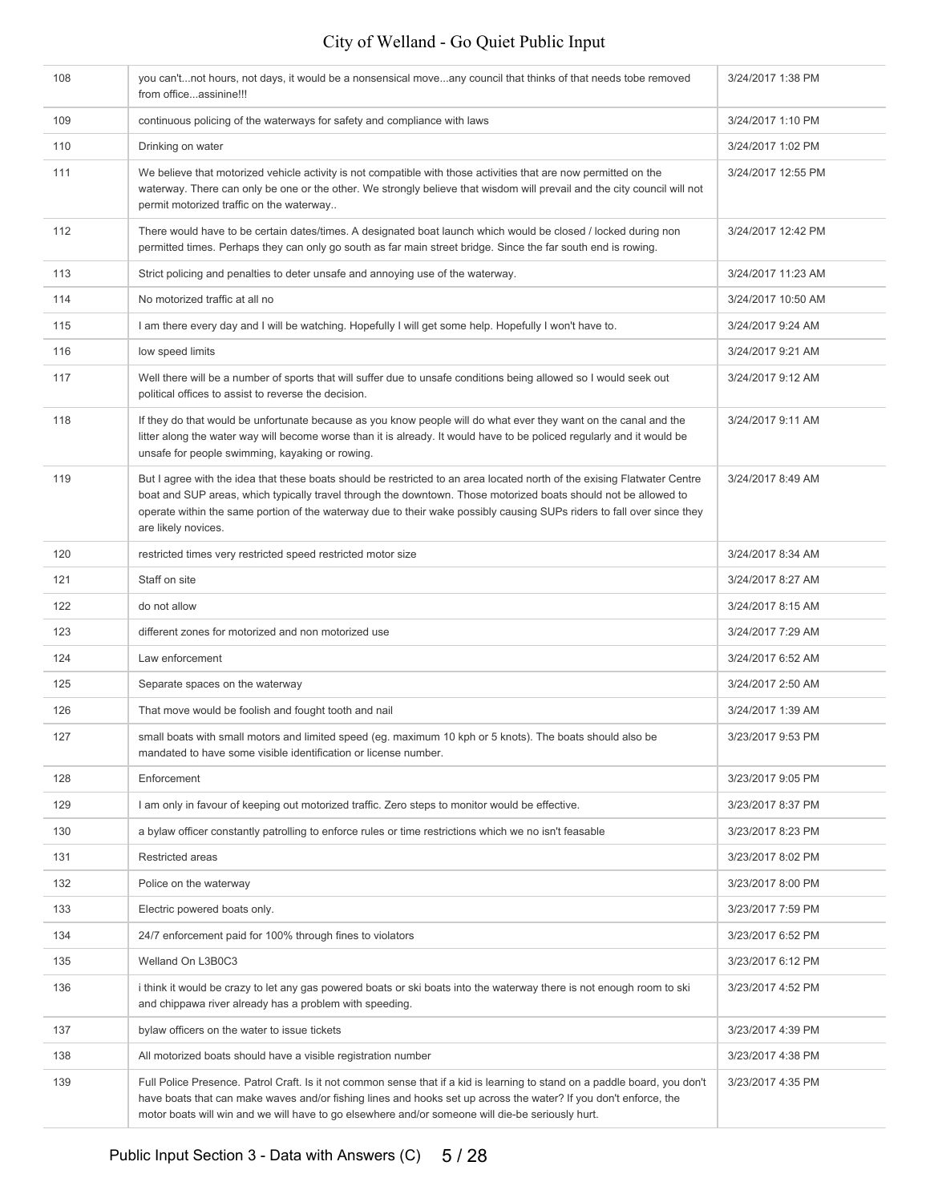| 108 | you can'tnot hours, not days, it would be a nonsensical moveany council that thinks of that needs tobe removed<br>from officeassinine!!!                                                                                                                                                                                                                                                     | 3/24/2017 1:38 PM  |
|-----|----------------------------------------------------------------------------------------------------------------------------------------------------------------------------------------------------------------------------------------------------------------------------------------------------------------------------------------------------------------------------------------------|--------------------|
| 109 | continuous policing of the waterways for safety and compliance with laws                                                                                                                                                                                                                                                                                                                     | 3/24/2017 1:10 PM  |
| 110 | Drinking on water                                                                                                                                                                                                                                                                                                                                                                            | 3/24/2017 1:02 PM  |
| 111 | We believe that motorized vehicle activity is not compatible with those activities that are now permitted on the<br>waterway. There can only be one or the other. We strongly believe that wisdom will prevail and the city council will not<br>permit motorized traffic on the waterway                                                                                                     | 3/24/2017 12:55 PM |
| 112 | There would have to be certain dates/times. A designated boat launch which would be closed / locked during non<br>permitted times. Perhaps they can only go south as far main street bridge. Since the far south end is rowing.                                                                                                                                                              | 3/24/2017 12:42 PM |
| 113 | Strict policing and penalties to deter unsafe and annoying use of the waterway.                                                                                                                                                                                                                                                                                                              | 3/24/2017 11:23 AM |
| 114 | No motorized traffic at all no                                                                                                                                                                                                                                                                                                                                                               | 3/24/2017 10:50 AM |
| 115 | I am there every day and I will be watching. Hopefully I will get some help. Hopefully I won't have to.                                                                                                                                                                                                                                                                                      | 3/24/2017 9:24 AM  |
| 116 | low speed limits                                                                                                                                                                                                                                                                                                                                                                             | 3/24/2017 9:21 AM  |
| 117 | Well there will be a number of sports that will suffer due to unsafe conditions being allowed so I would seek out<br>political offices to assist to reverse the decision.                                                                                                                                                                                                                    | 3/24/2017 9:12 AM  |
| 118 | If they do that would be unfortunate because as you know people will do what ever they want on the canal and the<br>litter along the water way will become worse than it is already. It would have to be policed regularly and it would be<br>unsafe for people swimming, kayaking or rowing.                                                                                                | 3/24/2017 9:11 AM  |
| 119 | But I agree with the idea that these boats should be restricted to an area located north of the exising Flatwater Centre<br>boat and SUP areas, which typically travel through the downtown. Those motorized boats should not be allowed to<br>operate within the same portion of the waterway due to their wake possibly causing SUPs riders to fall over since they<br>are likely novices. | 3/24/2017 8:49 AM  |
| 120 | restricted times very restricted speed restricted motor size                                                                                                                                                                                                                                                                                                                                 | 3/24/2017 8:34 AM  |
| 121 | Staff on site                                                                                                                                                                                                                                                                                                                                                                                | 3/24/2017 8:27 AM  |
| 122 | do not allow                                                                                                                                                                                                                                                                                                                                                                                 | 3/24/2017 8:15 AM  |
| 123 | different zones for motorized and non motorized use                                                                                                                                                                                                                                                                                                                                          | 3/24/2017 7:29 AM  |
| 124 | Law enforcement                                                                                                                                                                                                                                                                                                                                                                              | 3/24/2017 6:52 AM  |
| 125 | Separate spaces on the waterway                                                                                                                                                                                                                                                                                                                                                              | 3/24/2017 2:50 AM  |
| 126 | That move would be foolish and fought tooth and nail                                                                                                                                                                                                                                                                                                                                         | 3/24/2017 1:39 AM  |
| 127 | small boats with small motors and limited speed (eg. maximum 10 kph or 5 knots). The boats should also be<br>mandated to have some visible identification or license number.                                                                                                                                                                                                                 | 3/23/2017 9:53 PM  |
| 128 | Enforcement                                                                                                                                                                                                                                                                                                                                                                                  | 3/23/2017 9:05 PM  |
| 129 | I am only in favour of keeping out motorized traffic. Zero steps to monitor would be effective.                                                                                                                                                                                                                                                                                              | 3/23/2017 8:37 PM  |
| 130 | a bylaw officer constantly patrolling to enforce rules or time restrictions which we no isn't feasable                                                                                                                                                                                                                                                                                       | 3/23/2017 8:23 PM  |
| 131 | <b>Restricted areas</b>                                                                                                                                                                                                                                                                                                                                                                      | 3/23/2017 8:02 PM  |
| 132 | Police on the waterway                                                                                                                                                                                                                                                                                                                                                                       | 3/23/2017 8:00 PM  |
| 133 | Electric powered boats only.                                                                                                                                                                                                                                                                                                                                                                 | 3/23/2017 7:59 PM  |
| 134 | 24/7 enforcement paid for 100% through fines to violators                                                                                                                                                                                                                                                                                                                                    | 3/23/2017 6:52 PM  |
| 135 | Welland On L3B0C3                                                                                                                                                                                                                                                                                                                                                                            | 3/23/2017 6:12 PM  |
| 136 | i think it would be crazy to let any gas powered boats or ski boats into the waterway there is not enough room to ski<br>and chippawa river already has a problem with speeding.                                                                                                                                                                                                             | 3/23/2017 4:52 PM  |
| 137 | bylaw officers on the water to issue tickets                                                                                                                                                                                                                                                                                                                                                 | 3/23/2017 4:39 PM  |
| 138 | All motorized boats should have a visible registration number                                                                                                                                                                                                                                                                                                                                | 3/23/2017 4:38 PM  |
| 139 | Full Police Presence. Patrol Craft. Is it not common sense that if a kid is learning to stand on a paddle board, you don't<br>have boats that can make waves and/or fishing lines and hooks set up across the water? If you don't enforce, the<br>motor boats will win and we will have to go elsewhere and/or someone will die-be seriously hurt.                                           | 3/23/2017 4:35 PM  |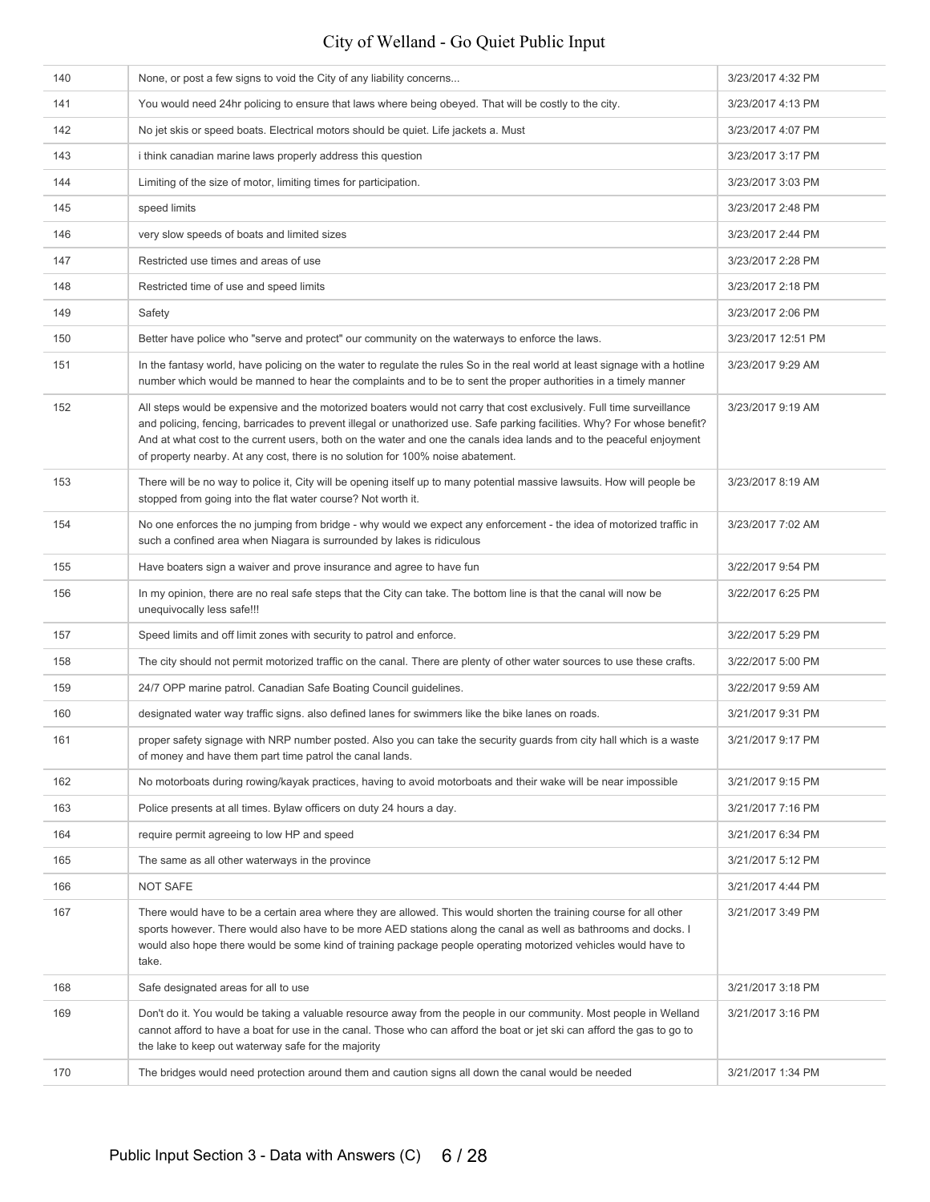| 140 | None, or post a few signs to void the City of any liability concerns                                                                                                                                                                                                                                                                                                                                                                                         | 3/23/2017 4:32 PM  |
|-----|--------------------------------------------------------------------------------------------------------------------------------------------------------------------------------------------------------------------------------------------------------------------------------------------------------------------------------------------------------------------------------------------------------------------------------------------------------------|--------------------|
| 141 | You would need 24hr policing to ensure that laws where being obeyed. That will be costly to the city.                                                                                                                                                                                                                                                                                                                                                        | 3/23/2017 4:13 PM  |
| 142 | No jet skis or speed boats. Electrical motors should be quiet. Life jackets a. Must                                                                                                                                                                                                                                                                                                                                                                          | 3/23/2017 4:07 PM  |
| 143 | i think canadian marine laws properly address this question                                                                                                                                                                                                                                                                                                                                                                                                  | 3/23/2017 3:17 PM  |
| 144 | Limiting of the size of motor, limiting times for participation.                                                                                                                                                                                                                                                                                                                                                                                             | 3/23/2017 3:03 PM  |
| 145 | speed limits                                                                                                                                                                                                                                                                                                                                                                                                                                                 | 3/23/2017 2:48 PM  |
| 146 | very slow speeds of boats and limited sizes                                                                                                                                                                                                                                                                                                                                                                                                                  | 3/23/2017 2:44 PM  |
| 147 | Restricted use times and areas of use                                                                                                                                                                                                                                                                                                                                                                                                                        | 3/23/2017 2:28 PM  |
| 148 | Restricted time of use and speed limits                                                                                                                                                                                                                                                                                                                                                                                                                      | 3/23/2017 2:18 PM  |
| 149 | Safety                                                                                                                                                                                                                                                                                                                                                                                                                                                       | 3/23/2017 2:06 PM  |
| 150 | Better have police who "serve and protect" our community on the waterways to enforce the laws.                                                                                                                                                                                                                                                                                                                                                               | 3/23/2017 12:51 PM |
| 151 | In the fantasy world, have policing on the water to regulate the rules So in the real world at least signage with a hotline<br>number which would be manned to hear the complaints and to be to sent the proper authorities in a timely manner                                                                                                                                                                                                               | 3/23/2017 9:29 AM  |
| 152 | All steps would be expensive and the motorized boaters would not carry that cost exclusively. Full time surveillance<br>and policing, fencing, barricades to prevent illegal or unathorized use. Safe parking facilities. Why? For whose benefit?<br>And at what cost to the current users, both on the water and one the canals idea lands and to the peaceful enjoyment<br>of property nearby. At any cost, there is no solution for 100% noise abatement. | 3/23/2017 9:19 AM  |
| 153 | There will be no way to police it, City will be opening itself up to many potential massive lawsuits. How will people be<br>stopped from going into the flat water course? Not worth it.                                                                                                                                                                                                                                                                     | 3/23/2017 8:19 AM  |
| 154 | No one enforces the no jumping from bridge - why would we expect any enforcement - the idea of motorized traffic in<br>such a confined area when Niagara is surrounded by lakes is ridiculous                                                                                                                                                                                                                                                                | 3/23/2017 7:02 AM  |
| 155 | Have boaters sign a waiver and prove insurance and agree to have fun                                                                                                                                                                                                                                                                                                                                                                                         | 3/22/2017 9:54 PM  |
| 156 | In my opinion, there are no real safe steps that the City can take. The bottom line is that the canal will now be<br>unequivocally less safe!!!                                                                                                                                                                                                                                                                                                              | 3/22/2017 6:25 PM  |
| 157 | Speed limits and off limit zones with security to patrol and enforce.                                                                                                                                                                                                                                                                                                                                                                                        | 3/22/2017 5:29 PM  |
| 158 | The city should not permit motorized traffic on the canal. There are plenty of other water sources to use these crafts.                                                                                                                                                                                                                                                                                                                                      | 3/22/2017 5:00 PM  |
| 159 | 24/7 OPP marine patrol. Canadian Safe Boating Council guidelines.                                                                                                                                                                                                                                                                                                                                                                                            | 3/22/2017 9:59 AM  |
| 160 | designated water way traffic signs. also defined lanes for swimmers like the bike lanes on roads.                                                                                                                                                                                                                                                                                                                                                            | 3/21/2017 9:31 PM  |
| 161 | proper safety signage with NRP number posted. Also you can take the security quards from city hall which is a waste<br>of money and have them part time patrol the canal lands.                                                                                                                                                                                                                                                                              | 3/21/2017 9:17 PM  |
| 162 | No motorboats during rowing/kayak practices, having to avoid motorboats and their wake will be near impossible                                                                                                                                                                                                                                                                                                                                               | 3/21/2017 9:15 PM  |
| 163 | Police presents at all times. Bylaw officers on duty 24 hours a day.                                                                                                                                                                                                                                                                                                                                                                                         | 3/21/2017 7:16 PM  |
| 164 | require permit agreeing to low HP and speed                                                                                                                                                                                                                                                                                                                                                                                                                  | 3/21/2017 6:34 PM  |
| 165 | The same as all other waterways in the province                                                                                                                                                                                                                                                                                                                                                                                                              | 3/21/2017 5:12 PM  |
| 166 | <b>NOT SAFE</b>                                                                                                                                                                                                                                                                                                                                                                                                                                              | 3/21/2017 4:44 PM  |
| 167 | There would have to be a certain area where they are allowed. This would shorten the training course for all other<br>sports however. There would also have to be more AED stations along the canal as well as bathrooms and docks. I<br>would also hope there would be some kind of training package people operating motorized vehicles would have to<br>take.                                                                                             | 3/21/2017 3:49 PM  |
| 168 | Safe designated areas for all to use                                                                                                                                                                                                                                                                                                                                                                                                                         | 3/21/2017 3:18 PM  |
| 169 | Don't do it. You would be taking a valuable resource away from the people in our community. Most people in Welland<br>cannot afford to have a boat for use in the canal. Those who can afford the boat or jet ski can afford the gas to go to<br>the lake to keep out waterway safe for the majority                                                                                                                                                         | 3/21/2017 3:16 PM  |
| 170 | The bridges would need protection around them and caution signs all down the canal would be needed                                                                                                                                                                                                                                                                                                                                                           | 3/21/2017 1:34 PM  |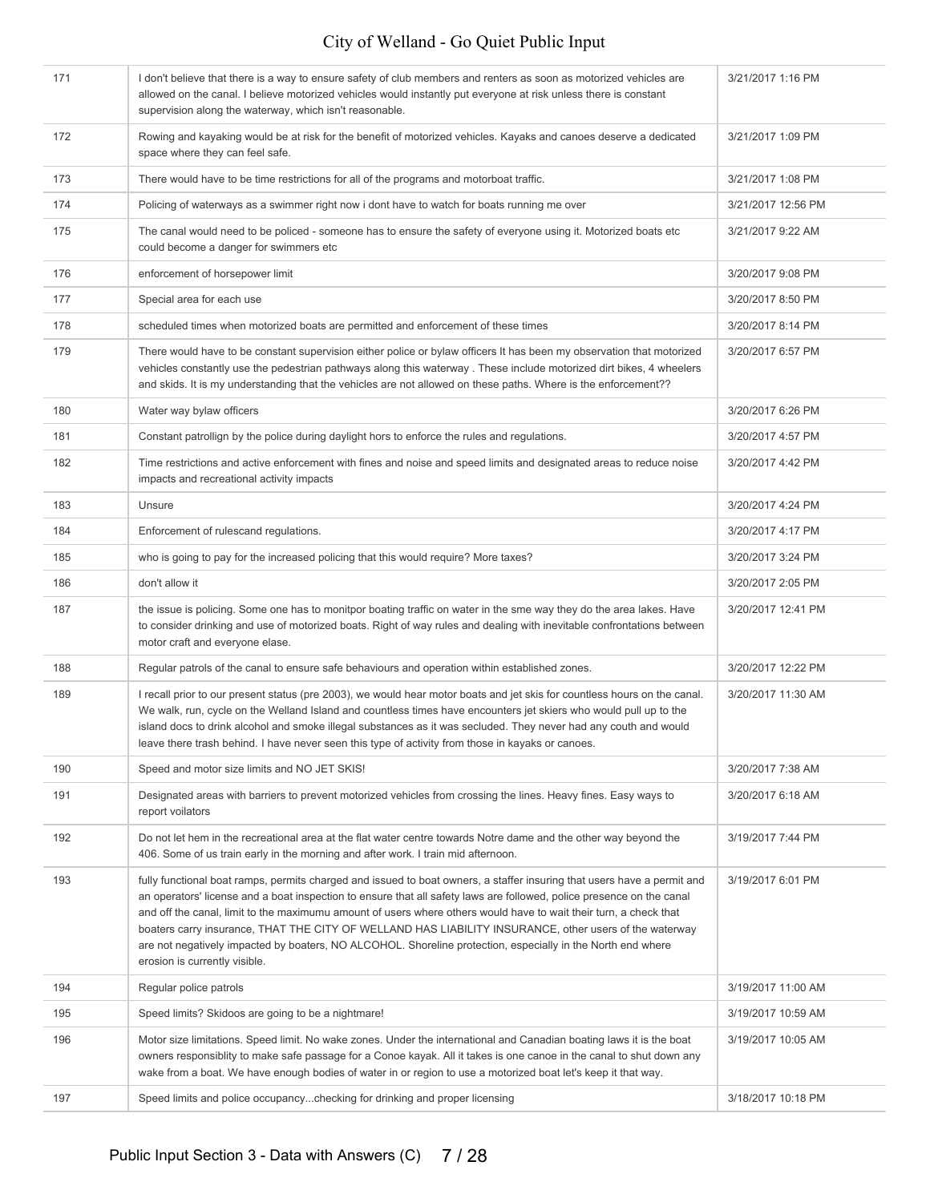| 171 | I don't believe that there is a way to ensure safety of club members and renters as soon as motorized vehicles are<br>allowed on the canal. I believe motorized vehicles would instantly put everyone at risk unless there is constant<br>supervision along the waterway, which isn't reasonable.                                                                                                                                                                                                                                                                                                                               | 3/21/2017 1:16 PM  |
|-----|---------------------------------------------------------------------------------------------------------------------------------------------------------------------------------------------------------------------------------------------------------------------------------------------------------------------------------------------------------------------------------------------------------------------------------------------------------------------------------------------------------------------------------------------------------------------------------------------------------------------------------|--------------------|
| 172 | Rowing and kayaking would be at risk for the benefit of motorized vehicles. Kayaks and canoes deserve a dedicated<br>space where they can feel safe.                                                                                                                                                                                                                                                                                                                                                                                                                                                                            | 3/21/2017 1:09 PM  |
| 173 | There would have to be time restrictions for all of the programs and motorboat traffic.                                                                                                                                                                                                                                                                                                                                                                                                                                                                                                                                         | 3/21/2017 1:08 PM  |
| 174 | Policing of waterways as a swimmer right now i dont have to watch for boats running me over                                                                                                                                                                                                                                                                                                                                                                                                                                                                                                                                     | 3/21/2017 12:56 PM |
| 175 | The canal would need to be policed - someone has to ensure the safety of everyone using it. Motorized boats etc<br>could become a danger for swimmers etc                                                                                                                                                                                                                                                                                                                                                                                                                                                                       | 3/21/2017 9:22 AM  |
| 176 | enforcement of horsepower limit                                                                                                                                                                                                                                                                                                                                                                                                                                                                                                                                                                                                 | 3/20/2017 9:08 PM  |
| 177 | Special area for each use                                                                                                                                                                                                                                                                                                                                                                                                                                                                                                                                                                                                       | 3/20/2017 8:50 PM  |
| 178 | scheduled times when motorized boats are permitted and enforcement of these times                                                                                                                                                                                                                                                                                                                                                                                                                                                                                                                                               | 3/20/2017 8:14 PM  |
| 179 | There would have to be constant supervision either police or bylaw officers It has been my observation that motorized<br>vehicles constantly use the pedestrian pathways along this waterway. These include motorized dirt bikes, 4 wheelers<br>and skids. It is my understanding that the vehicles are not allowed on these paths. Where is the enforcement??                                                                                                                                                                                                                                                                  | 3/20/2017 6:57 PM  |
| 180 | Water way bylaw officers                                                                                                                                                                                                                                                                                                                                                                                                                                                                                                                                                                                                        | 3/20/2017 6:26 PM  |
| 181 | Constant patrollign by the police during daylight hors to enforce the rules and regulations.                                                                                                                                                                                                                                                                                                                                                                                                                                                                                                                                    | 3/20/2017 4:57 PM  |
| 182 | Time restrictions and active enforcement with fines and noise and speed limits and designated areas to reduce noise<br>impacts and recreational activity impacts                                                                                                                                                                                                                                                                                                                                                                                                                                                                | 3/20/2017 4:42 PM  |
| 183 | Unsure                                                                                                                                                                                                                                                                                                                                                                                                                                                                                                                                                                                                                          | 3/20/2017 4:24 PM  |
| 184 | Enforcement of rulescand regulations.                                                                                                                                                                                                                                                                                                                                                                                                                                                                                                                                                                                           | 3/20/2017 4:17 PM  |
| 185 | who is going to pay for the increased policing that this would require? More taxes?                                                                                                                                                                                                                                                                                                                                                                                                                                                                                                                                             | 3/20/2017 3:24 PM  |
| 186 | don't allow it                                                                                                                                                                                                                                                                                                                                                                                                                                                                                                                                                                                                                  | 3/20/2017 2:05 PM  |
| 187 | the issue is policing. Some one has to monitpor boating traffic on water in the sme way they do the area lakes. Have<br>to consider drinking and use of motorized boats. Right of way rules and dealing with inevitable confrontations between<br>motor craft and everyone elase.                                                                                                                                                                                                                                                                                                                                               | 3/20/2017 12:41 PM |
| 188 | Regular patrols of the canal to ensure safe behaviours and operation within established zones.                                                                                                                                                                                                                                                                                                                                                                                                                                                                                                                                  | 3/20/2017 12:22 PM |
| 189 | I recall prior to our present status (pre 2003), we would hear motor boats and jet skis for countless hours on the canal.<br>We walk, run, cycle on the Welland Island and countless times have encounters jet skiers who would pull up to the<br>island docs to drink alcohol and smoke illegal substances as it was secluded. They never had any couth and would<br>leave there trash behind. I have never seen this type of activity from those in kayaks or canoes.                                                                                                                                                         | 3/20/2017 11:30 AM |
| 190 | Speed and motor size limits and NO JET SKIS!                                                                                                                                                                                                                                                                                                                                                                                                                                                                                                                                                                                    | 3/20/2017 7:38 AM  |
| 191 | Designated areas with barriers to prevent motorized vehicles from crossing the lines. Heavy fines. Easy ways to<br>report voilators                                                                                                                                                                                                                                                                                                                                                                                                                                                                                             | 3/20/2017 6:18 AM  |
| 192 | Do not let hem in the recreational area at the flat water centre towards Notre dame and the other way beyond the<br>406. Some of us train early in the morning and after work. I train mid afternoon.                                                                                                                                                                                                                                                                                                                                                                                                                           | 3/19/2017 7:44 PM  |
| 193 | fully functional boat ramps, permits charged and issued to boat owners, a staffer insuring that users have a permit and<br>an operators' license and a boat inspection to ensure that all safety laws are followed, police presence on the canal<br>and off the canal, limit to the maximumu amount of users where others would have to wait their turn, a check that<br>boaters carry insurance, THAT THE CITY OF WELLAND HAS LIABILITY INSURANCE, other users of the waterway<br>are not negatively impacted by boaters, NO ALCOHOL. Shoreline protection, especially in the North end where<br>erosion is currently visible. | 3/19/2017 6:01 PM  |
| 194 | Regular police patrols                                                                                                                                                                                                                                                                                                                                                                                                                                                                                                                                                                                                          | 3/19/2017 11:00 AM |
| 195 | Speed limits? Skidoos are going to be a nightmare!                                                                                                                                                                                                                                                                                                                                                                                                                                                                                                                                                                              | 3/19/2017 10:59 AM |
| 196 | Motor size limitations. Speed limit. No wake zones. Under the international and Canadian boating laws it is the boat<br>owners responsiblity to make safe passage for a Conoe kayak. All it takes is one canoe in the canal to shut down any<br>wake from a boat. We have enough bodies of water in or region to use a motorized boat let's keep it that way.                                                                                                                                                                                                                                                                   | 3/19/2017 10:05 AM |
| 197 | Speed limits and police occupancychecking for drinking and proper licensing                                                                                                                                                                                                                                                                                                                                                                                                                                                                                                                                                     | 3/18/2017 10:18 PM |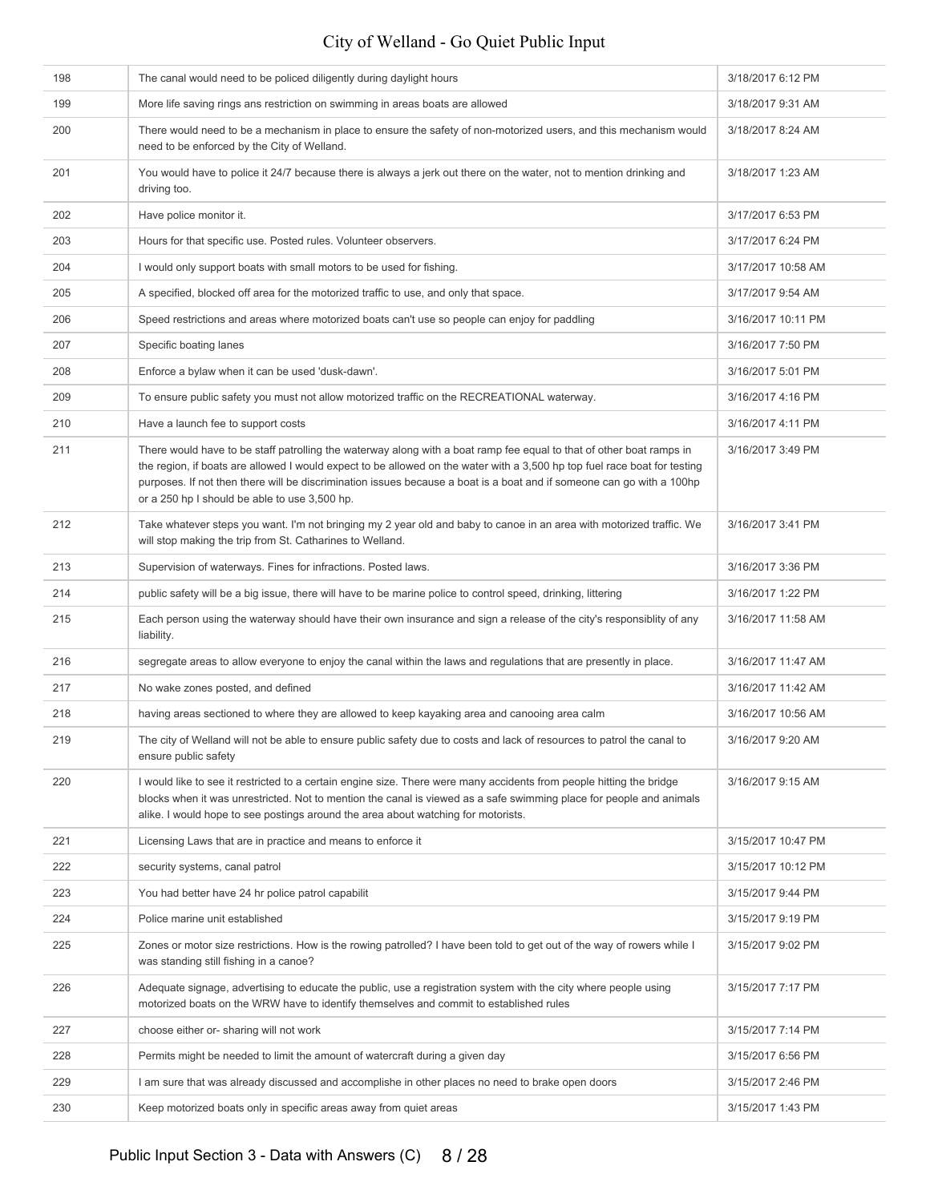| 198 | The canal would need to be policed diligently during daylight hours                                                                                                                                                                                                                                                                                                                                                         | 3/18/2017 6:12 PM  |
|-----|-----------------------------------------------------------------------------------------------------------------------------------------------------------------------------------------------------------------------------------------------------------------------------------------------------------------------------------------------------------------------------------------------------------------------------|--------------------|
| 199 | More life saving rings ans restriction on swimming in areas boats are allowed                                                                                                                                                                                                                                                                                                                                               | 3/18/2017 9:31 AM  |
| 200 | There would need to be a mechanism in place to ensure the safety of non-motorized users, and this mechanism would<br>need to be enforced by the City of Welland.                                                                                                                                                                                                                                                            | 3/18/2017 8:24 AM  |
| 201 | You would have to police it 24/7 because there is always a jerk out there on the water, not to mention drinking and<br>driving too.                                                                                                                                                                                                                                                                                         | 3/18/2017 1:23 AM  |
| 202 | Have police monitor it.                                                                                                                                                                                                                                                                                                                                                                                                     | 3/17/2017 6:53 PM  |
| 203 | Hours for that specific use. Posted rules. Volunteer observers.                                                                                                                                                                                                                                                                                                                                                             | 3/17/2017 6:24 PM  |
| 204 | I would only support boats with small motors to be used for fishing.                                                                                                                                                                                                                                                                                                                                                        | 3/17/2017 10:58 AM |
| 205 | A specified, blocked off area for the motorized traffic to use, and only that space.                                                                                                                                                                                                                                                                                                                                        | 3/17/2017 9:54 AM  |
| 206 | Speed restrictions and areas where motorized boats can't use so people can enjoy for paddling                                                                                                                                                                                                                                                                                                                               | 3/16/2017 10:11 PM |
| 207 | Specific boating lanes                                                                                                                                                                                                                                                                                                                                                                                                      | 3/16/2017 7:50 PM  |
| 208 | Enforce a bylaw when it can be used 'dusk-dawn'.                                                                                                                                                                                                                                                                                                                                                                            | 3/16/2017 5:01 PM  |
| 209 | To ensure public safety you must not allow motorized traffic on the RECREATIONAL waterway.                                                                                                                                                                                                                                                                                                                                  | 3/16/2017 4:16 PM  |
| 210 | Have a launch fee to support costs                                                                                                                                                                                                                                                                                                                                                                                          | 3/16/2017 4:11 PM  |
| 211 | There would have to be staff patrolling the waterway along with a boat ramp fee equal to that of other boat ramps in<br>the region, if boats are allowed I would expect to be allowed on the water with a 3,500 hp top fuel race boat for testing<br>purposes. If not then there will be discrimination issues because a boat is a boat and if someone can go with a 100hp<br>or a 250 hp I should be able to use 3,500 hp. | 3/16/2017 3:49 PM  |
| 212 | Take whatever steps you want. I'm not bringing my 2 year old and baby to canoe in an area with motorized traffic. We<br>will stop making the trip from St. Catharines to Welland.                                                                                                                                                                                                                                           | 3/16/2017 3:41 PM  |
| 213 | Supervision of waterways. Fines for infractions. Posted laws.                                                                                                                                                                                                                                                                                                                                                               | 3/16/2017 3:36 PM  |
| 214 | public safety will be a big issue, there will have to be marine police to control speed, drinking, littering                                                                                                                                                                                                                                                                                                                | 3/16/2017 1:22 PM  |
| 215 | Each person using the waterway should have their own insurance and sign a release of the city's responsiblity of any<br>liability.                                                                                                                                                                                                                                                                                          | 3/16/2017 11:58 AM |
| 216 | segregate areas to allow everyone to enjoy the canal within the laws and regulations that are presently in place.                                                                                                                                                                                                                                                                                                           | 3/16/2017 11:47 AM |
| 217 | No wake zones posted, and defined                                                                                                                                                                                                                                                                                                                                                                                           | 3/16/2017 11:42 AM |
| 218 | having areas sectioned to where they are allowed to keep kayaking area and canooing area calm                                                                                                                                                                                                                                                                                                                               | 3/16/2017 10:56 AM |
| 219 | The city of Welland will not be able to ensure public safety due to costs and lack of resources to patrol the canal to<br>ensure public safety                                                                                                                                                                                                                                                                              | 3/16/2017 9:20 AM  |
| 220 | I would like to see it restricted to a certain engine size. There were many accidents from people hitting the bridge<br>blocks when it was unrestricted. Not to mention the canal is viewed as a safe swimming place for people and animals<br>alike. I would hope to see postings around the area about watching for motorists.                                                                                            | 3/16/2017 9:15 AM  |
| 221 | Licensing Laws that are in practice and means to enforce it                                                                                                                                                                                                                                                                                                                                                                 | 3/15/2017 10:47 PM |
| 222 | security systems, canal patrol                                                                                                                                                                                                                                                                                                                                                                                              | 3/15/2017 10:12 PM |
| 223 | You had better have 24 hr police patrol capabilit                                                                                                                                                                                                                                                                                                                                                                           | 3/15/2017 9:44 PM  |
| 224 | Police marine unit established                                                                                                                                                                                                                                                                                                                                                                                              | 3/15/2017 9:19 PM  |
| 225 | Zones or motor size restrictions. How is the rowing patrolled? I have been told to get out of the way of rowers while I<br>was standing still fishing in a canoe?                                                                                                                                                                                                                                                           | 3/15/2017 9:02 PM  |
| 226 | Adequate signage, advertising to educate the public, use a registration system with the city where people using<br>motorized boats on the WRW have to identify themselves and commit to established rules                                                                                                                                                                                                                   | 3/15/2017 7:17 PM  |
| 227 | choose either or-sharing will not work                                                                                                                                                                                                                                                                                                                                                                                      | 3/15/2017 7:14 PM  |
| 228 | Permits might be needed to limit the amount of watercraft during a given day                                                                                                                                                                                                                                                                                                                                                | 3/15/2017 6:56 PM  |
| 229 | I am sure that was already discussed and accomplishe in other places no need to brake open doors                                                                                                                                                                                                                                                                                                                            | 3/15/2017 2:46 PM  |
| 230 | Keep motorized boats only in specific areas away from quiet areas                                                                                                                                                                                                                                                                                                                                                           | 3/15/2017 1:43 PM  |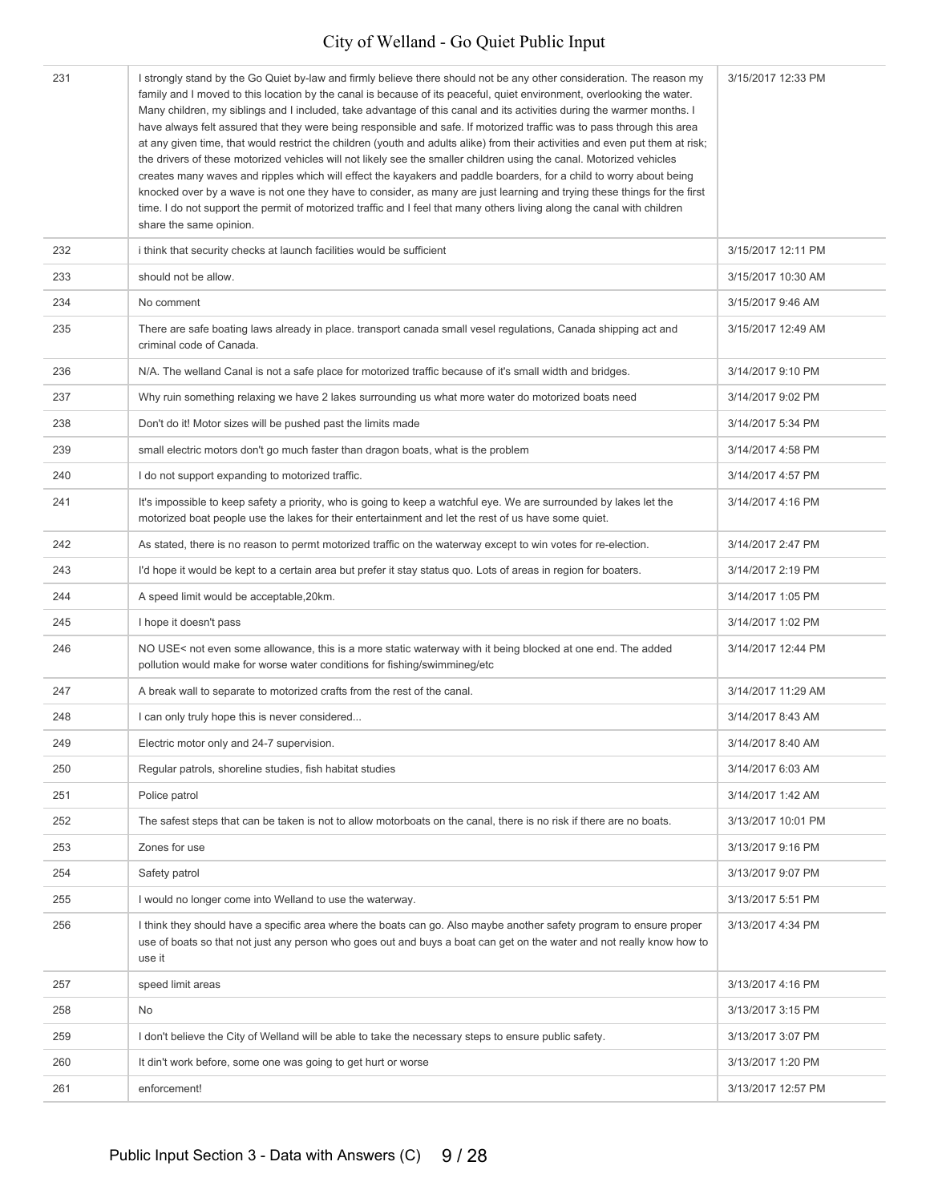| 231 | I strongly stand by the Go Quiet by-law and firmly believe there should not be any other consideration. The reason my<br>family and I moved to this location by the canal is because of its peaceful, quiet environment, overlooking the water.<br>Many children, my siblings and I included, take advantage of this canal and its activities during the warmer months. I<br>have always felt assured that they were being responsible and safe. If motorized traffic was to pass through this area<br>at any given time, that would restrict the children (youth and adults alike) from their activities and even put them at risk;<br>the drivers of these motorized vehicles will not likely see the smaller children using the canal. Motorized vehicles<br>creates many waves and ripples which will effect the kayakers and paddle boarders, for a child to worry about being<br>knocked over by a wave is not one they have to consider, as many are just learning and trying these things for the first<br>time. I do not support the permit of motorized traffic and I feel that many others living along the canal with children<br>share the same opinion. | 3/15/2017 12:33 PM |
|-----|-----------------------------------------------------------------------------------------------------------------------------------------------------------------------------------------------------------------------------------------------------------------------------------------------------------------------------------------------------------------------------------------------------------------------------------------------------------------------------------------------------------------------------------------------------------------------------------------------------------------------------------------------------------------------------------------------------------------------------------------------------------------------------------------------------------------------------------------------------------------------------------------------------------------------------------------------------------------------------------------------------------------------------------------------------------------------------------------------------------------------------------------------------------------------|--------------------|
| 232 | i think that security checks at launch facilities would be sufficient                                                                                                                                                                                                                                                                                                                                                                                                                                                                                                                                                                                                                                                                                                                                                                                                                                                                                                                                                                                                                                                                                                 | 3/15/2017 12:11 PM |
| 233 | should not be allow.                                                                                                                                                                                                                                                                                                                                                                                                                                                                                                                                                                                                                                                                                                                                                                                                                                                                                                                                                                                                                                                                                                                                                  | 3/15/2017 10:30 AM |
| 234 | No comment                                                                                                                                                                                                                                                                                                                                                                                                                                                                                                                                                                                                                                                                                                                                                                                                                                                                                                                                                                                                                                                                                                                                                            | 3/15/2017 9:46 AM  |
| 235 | There are safe boating laws already in place. transport canada small vesel regulations, Canada shipping act and<br>criminal code of Canada.                                                                                                                                                                                                                                                                                                                                                                                                                                                                                                                                                                                                                                                                                                                                                                                                                                                                                                                                                                                                                           | 3/15/2017 12:49 AM |
| 236 | N/A. The welland Canal is not a safe place for motorized traffic because of it's small width and bridges.                                                                                                                                                                                                                                                                                                                                                                                                                                                                                                                                                                                                                                                                                                                                                                                                                                                                                                                                                                                                                                                             | 3/14/2017 9:10 PM  |
| 237 | Why ruin something relaxing we have 2 lakes surrounding us what more water do motorized boats need                                                                                                                                                                                                                                                                                                                                                                                                                                                                                                                                                                                                                                                                                                                                                                                                                                                                                                                                                                                                                                                                    | 3/14/2017 9:02 PM  |
| 238 | Don't do it! Motor sizes will be pushed past the limits made                                                                                                                                                                                                                                                                                                                                                                                                                                                                                                                                                                                                                                                                                                                                                                                                                                                                                                                                                                                                                                                                                                          | 3/14/2017 5:34 PM  |
| 239 | small electric motors don't go much faster than dragon boats, what is the problem                                                                                                                                                                                                                                                                                                                                                                                                                                                                                                                                                                                                                                                                                                                                                                                                                                                                                                                                                                                                                                                                                     | 3/14/2017 4:58 PM  |
| 240 | I do not support expanding to motorized traffic.                                                                                                                                                                                                                                                                                                                                                                                                                                                                                                                                                                                                                                                                                                                                                                                                                                                                                                                                                                                                                                                                                                                      | 3/14/2017 4:57 PM  |
| 241 | It's impossible to keep safety a priority, who is going to keep a watchful eye. We are surrounded by lakes let the<br>motorized boat people use the lakes for their entertainment and let the rest of us have some quiet.                                                                                                                                                                                                                                                                                                                                                                                                                                                                                                                                                                                                                                                                                                                                                                                                                                                                                                                                             | 3/14/2017 4:16 PM  |
| 242 | As stated, there is no reason to permt motorized traffic on the waterway except to win votes for re-election.                                                                                                                                                                                                                                                                                                                                                                                                                                                                                                                                                                                                                                                                                                                                                                                                                                                                                                                                                                                                                                                         | 3/14/2017 2:47 PM  |
| 243 | I'd hope it would be kept to a certain area but prefer it stay status quo. Lots of areas in region for boaters.                                                                                                                                                                                                                                                                                                                                                                                                                                                                                                                                                                                                                                                                                                                                                                                                                                                                                                                                                                                                                                                       | 3/14/2017 2:19 PM  |
| 244 | A speed limit would be acceptable, 20km.                                                                                                                                                                                                                                                                                                                                                                                                                                                                                                                                                                                                                                                                                                                                                                                                                                                                                                                                                                                                                                                                                                                              | 3/14/2017 1:05 PM  |
| 245 | I hope it doesn't pass                                                                                                                                                                                                                                                                                                                                                                                                                                                                                                                                                                                                                                                                                                                                                                                                                                                                                                                                                                                                                                                                                                                                                | 3/14/2017 1:02 PM  |
| 246 | NO USE< not even some allowance, this is a more static waterway with it being blocked at one end. The added<br>pollution would make for worse water conditions for fishing/swimmineg/etc                                                                                                                                                                                                                                                                                                                                                                                                                                                                                                                                                                                                                                                                                                                                                                                                                                                                                                                                                                              | 3/14/2017 12:44 PM |
| 247 | A break wall to separate to motorized crafts from the rest of the canal.                                                                                                                                                                                                                                                                                                                                                                                                                                                                                                                                                                                                                                                                                                                                                                                                                                                                                                                                                                                                                                                                                              | 3/14/2017 11:29 AM |
| 248 | I can only truly hope this is never considered                                                                                                                                                                                                                                                                                                                                                                                                                                                                                                                                                                                                                                                                                                                                                                                                                                                                                                                                                                                                                                                                                                                        | 3/14/2017 8:43 AM  |
| 249 | Electric motor only and 24-7 supervision.                                                                                                                                                                                                                                                                                                                                                                                                                                                                                                                                                                                                                                                                                                                                                                                                                                                                                                                                                                                                                                                                                                                             | 3/14/2017 8:40 AM  |
| 250 | Regular patrols, shoreline studies, fish habitat studies                                                                                                                                                                                                                                                                                                                                                                                                                                                                                                                                                                                                                                                                                                                                                                                                                                                                                                                                                                                                                                                                                                              | 3/14/2017 6:03 AM  |
| 251 | Police patrol                                                                                                                                                                                                                                                                                                                                                                                                                                                                                                                                                                                                                                                                                                                                                                                                                                                                                                                                                                                                                                                                                                                                                         | 3/14/2017 1:42 AM  |
| 252 | The safest steps that can be taken is not to allow motorboats on the canal, there is no risk if there are no boats.                                                                                                                                                                                                                                                                                                                                                                                                                                                                                                                                                                                                                                                                                                                                                                                                                                                                                                                                                                                                                                                   | 3/13/2017 10:01 PM |
| 253 | Zones for use                                                                                                                                                                                                                                                                                                                                                                                                                                                                                                                                                                                                                                                                                                                                                                                                                                                                                                                                                                                                                                                                                                                                                         | 3/13/2017 9:16 PM  |
| 254 | Safety patrol                                                                                                                                                                                                                                                                                                                                                                                                                                                                                                                                                                                                                                                                                                                                                                                                                                                                                                                                                                                                                                                                                                                                                         | 3/13/2017 9:07 PM  |
| 255 | I would no longer come into Welland to use the waterway.                                                                                                                                                                                                                                                                                                                                                                                                                                                                                                                                                                                                                                                                                                                                                                                                                                                                                                                                                                                                                                                                                                              | 3/13/2017 5:51 PM  |
| 256 | I think they should have a specific area where the boats can go. Also maybe another safety program to ensure proper<br>use of boats so that not just any person who goes out and buys a boat can get on the water and not really know how to<br>use it                                                                                                                                                                                                                                                                                                                                                                                                                                                                                                                                                                                                                                                                                                                                                                                                                                                                                                                | 3/13/2017 4:34 PM  |
| 257 | speed limit areas                                                                                                                                                                                                                                                                                                                                                                                                                                                                                                                                                                                                                                                                                                                                                                                                                                                                                                                                                                                                                                                                                                                                                     | 3/13/2017 4:16 PM  |
| 258 | No                                                                                                                                                                                                                                                                                                                                                                                                                                                                                                                                                                                                                                                                                                                                                                                                                                                                                                                                                                                                                                                                                                                                                                    | 3/13/2017 3:15 PM  |
| 259 | I don't believe the City of Welland will be able to take the necessary steps to ensure public safety.                                                                                                                                                                                                                                                                                                                                                                                                                                                                                                                                                                                                                                                                                                                                                                                                                                                                                                                                                                                                                                                                 | 3/13/2017 3:07 PM  |
| 260 | It din't work before, some one was going to get hurt or worse                                                                                                                                                                                                                                                                                                                                                                                                                                                                                                                                                                                                                                                                                                                                                                                                                                                                                                                                                                                                                                                                                                         | 3/13/2017 1:20 PM  |
| 261 | enforcement!                                                                                                                                                                                                                                                                                                                                                                                                                                                                                                                                                                                                                                                                                                                                                                                                                                                                                                                                                                                                                                                                                                                                                          | 3/13/2017 12:57 PM |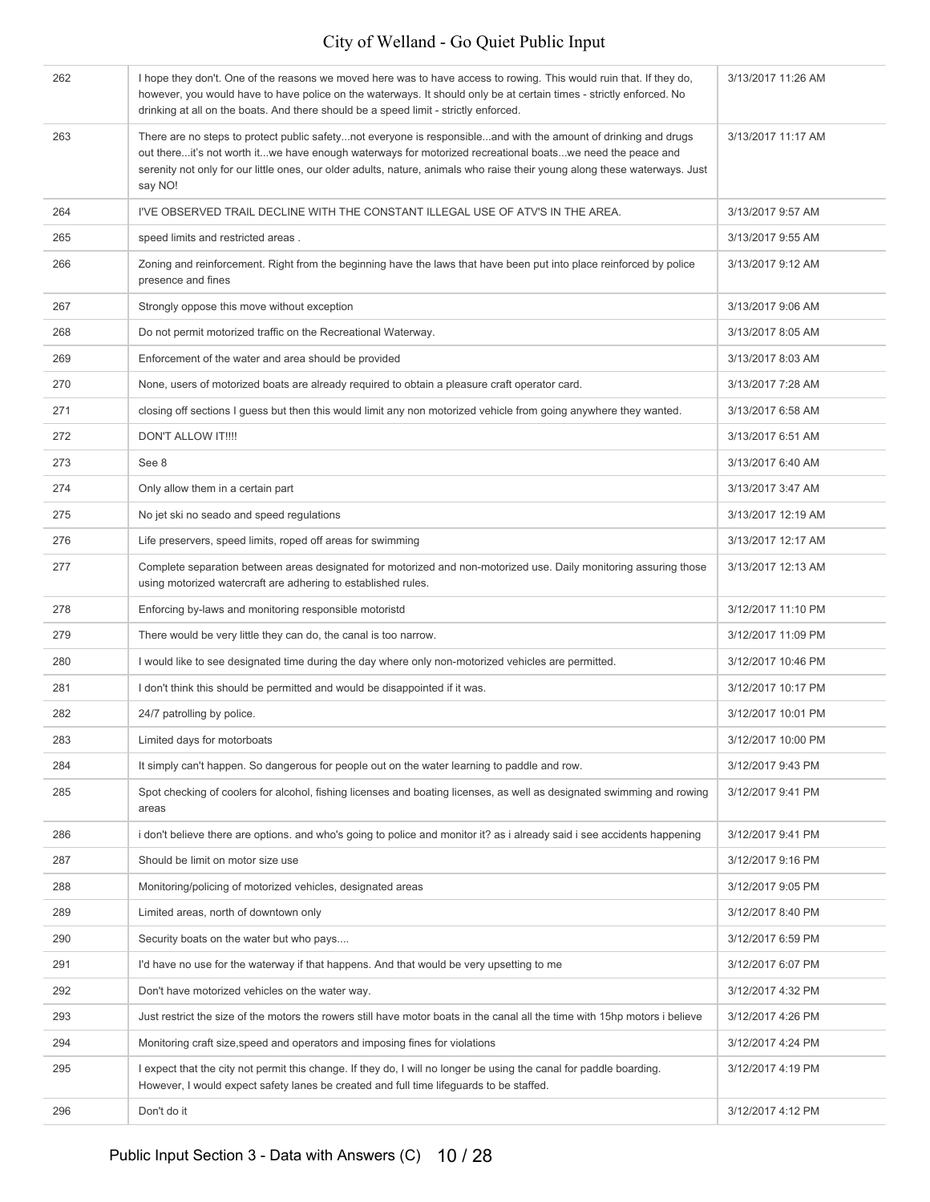| 262 | I hope they don't. One of the reasons we moved here was to have access to rowing. This would ruin that. If they do,<br>however, you would have to have police on the waterways. It should only be at certain times - strictly enforced. No<br>drinking at all on the boats. And there should be a speed limit - strictly enforced.                                   | 3/13/2017 11:26 AM |
|-----|----------------------------------------------------------------------------------------------------------------------------------------------------------------------------------------------------------------------------------------------------------------------------------------------------------------------------------------------------------------------|--------------------|
| 263 | There are no steps to protect public safetynot everyone is responsibleand with the amount of drinking and drugs<br>out thereit's not worth itwe have enough waterways for motorized recreational boatswe need the peace and<br>serenity not only for our little ones, our older adults, nature, animals who raise their young along these waterways. Just<br>say NO! | 3/13/2017 11:17 AM |
| 264 | I'VE OBSERVED TRAIL DECLINE WITH THE CONSTANT ILLEGAL USE OF ATV'S IN THE AREA.                                                                                                                                                                                                                                                                                      | 3/13/2017 9:57 AM  |
| 265 | speed limits and restricted areas.                                                                                                                                                                                                                                                                                                                                   | 3/13/2017 9:55 AM  |
| 266 | Zoning and reinforcement. Right from the beginning have the laws that have been put into place reinforced by police<br>presence and fines                                                                                                                                                                                                                            | 3/13/2017 9:12 AM  |
| 267 | Strongly oppose this move without exception                                                                                                                                                                                                                                                                                                                          | 3/13/2017 9:06 AM  |
| 268 | Do not permit motorized traffic on the Recreational Waterway.                                                                                                                                                                                                                                                                                                        | 3/13/2017 8:05 AM  |
| 269 | Enforcement of the water and area should be provided                                                                                                                                                                                                                                                                                                                 | 3/13/2017 8:03 AM  |
| 270 | None, users of motorized boats are already required to obtain a pleasure craft operator card.                                                                                                                                                                                                                                                                        | 3/13/2017 7:28 AM  |
| 271 | closing off sections I guess but then this would limit any non motorized vehicle from going anywhere they wanted.                                                                                                                                                                                                                                                    | 3/13/2017 6:58 AM  |
| 272 | <b>DON'T ALLOW IT!!!!</b>                                                                                                                                                                                                                                                                                                                                            | 3/13/2017 6:51 AM  |
| 273 | See 8                                                                                                                                                                                                                                                                                                                                                                | 3/13/2017 6:40 AM  |
| 274 | Only allow them in a certain part                                                                                                                                                                                                                                                                                                                                    | 3/13/2017 3:47 AM  |
| 275 | No jet ski no seado and speed regulations                                                                                                                                                                                                                                                                                                                            | 3/13/2017 12:19 AM |
| 276 | Life preservers, speed limits, roped off areas for swimming                                                                                                                                                                                                                                                                                                          | 3/13/2017 12:17 AM |
| 277 | Complete separation between areas designated for motorized and non-motorized use. Daily monitoring assuring those<br>using motorized watercraft are adhering to established rules.                                                                                                                                                                                   | 3/13/2017 12:13 AM |
| 278 | Enforcing by-laws and monitoring responsible motoristd                                                                                                                                                                                                                                                                                                               | 3/12/2017 11:10 PM |
| 279 | There would be very little they can do, the canal is too narrow.                                                                                                                                                                                                                                                                                                     | 3/12/2017 11:09 PM |
| 280 | I would like to see designated time during the day where only non-motorized vehicles are permitted.                                                                                                                                                                                                                                                                  | 3/12/2017 10:46 PM |
| 281 | I don't think this should be permitted and would be disappointed if it was.                                                                                                                                                                                                                                                                                          | 3/12/2017 10:17 PM |
| 282 | 24/7 patrolling by police.                                                                                                                                                                                                                                                                                                                                           | 3/12/2017 10:01 PM |
| 283 | Limited days for motorboats                                                                                                                                                                                                                                                                                                                                          | 3/12/2017 10:00 PM |
| 284 | It simply can't happen. So dangerous for people out on the water learning to paddle and row.                                                                                                                                                                                                                                                                         | 3/12/2017 9:43 PM  |
| 285 | Spot checking of coolers for alcohol, fishing licenses and boating licenses, as well as designated swimming and rowing<br>areas                                                                                                                                                                                                                                      | 3/12/2017 9:41 PM  |
| 286 | i don't believe there are options, and who's going to police and monitor it? as i already said i see accidents happening                                                                                                                                                                                                                                             | 3/12/2017 9:41 PM  |
| 287 | Should be limit on motor size use                                                                                                                                                                                                                                                                                                                                    | 3/12/2017 9:16 PM  |
| 288 | Monitoring/policing of motorized vehicles, designated areas                                                                                                                                                                                                                                                                                                          | 3/12/2017 9:05 PM  |
| 289 | Limited areas, north of downtown only                                                                                                                                                                                                                                                                                                                                | 3/12/2017 8:40 PM  |
| 290 | Security boats on the water but who pays                                                                                                                                                                                                                                                                                                                             | 3/12/2017 6:59 PM  |
| 291 | I'd have no use for the waterway if that happens. And that would be very upsetting to me                                                                                                                                                                                                                                                                             | 3/12/2017 6:07 PM  |
| 292 | Don't have motorized vehicles on the water way.                                                                                                                                                                                                                                                                                                                      | 3/12/2017 4:32 PM  |
| 293 | Just restrict the size of the motors the rowers still have motor boats in the canal all the time with 15hp motors i believe                                                                                                                                                                                                                                          | 3/12/2017 4:26 PM  |
| 294 | Monitoring craft size, speed and operators and imposing fines for violations                                                                                                                                                                                                                                                                                         | 3/12/2017 4:24 PM  |
| 295 | I expect that the city not permit this change. If they do, I will no longer be using the canal for paddle boarding.<br>However, I would expect safety lanes be created and full time lifeguards to be staffed.                                                                                                                                                       | 3/12/2017 4:19 PM  |
| 296 | Don't do it                                                                                                                                                                                                                                                                                                                                                          | 3/12/2017 4:12 PM  |
|     |                                                                                                                                                                                                                                                                                                                                                                      |                    |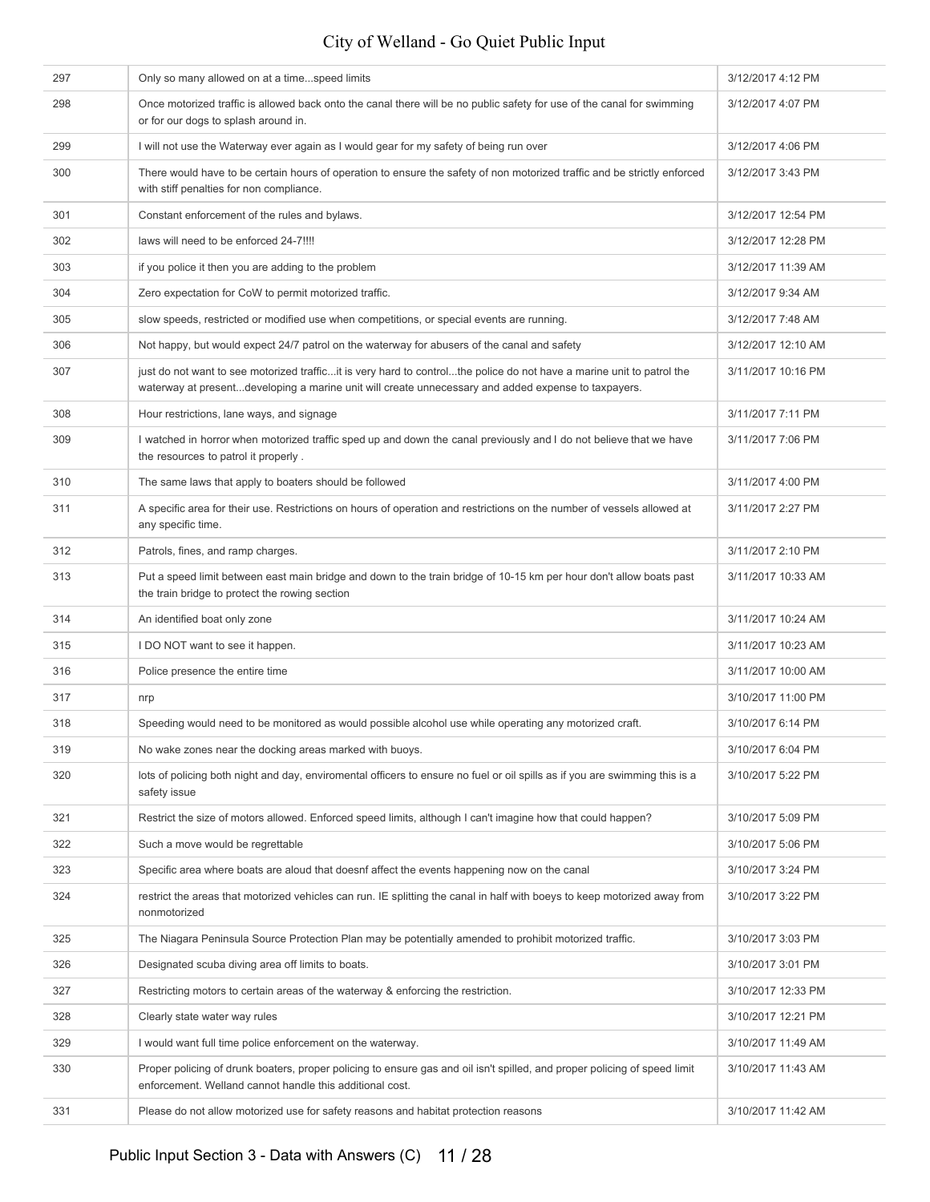| 297 | Only so many allowed on at a timespeed limits                                                                                                                                                                                | 3/12/2017 4:12 PM  |
|-----|------------------------------------------------------------------------------------------------------------------------------------------------------------------------------------------------------------------------------|--------------------|
| 298 | Once motorized traffic is allowed back onto the canal there will be no public safety for use of the canal for swimming<br>or for our dogs to splash around in.                                                               | 3/12/2017 4:07 PM  |
| 299 | I will not use the Waterway ever again as I would gear for my safety of being run over                                                                                                                                       | 3/12/2017 4:06 PM  |
| 300 | There would have to be certain hours of operation to ensure the safety of non motorized traffic and be strictly enforced<br>with stiff penalties for non compliance.                                                         | 3/12/2017 3:43 PM  |
| 301 | Constant enforcement of the rules and bylaws.                                                                                                                                                                                | 3/12/2017 12:54 PM |
| 302 | laws will need to be enforced 24-7!!!!                                                                                                                                                                                       | 3/12/2017 12:28 PM |
| 303 | if you police it then you are adding to the problem                                                                                                                                                                          | 3/12/2017 11:39 AM |
| 304 | Zero expectation for CoW to permit motorized traffic.                                                                                                                                                                        | 3/12/2017 9:34 AM  |
| 305 | slow speeds, restricted or modified use when competitions, or special events are running.                                                                                                                                    | 3/12/2017 7:48 AM  |
| 306 | Not happy, but would expect 24/7 patrol on the waterway for abusers of the canal and safety                                                                                                                                  | 3/12/2017 12:10 AM |
| 307 | just do not want to see motorized trafficit is very hard to controlthe police do not have a marine unit to patrol the<br>waterway at presentdeveloping a marine unit will create unnecessary and added expense to taxpayers. | 3/11/2017 10:16 PM |
| 308 | Hour restrictions, lane ways, and signage                                                                                                                                                                                    | 3/11/2017 7:11 PM  |
| 309 | I watched in horror when motorized traffic sped up and down the canal previously and I do not believe that we have<br>the resources to patrol it properly.                                                                   | 3/11/2017 7:06 PM  |
| 310 | The same laws that apply to boaters should be followed                                                                                                                                                                       | 3/11/2017 4:00 PM  |
| 311 | A specific area for their use. Restrictions on hours of operation and restrictions on the number of vessels allowed at<br>any specific time.                                                                                 | 3/11/2017 2:27 PM  |
| 312 | Patrols, fines, and ramp charges.                                                                                                                                                                                            | 3/11/2017 2:10 PM  |
| 313 | Put a speed limit between east main bridge and down to the train bridge of 10-15 km per hour don't allow boats past<br>the train bridge to protect the rowing section                                                        | 3/11/2017 10:33 AM |
| 314 | An identified boat only zone                                                                                                                                                                                                 | 3/11/2017 10:24 AM |
| 315 | I DO NOT want to see it happen.                                                                                                                                                                                              | 3/11/2017 10:23 AM |
| 316 | Police presence the entire time                                                                                                                                                                                              | 3/11/2017 10:00 AM |
| 317 | nrp                                                                                                                                                                                                                          | 3/10/2017 11:00 PM |
| 318 | Speeding would need to be monitored as would possible alcohol use while operating any motorized craft.                                                                                                                       | 3/10/2017 6:14 PM  |
| 319 | No wake zones near the docking areas marked with buoys.                                                                                                                                                                      | 3/10/2017 6:04 PM  |
| 320 | lots of policing both night and day, enviromental officers to ensure no fuel or oil spills as if you are swimming this is a<br>safety issue                                                                                  | 3/10/2017 5:22 PM  |
| 321 | Restrict the size of motors allowed. Enforced speed limits, although I can't imagine how that could happen?                                                                                                                  | 3/10/2017 5:09 PM  |
| 322 | Such a move would be regrettable                                                                                                                                                                                             | 3/10/2017 5:06 PM  |
| 323 | Specific area where boats are aloud that doesnf affect the events happening now on the canal                                                                                                                                 | 3/10/2017 3:24 PM  |
| 324 | restrict the areas that motorized vehicles can run. IE splitting the canal in half with boeys to keep motorized away from<br>nonmotorized                                                                                    | 3/10/2017 3:22 PM  |
| 325 | The Niagara Peninsula Source Protection Plan may be potentially amended to prohibit motorized traffic.                                                                                                                       | 3/10/2017 3:03 PM  |
| 326 | Designated scuba diving area off limits to boats.                                                                                                                                                                            | 3/10/2017 3:01 PM  |
| 327 | Restricting motors to certain areas of the waterway & enforcing the restriction.                                                                                                                                             | 3/10/2017 12:33 PM |
| 328 | Clearly state water way rules                                                                                                                                                                                                | 3/10/2017 12:21 PM |
| 329 | I would want full time police enforcement on the waterway.                                                                                                                                                                   | 3/10/2017 11:49 AM |
| 330 | Proper policing of drunk boaters, proper policing to ensure gas and oil isn't spilled, and proper policing of speed limit<br>enforcement. Welland cannot handle this additional cost.                                        | 3/10/2017 11:43 AM |
| 331 | Please do not allow motorized use for safety reasons and habitat protection reasons                                                                                                                                          | 3/10/2017 11:42 AM |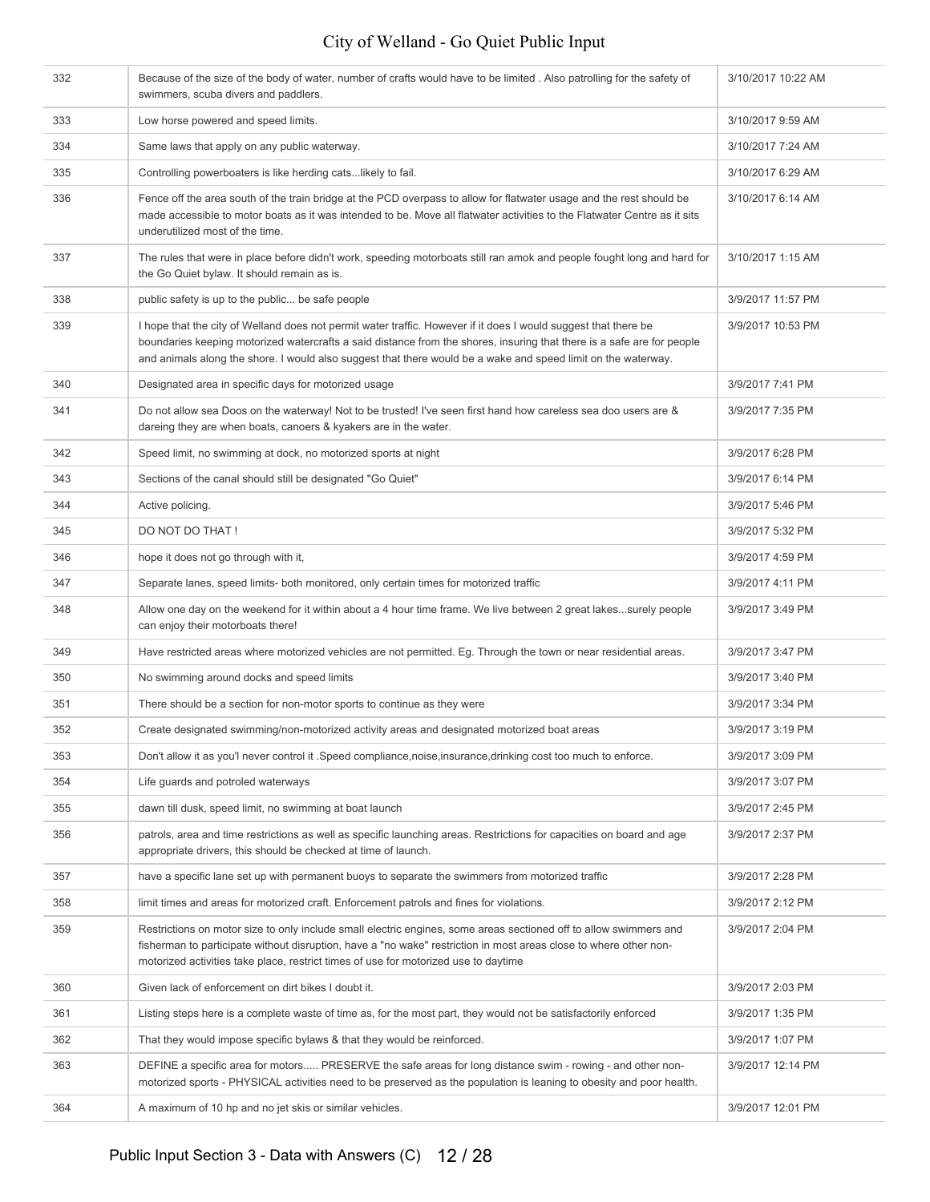| 332 | Because of the size of the body of water, number of crafts would have to be limited. Also patrolling for the safety of<br>swimmers, scuba divers and paddlers.                                                                                                                                                                                             | 3/10/2017 10:22 AM |
|-----|------------------------------------------------------------------------------------------------------------------------------------------------------------------------------------------------------------------------------------------------------------------------------------------------------------------------------------------------------------|--------------------|
| 333 | Low horse powered and speed limits.                                                                                                                                                                                                                                                                                                                        | 3/10/2017 9:59 AM  |
| 334 | Same laws that apply on any public waterway.                                                                                                                                                                                                                                                                                                               | 3/10/2017 7:24 AM  |
| 335 | Controlling powerboaters is like herding catslikely to fail.                                                                                                                                                                                                                                                                                               | 3/10/2017 6:29 AM  |
| 336 | Fence off the area south of the train bridge at the PCD overpass to allow for flatwater usage and the rest should be<br>made accessible to motor boats as it was intended to be. Move all flatwater activities to the Flatwater Centre as it sits<br>underutilized most of the time.                                                                       | 3/10/2017 6:14 AM  |
| 337 | The rules that were in place before didn't work, speeding motorboats still ran amok and people fought long and hard for<br>the Go Quiet bylaw. It should remain as is.                                                                                                                                                                                     | 3/10/2017 1:15 AM  |
| 338 | public safety is up to the public be safe people                                                                                                                                                                                                                                                                                                           | 3/9/2017 11:57 PM  |
| 339 | I hope that the city of Welland does not permit water traffic. However if it does I would suggest that there be<br>boundaries keeping motorized watercrafts a said distance from the shores, insuring that there is a safe are for people<br>and animals along the shore. I would also suggest that there would be a wake and speed limit on the waterway. | 3/9/2017 10:53 PM  |
| 340 | Designated area in specific days for motorized usage                                                                                                                                                                                                                                                                                                       | 3/9/2017 7:41 PM   |
| 341 | Do not allow sea Doos on the waterway! Not to be trusted! I've seen first hand how careless sea doo users are &<br>dareing they are when boats, canoers & kyakers are in the water.                                                                                                                                                                        | 3/9/2017 7:35 PM   |
| 342 | Speed limit, no swimming at dock, no motorized sports at night                                                                                                                                                                                                                                                                                             | 3/9/2017 6:28 PM   |
| 343 | Sections of the canal should still be designated "Go Quiet"                                                                                                                                                                                                                                                                                                | 3/9/2017 6:14 PM   |
| 344 | Active policing.                                                                                                                                                                                                                                                                                                                                           | 3/9/2017 5:46 PM   |
| 345 | DO NOT DO THAT !                                                                                                                                                                                                                                                                                                                                           | 3/9/2017 5:32 PM   |
| 346 | hope it does not go through with it,                                                                                                                                                                                                                                                                                                                       | 3/9/2017 4:59 PM   |
| 347 | Separate lanes, speed limits- both monitored, only certain times for motorized traffic                                                                                                                                                                                                                                                                     | 3/9/2017 4:11 PM   |
| 348 | Allow one day on the weekend for it within about a 4 hour time frame. We live between 2 great lakessurely people<br>can enjoy their motorboats there!                                                                                                                                                                                                      | 3/9/2017 3:49 PM   |
| 349 | Have restricted areas where motorized vehicles are not permitted. Eg. Through the town or near residential areas.                                                                                                                                                                                                                                          | 3/9/2017 3:47 PM   |
| 350 | No swimming around docks and speed limits                                                                                                                                                                                                                                                                                                                  | 3/9/2017 3:40 PM   |
| 351 | There should be a section for non-motor sports to continue as they were                                                                                                                                                                                                                                                                                    | 3/9/2017 3:34 PM   |
| 352 | Create designated swimming/non-motorized activity areas and designated motorized boat areas                                                                                                                                                                                                                                                                | 3/9/2017 3:19 PM   |
| 353 | Don't allow it as you'l never control it .Speed compliance, noise, insurance, drinking cost too much to enforce.                                                                                                                                                                                                                                           | 3/9/2017 3:09 PM   |
| 354 | Life quards and potroled waterways                                                                                                                                                                                                                                                                                                                         | 3/9/2017 3:07 PM   |
| 355 | dawn till dusk, speed limit, no swimming at boat launch                                                                                                                                                                                                                                                                                                    | 3/9/2017 2:45 PM   |
| 356 | patrols, area and time restrictions as well as specific launching areas. Restrictions for capacities on board and age<br>appropriate drivers, this should be checked at time of launch.                                                                                                                                                                    | 3/9/2017 2:37 PM   |
| 357 | have a specific lane set up with permanent buoys to separate the swimmers from motorized traffic                                                                                                                                                                                                                                                           | 3/9/2017 2:28 PM   |
| 358 | limit times and areas for motorized craft. Enforcement patrols and fines for violations.                                                                                                                                                                                                                                                                   | 3/9/2017 2:12 PM   |
| 359 | Restrictions on motor size to only include small electric engines, some areas sectioned off to allow swimmers and<br>fisherman to participate without disruption, have a "no wake" restriction in most areas close to where other non-<br>motorized activities take place, restrict times of use for motorized use to daytime                              | 3/9/2017 2:04 PM   |
| 360 | Given lack of enforcement on dirt bikes I doubt it.                                                                                                                                                                                                                                                                                                        | 3/9/2017 2:03 PM   |
| 361 | Listing steps here is a complete waste of time as, for the most part, they would not be satisfactorily enforced                                                                                                                                                                                                                                            | 3/9/2017 1:35 PM   |
| 362 | That they would impose specific bylaws & that they would be reinforced.                                                                                                                                                                                                                                                                                    | 3/9/2017 1:07 PM   |
| 363 | DEFINE a specific area for motors PRESERVE the safe areas for long distance swim - rowing - and other non-<br>motorized sports - PHYSICAL activities need to be preserved as the population is leaning to obesity and poor health.                                                                                                                         | 3/9/2017 12:14 PM  |
| 364 | A maximum of 10 hp and no jet skis or similar vehicles.                                                                                                                                                                                                                                                                                                    | 3/9/2017 12:01 PM  |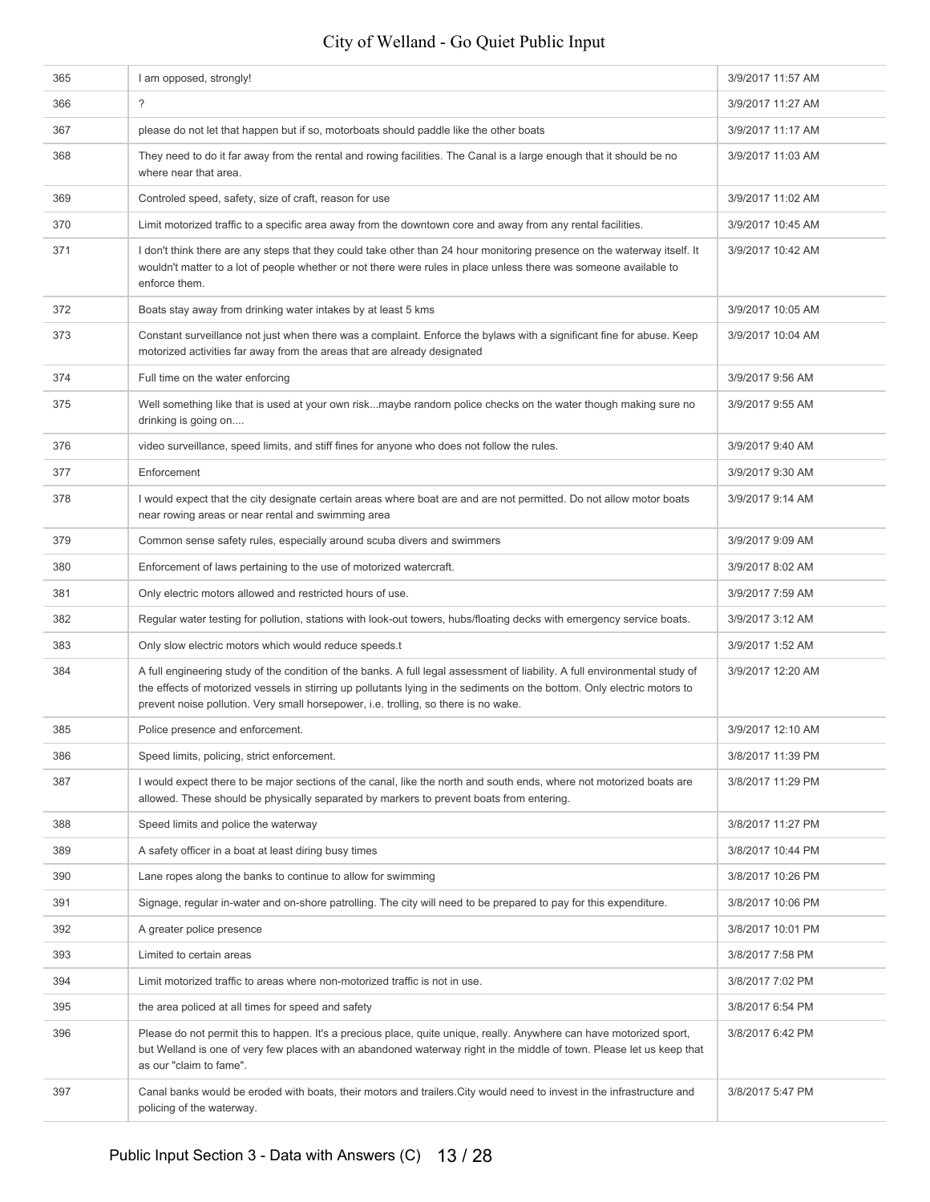| 365 | I am opposed, strongly!                                                                                                                                                                                                                                                                                                                        | 3/9/2017 11:57 AM |
|-----|------------------------------------------------------------------------------------------------------------------------------------------------------------------------------------------------------------------------------------------------------------------------------------------------------------------------------------------------|-------------------|
| 366 | $\overline{?}$                                                                                                                                                                                                                                                                                                                                 | 3/9/2017 11:27 AM |
| 367 | please do not let that happen but if so, motorboats should paddle like the other boats                                                                                                                                                                                                                                                         | 3/9/2017 11:17 AM |
| 368 | They need to do it far away from the rental and rowing facilities. The Canal is a large enough that it should be no<br>where near that area.                                                                                                                                                                                                   | 3/9/2017 11:03 AM |
| 369 | Controled speed, safety, size of craft, reason for use                                                                                                                                                                                                                                                                                         | 3/9/2017 11:02 AM |
| 370 | Limit motorized traffic to a specific area away from the downtown core and away from any rental facilities.                                                                                                                                                                                                                                    | 3/9/2017 10:45 AM |
| 371 | I don't think there are any steps that they could take other than 24 hour monitoring presence on the waterway itself. It<br>wouldn't matter to a lot of people whether or not there were rules in place unless there was someone available to<br>enforce them.                                                                                 | 3/9/2017 10:42 AM |
| 372 | Boats stay away from drinking water intakes by at least 5 kms                                                                                                                                                                                                                                                                                  | 3/9/2017 10:05 AM |
| 373 | Constant surveillance not just when there was a complaint. Enforce the bylaws with a significant fine for abuse. Keep<br>motorized activities far away from the areas that are already designated                                                                                                                                              | 3/9/2017 10:04 AM |
| 374 | Full time on the water enforcing                                                                                                                                                                                                                                                                                                               | 3/9/2017 9:56 AM  |
| 375 | Well something like that is used at your own riskmaybe random police checks on the water though making sure no<br>drinking is going on                                                                                                                                                                                                         | 3/9/2017 9:55 AM  |
| 376 | video surveillance, speed limits, and stiff fines for anyone who does not follow the rules.                                                                                                                                                                                                                                                    | 3/9/2017 9:40 AM  |
| 377 | Enforcement                                                                                                                                                                                                                                                                                                                                    | 3/9/2017 9:30 AM  |
| 378 | I would expect that the city designate certain areas where boat are and are not permitted. Do not allow motor boats<br>near rowing areas or near rental and swimming area                                                                                                                                                                      | 3/9/2017 9:14 AM  |
| 379 | Common sense safety rules, especially around scuba divers and swimmers                                                                                                                                                                                                                                                                         | 3/9/2017 9:09 AM  |
| 380 | Enforcement of laws pertaining to the use of motorized watercraft.                                                                                                                                                                                                                                                                             | 3/9/2017 8:02 AM  |
| 381 | Only electric motors allowed and restricted hours of use.                                                                                                                                                                                                                                                                                      | 3/9/2017 7:59 AM  |
| 382 | Regular water testing for pollution, stations with look-out towers, hubs/floating decks with emergency service boats.                                                                                                                                                                                                                          | 3/9/2017 3:12 AM  |
| 383 | Only slow electric motors which would reduce speeds.t                                                                                                                                                                                                                                                                                          | 3/9/2017 1:52 AM  |
| 384 | A full engineering study of the condition of the banks. A full legal assessment of liability. A full environmental study of<br>the effects of motorized vessels in stirring up pollutants lying in the sediments on the bottom. Only electric motors to<br>prevent noise pollution. Very small horsepower, i.e. trolling, so there is no wake. | 3/9/2017 12:20 AM |
| 385 | Police presence and enforcement.                                                                                                                                                                                                                                                                                                               | 3/9/2017 12:10 AM |
| 386 | Speed limits, policing, strict enforcement.                                                                                                                                                                                                                                                                                                    | 3/8/2017 11:39 PM |
| 387 | I would expect there to be major sections of the canal, like the north and south ends, where not motorized boats are<br>allowed. These should be physically separated by markers to prevent boats from entering.                                                                                                                               | 3/8/2017 11:29 PM |
| 388 | Speed limits and police the waterway                                                                                                                                                                                                                                                                                                           | 3/8/2017 11:27 PM |
| 389 | A safety officer in a boat at least diring busy times                                                                                                                                                                                                                                                                                          | 3/8/2017 10:44 PM |
| 390 | Lane ropes along the banks to continue to allow for swimming                                                                                                                                                                                                                                                                                   | 3/8/2017 10:26 PM |
| 391 | Signage, regular in-water and on-shore patrolling. The city will need to be prepared to pay for this expenditure.                                                                                                                                                                                                                              | 3/8/2017 10:06 PM |
| 392 | A greater police presence                                                                                                                                                                                                                                                                                                                      | 3/8/2017 10:01 PM |
| 393 | Limited to certain areas                                                                                                                                                                                                                                                                                                                       | 3/8/2017 7:58 PM  |
| 394 | Limit motorized traffic to areas where non-motorized traffic is not in use.                                                                                                                                                                                                                                                                    | 3/8/2017 7:02 PM  |
| 395 | the area policed at all times for speed and safety                                                                                                                                                                                                                                                                                             | 3/8/2017 6:54 PM  |
| 396 | Please do not permit this to happen. It's a precious place, quite unique, really. Anywhere can have motorized sport,<br>but Welland is one of very few places with an abandoned waterway right in the middle of town. Please let us keep that<br>as our "claim to fame".                                                                       | 3/8/2017 6:42 PM  |
| 397 | Canal banks would be eroded with boats, their motors and trailers. City would need to invest in the infrastructure and<br>policing of the waterway.                                                                                                                                                                                            | 3/8/2017 5:47 PM  |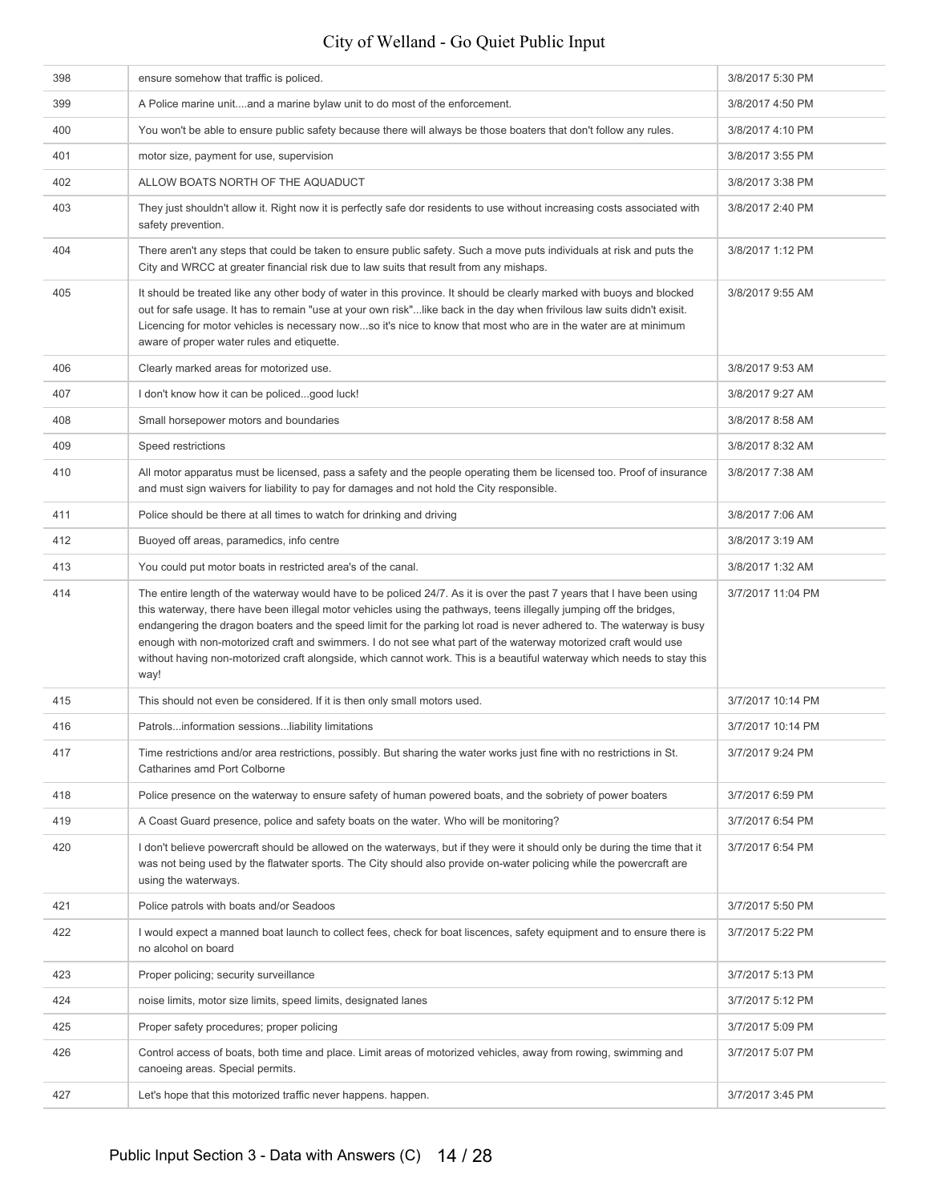| 398 | ensure somehow that traffic is policed.                                                                                                                                                                                                                                                                                                                                                                                                                                                                                                                                                                                   | 3/8/2017 5:30 PM  |
|-----|---------------------------------------------------------------------------------------------------------------------------------------------------------------------------------------------------------------------------------------------------------------------------------------------------------------------------------------------------------------------------------------------------------------------------------------------------------------------------------------------------------------------------------------------------------------------------------------------------------------------------|-------------------|
| 399 | A Police marine unitand a marine bylaw unit to do most of the enforcement.                                                                                                                                                                                                                                                                                                                                                                                                                                                                                                                                                | 3/8/2017 4:50 PM  |
| 400 | You won't be able to ensure public safety because there will always be those boaters that don't follow any rules.                                                                                                                                                                                                                                                                                                                                                                                                                                                                                                         | 3/8/2017 4:10 PM  |
| 401 | motor size, payment for use, supervision                                                                                                                                                                                                                                                                                                                                                                                                                                                                                                                                                                                  | 3/8/2017 3:55 PM  |
| 402 | ALLOW BOATS NORTH OF THE AQUADUCT                                                                                                                                                                                                                                                                                                                                                                                                                                                                                                                                                                                         | 3/8/2017 3:38 PM  |
| 403 | They just shouldn't allow it. Right now it is perfectly safe dor residents to use without increasing costs associated with<br>safety prevention.                                                                                                                                                                                                                                                                                                                                                                                                                                                                          | 3/8/2017 2:40 PM  |
| 404 | There aren't any steps that could be taken to ensure public safety. Such a move puts individuals at risk and puts the<br>City and WRCC at greater financial risk due to law suits that result from any mishaps.                                                                                                                                                                                                                                                                                                                                                                                                           | 3/8/2017 1:12 PM  |
| 405 | It should be treated like any other body of water in this province. It should be clearly marked with buoys and blocked<br>out for safe usage. It has to remain "use at your own risk"like back in the day when frivilous law suits didn't exisit.<br>Licencing for motor vehicles is necessary nowso it's nice to know that most who are in the water are at minimum<br>aware of proper water rules and etiquette.                                                                                                                                                                                                        | 3/8/2017 9:55 AM  |
| 406 | Clearly marked areas for motorized use.                                                                                                                                                                                                                                                                                                                                                                                                                                                                                                                                                                                   | 3/8/2017 9:53 AM  |
| 407 | I don't know how it can be policedgood luck!                                                                                                                                                                                                                                                                                                                                                                                                                                                                                                                                                                              | 3/8/2017 9:27 AM  |
| 408 | Small horsepower motors and boundaries                                                                                                                                                                                                                                                                                                                                                                                                                                                                                                                                                                                    | 3/8/2017 8:58 AM  |
| 409 | Speed restrictions                                                                                                                                                                                                                                                                                                                                                                                                                                                                                                                                                                                                        | 3/8/2017 8:32 AM  |
| 410 | All motor apparatus must be licensed, pass a safety and the people operating them be licensed too. Proof of insurance<br>and must sign waivers for liability to pay for damages and not hold the City responsible.                                                                                                                                                                                                                                                                                                                                                                                                        | 3/8/2017 7:38 AM  |
| 411 | Police should be there at all times to watch for drinking and driving                                                                                                                                                                                                                                                                                                                                                                                                                                                                                                                                                     | 3/8/2017 7:06 AM  |
| 412 | Buoyed off areas, paramedics, info centre                                                                                                                                                                                                                                                                                                                                                                                                                                                                                                                                                                                 | 3/8/2017 3:19 AM  |
| 413 | You could put motor boats in restricted area's of the canal.                                                                                                                                                                                                                                                                                                                                                                                                                                                                                                                                                              | 3/8/2017 1:32 AM  |
| 414 | The entire length of the waterway would have to be policed 24/7. As it is over the past 7 years that I have been using<br>this waterway, there have been illegal motor vehicles using the pathways, teens illegally jumping off the bridges,<br>endangering the dragon boaters and the speed limit for the parking lot road is never adhered to. The waterway is busy<br>enough with non-motorized craft and swimmers. I do not see what part of the waterway motorized craft would use<br>without having non-motorized craft alongside, which cannot work. This is a beautiful waterway which needs to stay this<br>way! | 3/7/2017 11:04 PM |
| 415 | This should not even be considered. If it is then only small motors used.                                                                                                                                                                                                                                                                                                                                                                                                                                                                                                                                                 | 3/7/2017 10:14 PM |
| 416 | Patrolsinformation sessionsliability limitations                                                                                                                                                                                                                                                                                                                                                                                                                                                                                                                                                                          | 3/7/2017 10:14 PM |
| 417 | Time restrictions and/or area restrictions, possibly. But sharing the water works just fine with no restrictions in St.<br>Catharines amd Port Colborne                                                                                                                                                                                                                                                                                                                                                                                                                                                                   | 3/7/2017 9:24 PM  |
| 418 | Police presence on the waterway to ensure safety of human powered boats, and the sobriety of power boaters                                                                                                                                                                                                                                                                                                                                                                                                                                                                                                                | 3/7/2017 6:59 PM  |
| 419 | A Coast Guard presence, police and safety boats on the water. Who will be monitoring?                                                                                                                                                                                                                                                                                                                                                                                                                                                                                                                                     | 3/7/2017 6:54 PM  |
| 420 | I don't believe powercraft should be allowed on the waterways, but if they were it should only be during the time that it<br>was not being used by the flatwater sports. The City should also provide on-water policing while the powercraft are<br>using the waterways.                                                                                                                                                                                                                                                                                                                                                  | 3/7/2017 6:54 PM  |
| 421 | Police patrols with boats and/or Seadoos                                                                                                                                                                                                                                                                                                                                                                                                                                                                                                                                                                                  | 3/7/2017 5:50 PM  |
| 422 | I would expect a manned boat launch to collect fees, check for boat liscences, safety equipment and to ensure there is<br>no alcohol on board                                                                                                                                                                                                                                                                                                                                                                                                                                                                             | 3/7/2017 5:22 PM  |
| 423 |                                                                                                                                                                                                                                                                                                                                                                                                                                                                                                                                                                                                                           | 3/7/2017 5:13 PM  |
| 424 | Proper policing; security surveillance                                                                                                                                                                                                                                                                                                                                                                                                                                                                                                                                                                                    |                   |
|     | noise limits, motor size limits, speed limits, designated lanes                                                                                                                                                                                                                                                                                                                                                                                                                                                                                                                                                           | 3/7/2017 5:12 PM  |
| 425 | Proper safety procedures; proper policing                                                                                                                                                                                                                                                                                                                                                                                                                                                                                                                                                                                 | 3/7/2017 5:09 PM  |
| 426 | Control access of boats, both time and place. Limit areas of motorized vehicles, away from rowing, swimming and<br>canoeing areas. Special permits.                                                                                                                                                                                                                                                                                                                                                                                                                                                                       | 3/7/2017 5:07 PM  |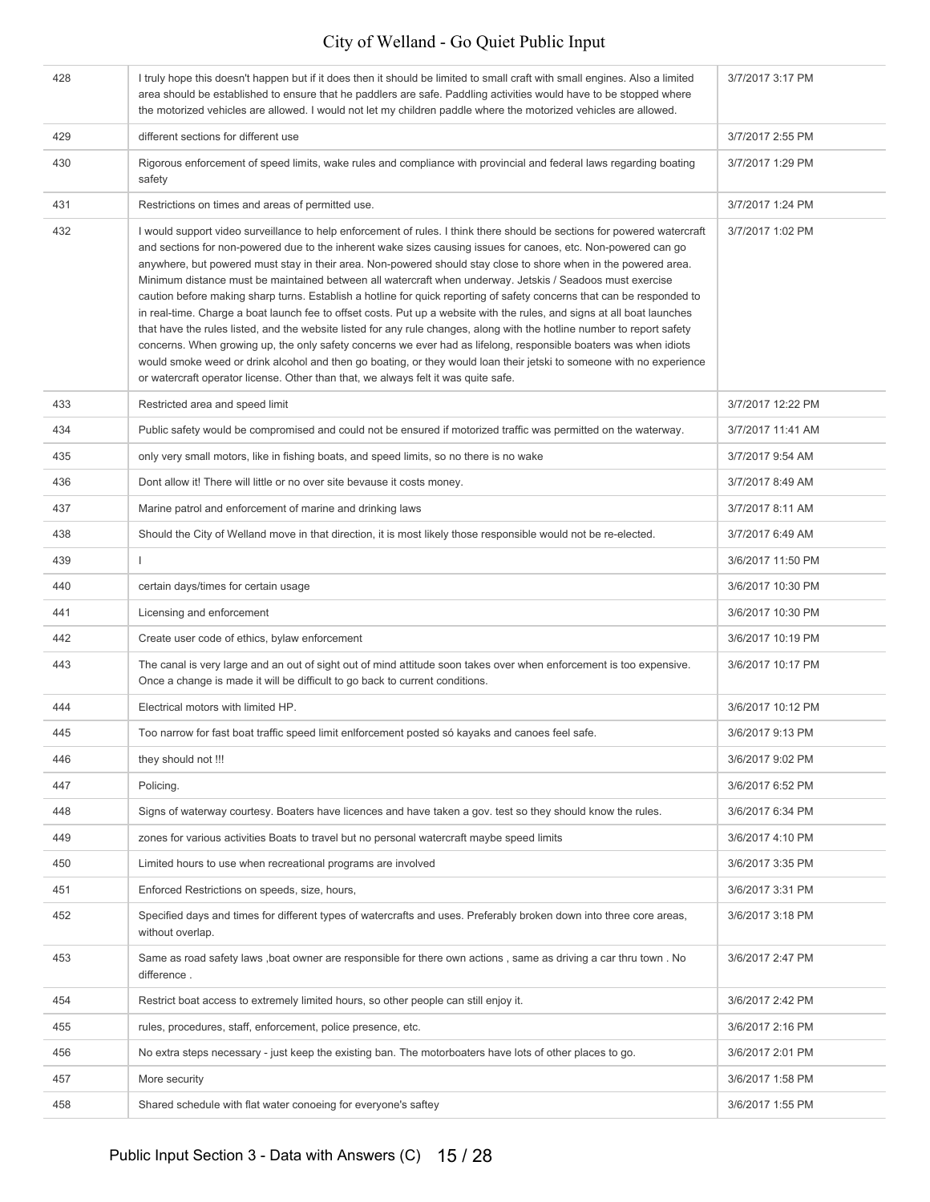| 428 | I truly hope this doesn't happen but if it does then it should be limited to small craft with small engines. Also a limited<br>area should be established to ensure that he paddlers are safe. Paddling activities would have to be stopped where<br>the motorized vehicles are allowed. I would not let my children paddle where the motorized vehicles are allowed.                                                                                                                                                                                                                                                                                                                                                                                                                                                                                                                                                                                                                                                                                                                                                                                                                        | 3/7/2017 3:17 PM  |
|-----|----------------------------------------------------------------------------------------------------------------------------------------------------------------------------------------------------------------------------------------------------------------------------------------------------------------------------------------------------------------------------------------------------------------------------------------------------------------------------------------------------------------------------------------------------------------------------------------------------------------------------------------------------------------------------------------------------------------------------------------------------------------------------------------------------------------------------------------------------------------------------------------------------------------------------------------------------------------------------------------------------------------------------------------------------------------------------------------------------------------------------------------------------------------------------------------------|-------------------|
| 429 | different sections for different use                                                                                                                                                                                                                                                                                                                                                                                                                                                                                                                                                                                                                                                                                                                                                                                                                                                                                                                                                                                                                                                                                                                                                         | 3/7/2017 2:55 PM  |
| 430 | Rigorous enforcement of speed limits, wake rules and compliance with provincial and federal laws regarding boating<br>safety                                                                                                                                                                                                                                                                                                                                                                                                                                                                                                                                                                                                                                                                                                                                                                                                                                                                                                                                                                                                                                                                 | 3/7/2017 1:29 PM  |
| 431 | Restrictions on times and areas of permitted use.                                                                                                                                                                                                                                                                                                                                                                                                                                                                                                                                                                                                                                                                                                                                                                                                                                                                                                                                                                                                                                                                                                                                            | 3/7/2017 1:24 PM  |
| 432 | I would support video surveillance to help enforcement of rules. I think there should be sections for powered watercraft<br>and sections for non-powered due to the inherent wake sizes causing issues for canoes, etc. Non-powered can go<br>anywhere, but powered must stay in their area. Non-powered should stay close to shore when in the powered area.<br>Minimum distance must be maintained between all watercraft when underway. Jetskis / Seadoos must exercise<br>caution before making sharp turns. Establish a hotline for quick reporting of safety concerns that can be responded to<br>in real-time. Charge a boat launch fee to offset costs. Put up a website with the rules, and signs at all boat launches<br>that have the rules listed, and the website listed for any rule changes, along with the hotline number to report safety<br>concerns. When growing up, the only safety concerns we ever had as lifelong, responsible boaters was when idiots<br>would smoke weed or drink alcohol and then go boating, or they would loan their jetski to someone with no experience<br>or watercraft operator license. Other than that, we always felt it was quite safe. | 3/7/2017 1:02 PM  |
| 433 | Restricted area and speed limit                                                                                                                                                                                                                                                                                                                                                                                                                                                                                                                                                                                                                                                                                                                                                                                                                                                                                                                                                                                                                                                                                                                                                              | 3/7/2017 12:22 PM |
| 434 | Public safety would be compromised and could not be ensured if motorized traffic was permitted on the waterway.                                                                                                                                                                                                                                                                                                                                                                                                                                                                                                                                                                                                                                                                                                                                                                                                                                                                                                                                                                                                                                                                              | 3/7/2017 11:41 AM |
| 435 | only very small motors, like in fishing boats, and speed limits, so no there is no wake                                                                                                                                                                                                                                                                                                                                                                                                                                                                                                                                                                                                                                                                                                                                                                                                                                                                                                                                                                                                                                                                                                      | 3/7/2017 9:54 AM  |
| 436 | Dont allow it! There will little or no over site bevause it costs money.                                                                                                                                                                                                                                                                                                                                                                                                                                                                                                                                                                                                                                                                                                                                                                                                                                                                                                                                                                                                                                                                                                                     | 3/7/2017 8:49 AM  |
| 437 | Marine patrol and enforcement of marine and drinking laws                                                                                                                                                                                                                                                                                                                                                                                                                                                                                                                                                                                                                                                                                                                                                                                                                                                                                                                                                                                                                                                                                                                                    | 3/7/2017 8:11 AM  |
| 438 | Should the City of Welland move in that direction, it is most likely those responsible would not be re-elected.                                                                                                                                                                                                                                                                                                                                                                                                                                                                                                                                                                                                                                                                                                                                                                                                                                                                                                                                                                                                                                                                              | 3/7/2017 6:49 AM  |
| 439 | $\mathbf{I}$                                                                                                                                                                                                                                                                                                                                                                                                                                                                                                                                                                                                                                                                                                                                                                                                                                                                                                                                                                                                                                                                                                                                                                                 | 3/6/2017 11:50 PM |
| 440 | certain days/times for certain usage                                                                                                                                                                                                                                                                                                                                                                                                                                                                                                                                                                                                                                                                                                                                                                                                                                                                                                                                                                                                                                                                                                                                                         | 3/6/2017 10:30 PM |
| 441 | Licensing and enforcement                                                                                                                                                                                                                                                                                                                                                                                                                                                                                                                                                                                                                                                                                                                                                                                                                                                                                                                                                                                                                                                                                                                                                                    | 3/6/2017 10:30 PM |
| 442 | Create user code of ethics, bylaw enforcement                                                                                                                                                                                                                                                                                                                                                                                                                                                                                                                                                                                                                                                                                                                                                                                                                                                                                                                                                                                                                                                                                                                                                | 3/6/2017 10:19 PM |
| 443 | The canal is very large and an out of sight out of mind attitude soon takes over when enforcement is too expensive.<br>Once a change is made it will be difficult to go back to current conditions.                                                                                                                                                                                                                                                                                                                                                                                                                                                                                                                                                                                                                                                                                                                                                                                                                                                                                                                                                                                          | 3/6/2017 10:17 PM |
| 444 | Electrical motors with limited HP.                                                                                                                                                                                                                                                                                                                                                                                                                                                                                                                                                                                                                                                                                                                                                                                                                                                                                                                                                                                                                                                                                                                                                           | 3/6/2017 10:12 PM |
| 445 | Too narrow for fast boat traffic speed limit enlforcement posted só kayaks and canoes feel safe.                                                                                                                                                                                                                                                                                                                                                                                                                                                                                                                                                                                                                                                                                                                                                                                                                                                                                                                                                                                                                                                                                             | 3/6/2017 9:13 PM  |
| 446 | they should not !!!                                                                                                                                                                                                                                                                                                                                                                                                                                                                                                                                                                                                                                                                                                                                                                                                                                                                                                                                                                                                                                                                                                                                                                          | 3/6/2017 9:02 PM  |
| 447 | Policing.                                                                                                                                                                                                                                                                                                                                                                                                                                                                                                                                                                                                                                                                                                                                                                                                                                                                                                                                                                                                                                                                                                                                                                                    | 3/6/2017 6:52 PM  |
| 448 | Signs of waterway courtesy. Boaters have licences and have taken a gov. test so they should know the rules.                                                                                                                                                                                                                                                                                                                                                                                                                                                                                                                                                                                                                                                                                                                                                                                                                                                                                                                                                                                                                                                                                  | 3/6/2017 6:34 PM  |
| 449 | zones for various activities Boats to travel but no personal watercraft maybe speed limits                                                                                                                                                                                                                                                                                                                                                                                                                                                                                                                                                                                                                                                                                                                                                                                                                                                                                                                                                                                                                                                                                                   | 3/6/2017 4:10 PM  |
| 450 | Limited hours to use when recreational programs are involved                                                                                                                                                                                                                                                                                                                                                                                                                                                                                                                                                                                                                                                                                                                                                                                                                                                                                                                                                                                                                                                                                                                                 | 3/6/2017 3:35 PM  |
| 451 | Enforced Restrictions on speeds, size, hours,                                                                                                                                                                                                                                                                                                                                                                                                                                                                                                                                                                                                                                                                                                                                                                                                                                                                                                                                                                                                                                                                                                                                                | 3/6/2017 3:31 PM  |
| 452 | Specified days and times for different types of watercrafts and uses. Preferably broken down into three core areas,<br>without overlap.                                                                                                                                                                                                                                                                                                                                                                                                                                                                                                                                                                                                                                                                                                                                                                                                                                                                                                                                                                                                                                                      | 3/6/2017 3:18 PM  |
| 453 | Same as road safety laws, boat owner are responsible for there own actions, same as driving a car thru town. No<br>difference.                                                                                                                                                                                                                                                                                                                                                                                                                                                                                                                                                                                                                                                                                                                                                                                                                                                                                                                                                                                                                                                               | 3/6/2017 2:47 PM  |
| 454 | Restrict boat access to extremely limited hours, so other people can still enjoy it.                                                                                                                                                                                                                                                                                                                                                                                                                                                                                                                                                                                                                                                                                                                                                                                                                                                                                                                                                                                                                                                                                                         | 3/6/2017 2:42 PM  |
| 455 | rules, procedures, staff, enforcement, police presence, etc.                                                                                                                                                                                                                                                                                                                                                                                                                                                                                                                                                                                                                                                                                                                                                                                                                                                                                                                                                                                                                                                                                                                                 | 3/6/2017 2:16 PM  |
| 456 | No extra steps necessary - just keep the existing ban. The motorboaters have lots of other places to go.                                                                                                                                                                                                                                                                                                                                                                                                                                                                                                                                                                                                                                                                                                                                                                                                                                                                                                                                                                                                                                                                                     | 3/6/2017 2:01 PM  |
| 457 | More security                                                                                                                                                                                                                                                                                                                                                                                                                                                                                                                                                                                                                                                                                                                                                                                                                                                                                                                                                                                                                                                                                                                                                                                | 3/6/2017 1:58 PM  |
| 458 | Shared schedule with flat water conoeing for everyone's saftey                                                                                                                                                                                                                                                                                                                                                                                                                                                                                                                                                                                                                                                                                                                                                                                                                                                                                                                                                                                                                                                                                                                               | 3/6/2017 1:55 PM  |
|     |                                                                                                                                                                                                                                                                                                                                                                                                                                                                                                                                                                                                                                                                                                                                                                                                                                                                                                                                                                                                                                                                                                                                                                                              |                   |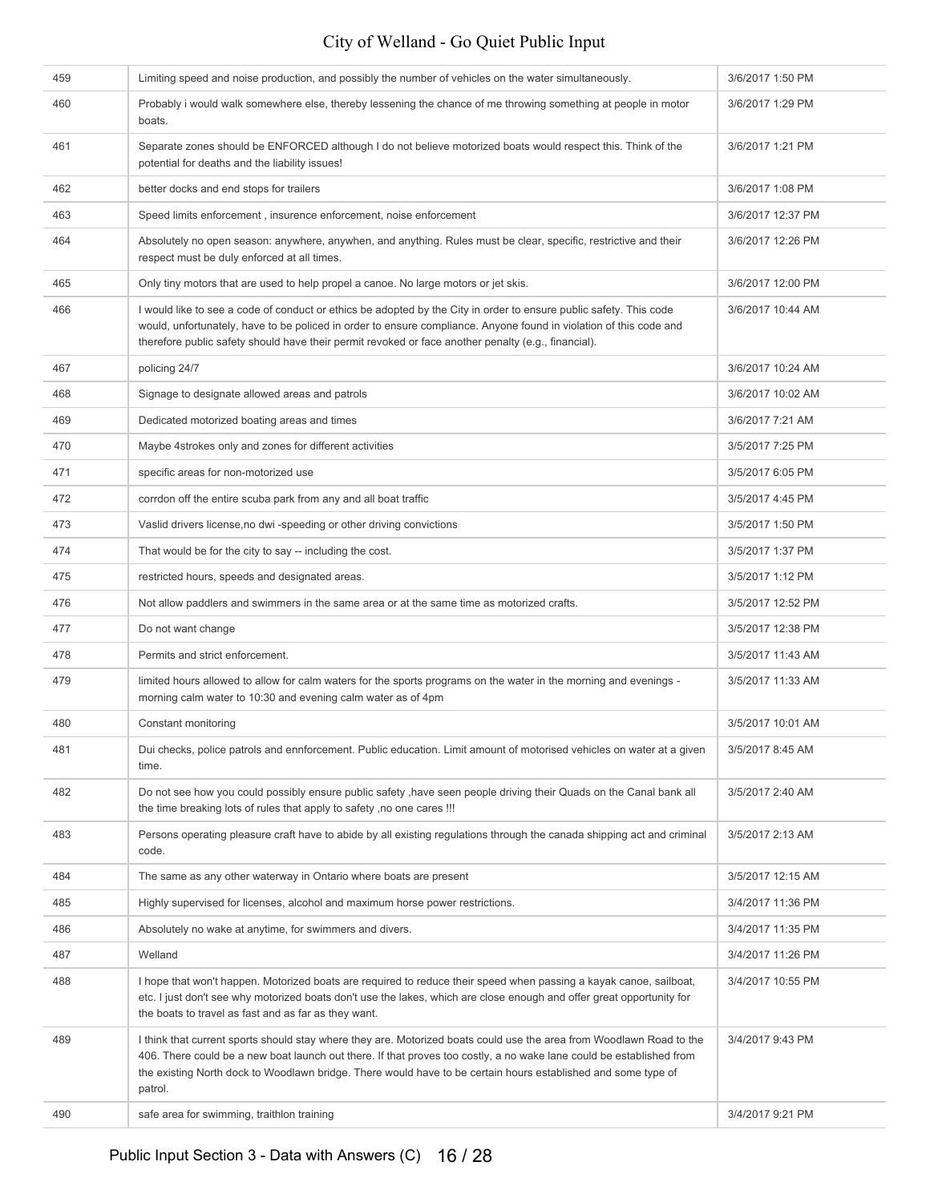| 459 | Limiting speed and noise production, and possibly the number of vehicles on the water simultaneously.                                                                                                                                                                                                                                                                    | 3/6/2017 1:50 PM  |
|-----|--------------------------------------------------------------------------------------------------------------------------------------------------------------------------------------------------------------------------------------------------------------------------------------------------------------------------------------------------------------------------|-------------------|
| 460 | Probably i would walk somewhere else, thereby lessening the chance of me throwing something at people in motor<br>boats.                                                                                                                                                                                                                                                 | 3/6/2017 1:29 PM  |
| 461 | Separate zones should be ENFORCED although I do not believe motorized boats would respect this. Think of the<br>potential for deaths and the liability issues!                                                                                                                                                                                                           | 3/6/2017 1:21 PM  |
| 462 | better docks and end stops for trailers                                                                                                                                                                                                                                                                                                                                  | 3/6/2017 1:08 PM  |
| 463 | Speed limits enforcement, insurence enforcement, noise enforcement                                                                                                                                                                                                                                                                                                       | 3/6/2017 12:37 PM |
| 464 | Absolutely no open season: anywhere, anywhen, and anything. Rules must be clear, specific, restrictive and their<br>respect must be duly enforced at all times.                                                                                                                                                                                                          | 3/6/2017 12:26 PM |
| 465 | Only tiny motors that are used to help propel a canoe. No large motors or jet skis.                                                                                                                                                                                                                                                                                      | 3/6/2017 12:00 PM |
| 466 | I would like to see a code of conduct or ethics be adopted by the City in order to ensure public safety. This code<br>would, unfortunately, have to be policed in order to ensure compliance. Anyone found in violation of this code and<br>therefore public safety should have their permit revoked or face another penalty (e.g., financial).                          | 3/6/2017 10:44 AM |
| 467 | policing 24/7                                                                                                                                                                                                                                                                                                                                                            | 3/6/2017 10:24 AM |
| 468 | Signage to designate allowed areas and patrols                                                                                                                                                                                                                                                                                                                           | 3/6/2017 10:02 AM |
| 469 | Dedicated motorized boating areas and times                                                                                                                                                                                                                                                                                                                              | 3/6/2017 7:21 AM  |
| 470 | Maybe 4strokes only and zones for different activities                                                                                                                                                                                                                                                                                                                   | 3/5/2017 7:25 PM  |
| 471 | specific areas for non-motorized use                                                                                                                                                                                                                                                                                                                                     | 3/5/2017 6:05 PM  |
| 472 | corrdon off the entire scuba park from any and all boat traffic                                                                                                                                                                                                                                                                                                          | 3/5/2017 4:45 PM  |
| 473 | Vaslid drivers license, no dwi-speeding or other driving convictions                                                                                                                                                                                                                                                                                                     | 3/5/2017 1:50 PM  |
| 474 | That would be for the city to say -- including the cost.                                                                                                                                                                                                                                                                                                                 | 3/5/2017 1:37 PM  |
| 475 | restricted hours, speeds and designated areas.                                                                                                                                                                                                                                                                                                                           | 3/5/2017 1:12 PM  |
| 476 | Not allow paddlers and swimmers in the same area or at the same time as motorized crafts.                                                                                                                                                                                                                                                                                | 3/5/2017 12:52 PM |
| 477 | Do not want change                                                                                                                                                                                                                                                                                                                                                       | 3/5/2017 12:38 PM |
| 478 | Permits and strict enforcement.                                                                                                                                                                                                                                                                                                                                          | 3/5/2017 11:43 AM |
| 479 | limited hours allowed to allow for calm waters for the sports programs on the water in the morning and evenings -<br>morning calm water to 10:30 and evening calm water as of 4pm                                                                                                                                                                                        | 3/5/2017 11:33 AM |
| 480 | Constant monitoring                                                                                                                                                                                                                                                                                                                                                      | 3/5/2017 10:01 AM |
| 481 | Dui checks, police patrols and ennforcement. Public education. Limit amount of motorised vehicles on water at a given<br>time.                                                                                                                                                                                                                                           | 3/5/2017 8:45 AM  |
| 482 | Do not see how you could possibly ensure public safety , have seen people driving their Quads on the Canal bank all<br>the time breaking lots of rules that apply to safety, no one cares !!!                                                                                                                                                                            | 3/5/2017 2:40 AM  |
| 483 | Persons operating pleasure craft have to abide by all existing regulations through the canada shipping act and criminal<br>code.                                                                                                                                                                                                                                         | 3/5/2017 2:13 AM  |
| 484 | The same as any other waterway in Ontario where boats are present                                                                                                                                                                                                                                                                                                        | 3/5/2017 12:15 AM |
| 485 | Highly supervised for licenses, alcohol and maximum horse power restrictions.                                                                                                                                                                                                                                                                                            | 3/4/2017 11:36 PM |
| 486 | Absolutely no wake at anytime, for swimmers and divers.                                                                                                                                                                                                                                                                                                                  | 3/4/2017 11:35 PM |
| 487 | Welland                                                                                                                                                                                                                                                                                                                                                                  | 3/4/2017 11:26 PM |
| 488 | I hope that won't happen. Motorized boats are required to reduce their speed when passing a kayak canoe, sailboat,<br>etc. I just don't see why motorized boats don't use the lakes, which are close enough and offer great opportunity for<br>the boats to travel as fast and as far as they want.                                                                      | 3/4/2017 10:55 PM |
| 489 | I think that current sports should stay where they are. Motorized boats could use the area from Woodlawn Road to the<br>406. There could be a new boat launch out there. If that proves too costly, a no wake lane could be established from<br>the existing North dock to Woodlawn bridge. There would have to be certain hours established and some type of<br>patrol. | 3/4/2017 9:43 PM  |
| 490 | safe area for swimming, traithlon training                                                                                                                                                                                                                                                                                                                               | 3/4/2017 9:21 PM  |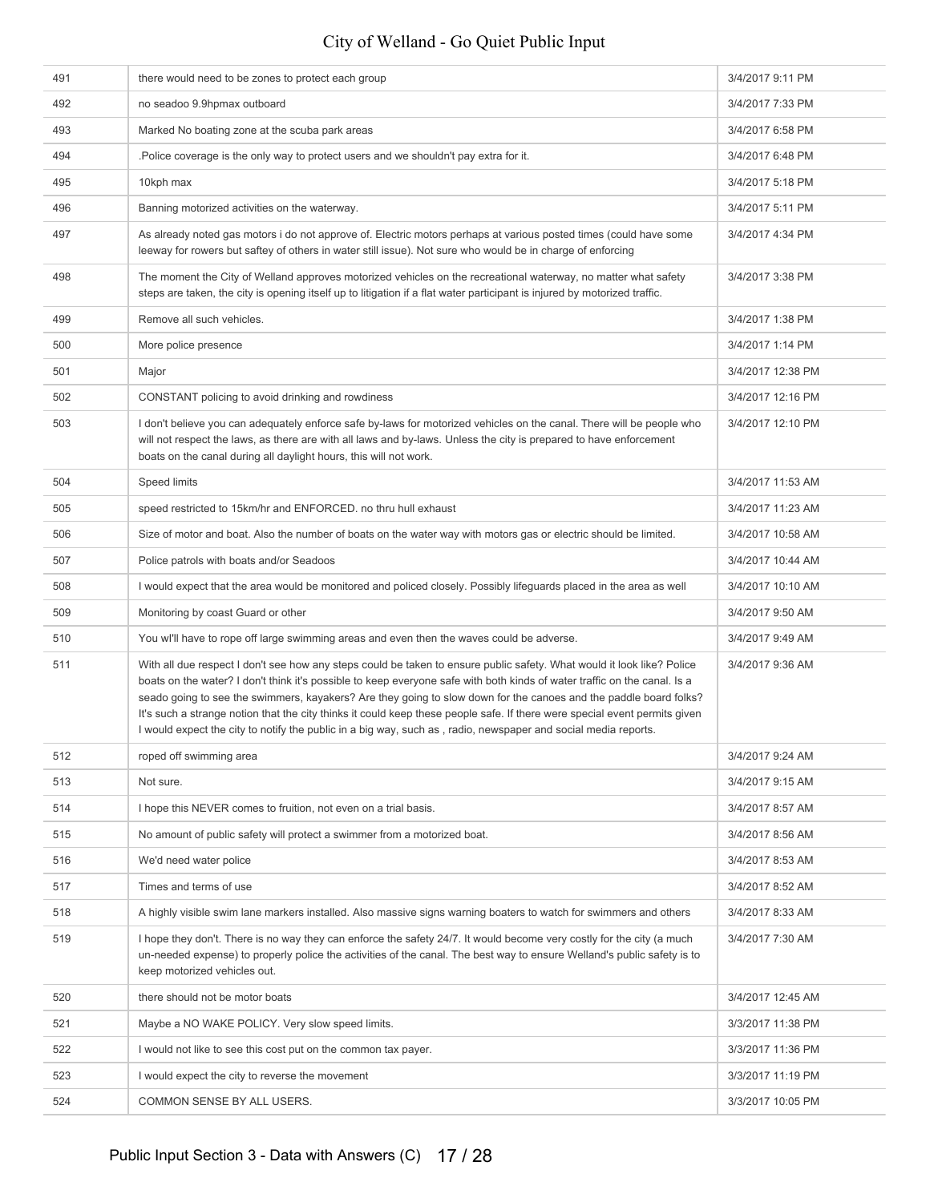| 491 | there would need to be zones to protect each group                                                                                                                                                                                                                                                                                                                                                                                                                                                                                                                                                                       | 3/4/2017 9:11 PM  |
|-----|--------------------------------------------------------------------------------------------------------------------------------------------------------------------------------------------------------------------------------------------------------------------------------------------------------------------------------------------------------------------------------------------------------------------------------------------------------------------------------------------------------------------------------------------------------------------------------------------------------------------------|-------------------|
| 492 | no seadoo 9.9hpmax outboard                                                                                                                                                                                                                                                                                                                                                                                                                                                                                                                                                                                              | 3/4/2017 7:33 PM  |
| 493 | Marked No boating zone at the scuba park areas                                                                                                                                                                                                                                                                                                                                                                                                                                                                                                                                                                           | 3/4/2017 6:58 PM  |
| 494 | . Police coverage is the only way to protect users and we shouldn't pay extra for it.                                                                                                                                                                                                                                                                                                                                                                                                                                                                                                                                    | 3/4/2017 6:48 PM  |
| 495 | 10kph max                                                                                                                                                                                                                                                                                                                                                                                                                                                                                                                                                                                                                | 3/4/2017 5:18 PM  |
| 496 | Banning motorized activities on the waterway.                                                                                                                                                                                                                                                                                                                                                                                                                                                                                                                                                                            | 3/4/2017 5:11 PM  |
| 497 | As already noted gas motors i do not approve of. Electric motors perhaps at various posted times (could have some<br>leeway for rowers but saftey of others in water still issue). Not sure who would be in charge of enforcing                                                                                                                                                                                                                                                                                                                                                                                          | 3/4/2017 4:34 PM  |
| 498 | The moment the City of Welland approves motorized vehicles on the recreational waterway, no matter what safety<br>steps are taken, the city is opening itself up to litigation if a flat water participant is injured by motorized traffic.                                                                                                                                                                                                                                                                                                                                                                              | 3/4/2017 3:38 PM  |
| 499 | Remove all such vehicles.                                                                                                                                                                                                                                                                                                                                                                                                                                                                                                                                                                                                | 3/4/2017 1:38 PM  |
| 500 | More police presence                                                                                                                                                                                                                                                                                                                                                                                                                                                                                                                                                                                                     | 3/4/2017 1:14 PM  |
| 501 | Major                                                                                                                                                                                                                                                                                                                                                                                                                                                                                                                                                                                                                    | 3/4/2017 12:38 PM |
| 502 | CONSTANT policing to avoid drinking and rowdiness                                                                                                                                                                                                                                                                                                                                                                                                                                                                                                                                                                        | 3/4/2017 12:16 PM |
| 503 | I don't believe you can adequately enforce safe by-laws for motorized vehicles on the canal. There will be people who<br>will not respect the laws, as there are with all laws and by-laws. Unless the city is prepared to have enforcement<br>boats on the canal during all daylight hours, this will not work.                                                                                                                                                                                                                                                                                                         | 3/4/2017 12:10 PM |
| 504 | Speed limits                                                                                                                                                                                                                                                                                                                                                                                                                                                                                                                                                                                                             | 3/4/2017 11:53 AM |
| 505 | speed restricted to 15km/hr and ENFORCED. no thru hull exhaust                                                                                                                                                                                                                                                                                                                                                                                                                                                                                                                                                           | 3/4/2017 11:23 AM |
| 506 | Size of motor and boat. Also the number of boats on the water way with motors gas or electric should be limited.                                                                                                                                                                                                                                                                                                                                                                                                                                                                                                         | 3/4/2017 10:58 AM |
| 507 | Police patrols with boats and/or Seadoos                                                                                                                                                                                                                                                                                                                                                                                                                                                                                                                                                                                 | 3/4/2017 10:44 AM |
| 508 | I would expect that the area would be monitored and policed closely. Possibly lifeguards placed in the area as well                                                                                                                                                                                                                                                                                                                                                                                                                                                                                                      | 3/4/2017 10:10 AM |
| 509 | Monitoring by coast Guard or other                                                                                                                                                                                                                                                                                                                                                                                                                                                                                                                                                                                       | 3/4/2017 9:50 AM  |
| 510 | You wi'll have to rope off large swimming areas and even then the waves could be adverse.                                                                                                                                                                                                                                                                                                                                                                                                                                                                                                                                | 3/4/2017 9:49 AM  |
| 511 | With all due respect I don't see how any steps could be taken to ensure public safety. What would it look like? Police<br>boats on the water? I don't think it's possible to keep everyone safe with both kinds of water traffic on the canal. Is a<br>seado going to see the swimmers, kayakers? Are they going to slow down for the canoes and the paddle board folks?<br>It's such a strange notion that the city thinks it could keep these people safe. If there were special event permits given<br>I would expect the city to notify the public in a big way, such as, radio, newspaper and social media reports. | 3/4/2017 9:36 AM  |
| 512 | roped off swimming area                                                                                                                                                                                                                                                                                                                                                                                                                                                                                                                                                                                                  | 3/4/2017 9:24 AM  |
| 513 | Not sure.                                                                                                                                                                                                                                                                                                                                                                                                                                                                                                                                                                                                                | 3/4/2017 9:15 AM  |
| 514 | I hope this NEVER comes to fruition, not even on a trial basis.                                                                                                                                                                                                                                                                                                                                                                                                                                                                                                                                                          | 3/4/2017 8:57 AM  |
| 515 | No amount of public safety will protect a swimmer from a motorized boat.                                                                                                                                                                                                                                                                                                                                                                                                                                                                                                                                                 | 3/4/2017 8:56 AM  |
| 516 | We'd need water police                                                                                                                                                                                                                                                                                                                                                                                                                                                                                                                                                                                                   | 3/4/2017 8:53 AM  |
| 517 | Times and terms of use                                                                                                                                                                                                                                                                                                                                                                                                                                                                                                                                                                                                   | 3/4/2017 8:52 AM  |
| 518 | A highly visible swim lane markers installed. Also massive signs warning boaters to watch for swimmers and others                                                                                                                                                                                                                                                                                                                                                                                                                                                                                                        | 3/4/2017 8:33 AM  |
| 519 | I hope they don't. There is no way they can enforce the safety 24/7. It would become very costly for the city (a much<br>un-needed expense) to properly police the activities of the canal. The best way to ensure Welland's public safety is to<br>keep motorized vehicles out.                                                                                                                                                                                                                                                                                                                                         | 3/4/2017 7:30 AM  |
| 520 | there should not be motor boats                                                                                                                                                                                                                                                                                                                                                                                                                                                                                                                                                                                          | 3/4/2017 12:45 AM |
| 521 | Maybe a NO WAKE POLICY. Very slow speed limits.                                                                                                                                                                                                                                                                                                                                                                                                                                                                                                                                                                          | 3/3/2017 11:38 PM |
| 522 | I would not like to see this cost put on the common tax payer.                                                                                                                                                                                                                                                                                                                                                                                                                                                                                                                                                           | 3/3/2017 11:36 PM |
| 523 | I would expect the city to reverse the movement                                                                                                                                                                                                                                                                                                                                                                                                                                                                                                                                                                          | 3/3/2017 11:19 PM |
| 524 | COMMON SENSE BY ALL USERS.                                                                                                                                                                                                                                                                                                                                                                                                                                                                                                                                                                                               | 3/3/2017 10:05 PM |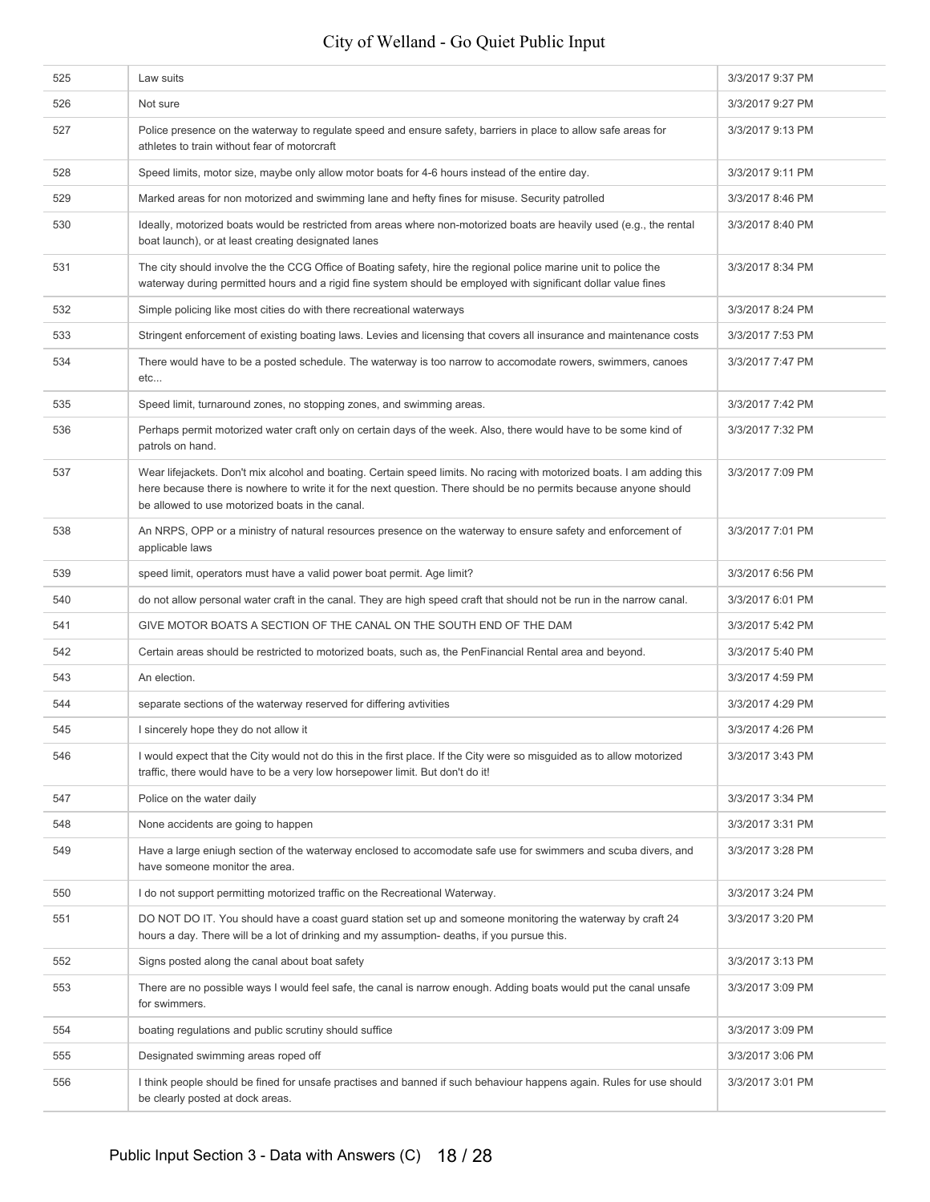| 525 | Law suits                                                                                                                                                                                                                                                                                       | 3/3/2017 9:37 PM |
|-----|-------------------------------------------------------------------------------------------------------------------------------------------------------------------------------------------------------------------------------------------------------------------------------------------------|------------------|
| 526 | Not sure                                                                                                                                                                                                                                                                                        | 3/3/2017 9:27 PM |
| 527 | Police presence on the waterway to regulate speed and ensure safety, barriers in place to allow safe areas for<br>athletes to train without fear of motorcraft                                                                                                                                  | 3/3/2017 9:13 PM |
| 528 | Speed limits, motor size, maybe only allow motor boats for 4-6 hours instead of the entire day.                                                                                                                                                                                                 | 3/3/2017 9:11 PM |
| 529 | Marked areas for non motorized and swimming lane and hefty fines for misuse. Security patrolled                                                                                                                                                                                                 | 3/3/2017 8:46 PM |
| 530 | Ideally, motorized boats would be restricted from areas where non-motorized boats are heavily used (e.g., the rental<br>boat launch), or at least creating designated lanes                                                                                                                     | 3/3/2017 8:40 PM |
| 531 | The city should involve the the CCG Office of Boating safety, hire the regional police marine unit to police the<br>waterway during permitted hours and a rigid fine system should be employed with significant dollar value fines                                                              | 3/3/2017 8:34 PM |
| 532 | Simple policing like most cities do with there recreational waterways                                                                                                                                                                                                                           | 3/3/2017 8:24 PM |
| 533 | Stringent enforcement of existing boating laws. Levies and licensing that covers all insurance and maintenance costs                                                                                                                                                                            | 3/3/2017 7:53 PM |
| 534 | There would have to be a posted schedule. The waterway is too narrow to accomodate rowers, swimmers, canoes<br>etc                                                                                                                                                                              | 3/3/2017 7:47 PM |
| 535 | Speed limit, turnaround zones, no stopping zones, and swimming areas.                                                                                                                                                                                                                           | 3/3/2017 7:42 PM |
| 536 | Perhaps permit motorized water craft only on certain days of the week. Also, there would have to be some kind of<br>patrols on hand.                                                                                                                                                            | 3/3/2017 7:32 PM |
| 537 | Wear lifejackets. Don't mix alcohol and boating. Certain speed limits. No racing with motorized boats. I am adding this<br>here because there is nowhere to write it for the next question. There should be no permits because anyone should<br>be allowed to use motorized boats in the canal. | 3/3/2017 7:09 PM |
| 538 | An NRPS, OPP or a ministry of natural resources presence on the waterway to ensure safety and enforcement of<br>applicable laws                                                                                                                                                                 | 3/3/2017 7:01 PM |
| 539 | speed limit, operators must have a valid power boat permit. Age limit?                                                                                                                                                                                                                          | 3/3/2017 6:56 PM |
| 540 | do not allow personal water craft in the canal. They are high speed craft that should not be run in the narrow canal.                                                                                                                                                                           | 3/3/2017 6:01 PM |
| 541 | GIVE MOTOR BOATS A SECTION OF THE CANAL ON THE SOUTH END OF THE DAM                                                                                                                                                                                                                             | 3/3/2017 5:42 PM |
| 542 | Certain areas should be restricted to motorized boats, such as, the PenFinancial Rental area and beyond.                                                                                                                                                                                        | 3/3/2017 5:40 PM |
| 543 | An election.                                                                                                                                                                                                                                                                                    | 3/3/2017 4:59 PM |
| 544 | separate sections of the waterway reserved for differing avtivities                                                                                                                                                                                                                             | 3/3/2017 4:29 PM |
| 545 | I sincerely hope they do not allow it                                                                                                                                                                                                                                                           | 3/3/2017 4:26 PM |
| 546 | I would expect that the City would not do this in the first place. If the City were so misguided as to allow motorized<br>traffic, there would have to be a very low horsepower limit. But don't do it!                                                                                         | 3/3/2017 3:43 PM |
| 547 | Police on the water daily                                                                                                                                                                                                                                                                       | 3/3/2017 3:34 PM |
| 548 | None accidents are going to happen                                                                                                                                                                                                                                                              | 3/3/2017 3:31 PM |
| 549 | Have a large eniugh section of the waterway enclosed to accomodate safe use for swimmers and scuba divers, and<br>have someone monitor the area.                                                                                                                                                | 3/3/2017 3:28 PM |
| 550 | I do not support permitting motorized traffic on the Recreational Waterway.                                                                                                                                                                                                                     | 3/3/2017 3:24 PM |
| 551 | DO NOT DO IT. You should have a coast guard station set up and someone monitoring the waterway by craft 24<br>hours a day. There will be a lot of drinking and my assumption- deaths, if you pursue this.                                                                                       | 3/3/2017 3:20 PM |
| 552 | Signs posted along the canal about boat safety                                                                                                                                                                                                                                                  | 3/3/2017 3:13 PM |
| 553 | There are no possible ways I would feel safe, the canal is narrow enough. Adding boats would put the canal unsafe<br>for swimmers.                                                                                                                                                              | 3/3/2017 3:09 PM |
| 554 | boating regulations and public scrutiny should suffice                                                                                                                                                                                                                                          | 3/3/2017 3:09 PM |
| 555 | Designated swimming areas roped off                                                                                                                                                                                                                                                             | 3/3/2017 3:06 PM |
| 556 | I think people should be fined for unsafe practises and banned if such behaviour happens again. Rules for use should<br>be clearly posted at dock areas.                                                                                                                                        | 3/3/2017 3:01 PM |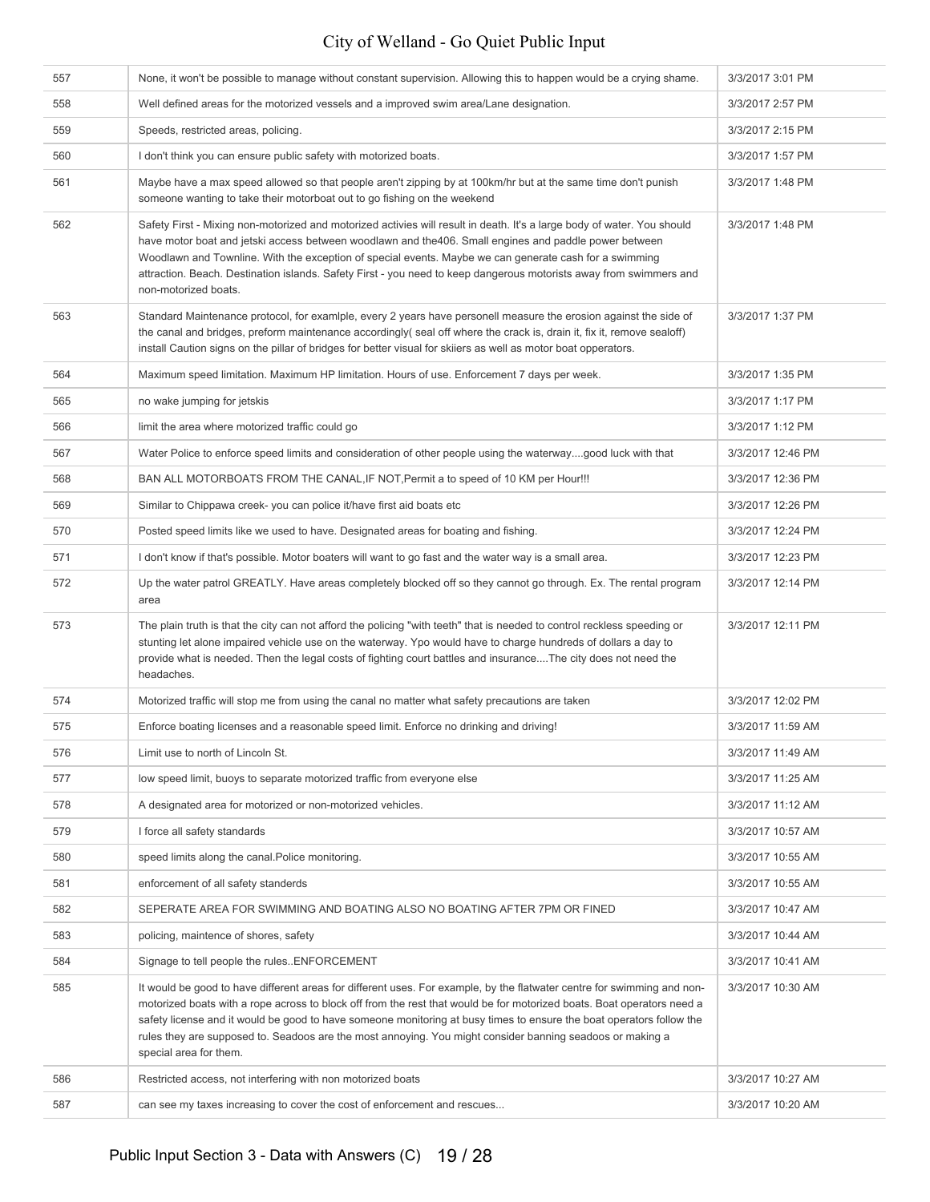| 557 | None, it won't be possible to manage without constant supervision. Allowing this to happen would be a crying shame.                                                                                                                                                                                                                                                                                                                                                                                              | 3/3/2017 3:01 PM  |
|-----|------------------------------------------------------------------------------------------------------------------------------------------------------------------------------------------------------------------------------------------------------------------------------------------------------------------------------------------------------------------------------------------------------------------------------------------------------------------------------------------------------------------|-------------------|
| 558 | Well defined areas for the motorized vessels and a improved swim area/Lane designation.                                                                                                                                                                                                                                                                                                                                                                                                                          | 3/3/2017 2:57 PM  |
| 559 | Speeds, restricted areas, policing.                                                                                                                                                                                                                                                                                                                                                                                                                                                                              | 3/3/2017 2:15 PM  |
| 560 | I don't think you can ensure public safety with motorized boats.                                                                                                                                                                                                                                                                                                                                                                                                                                                 | 3/3/2017 1:57 PM  |
| 561 | Maybe have a max speed allowed so that people aren't zipping by at 100km/hr but at the same time don't punish<br>someone wanting to take their motorboat out to go fishing on the weekend                                                                                                                                                                                                                                                                                                                        | 3/3/2017 1:48 PM  |
| 562 | Safety First - Mixing non-motorized and motorized activies will result in death. It's a large body of water. You should<br>have motor boat and jetski access between woodlawn and the 406. Small engines and paddle power between<br>Woodlawn and Townline. With the exception of special events. Maybe we can generate cash for a swimming<br>attraction. Beach. Destination islands. Safety First - you need to keep dangerous motorists away from swimmers and<br>non-motorized boats.                        | 3/3/2017 1:48 PM  |
| 563 | Standard Maintenance protocol, for examiple, every 2 years have personell measure the erosion against the side of<br>the canal and bridges, preform maintenance accordingly(seal off where the crack is, drain it, fix it, remove sealoff)<br>install Caution signs on the pillar of bridges for better visual for skiiers as well as motor boat opperators.                                                                                                                                                     | 3/3/2017 1:37 PM  |
| 564 | Maximum speed limitation. Maximum HP limitation. Hours of use. Enforcement 7 days per week.                                                                                                                                                                                                                                                                                                                                                                                                                      | 3/3/2017 1:35 PM  |
| 565 | no wake jumping for jetskis                                                                                                                                                                                                                                                                                                                                                                                                                                                                                      | 3/3/2017 1:17 PM  |
| 566 | limit the area where motorized traffic could go                                                                                                                                                                                                                                                                                                                                                                                                                                                                  | 3/3/2017 1:12 PM  |
| 567 | Water Police to enforce speed limits and consideration of other people using the waterwaygood luck with that                                                                                                                                                                                                                                                                                                                                                                                                     | 3/3/2017 12:46 PM |
| 568 | BAN ALL MOTORBOATS FROM THE CANAL, IF NOT, Permit a to speed of 10 KM per Hour!!!                                                                                                                                                                                                                                                                                                                                                                                                                                | 3/3/2017 12:36 PM |
| 569 | Similar to Chippawa creek- you can police it/have first aid boats etc                                                                                                                                                                                                                                                                                                                                                                                                                                            | 3/3/2017 12:26 PM |
| 570 | Posted speed limits like we used to have. Designated areas for boating and fishing.                                                                                                                                                                                                                                                                                                                                                                                                                              | 3/3/2017 12:24 PM |
| 571 | I don't know if that's possible. Motor boaters will want to go fast and the water way is a small area.                                                                                                                                                                                                                                                                                                                                                                                                           | 3/3/2017 12:23 PM |
| 572 | Up the water patrol GREATLY. Have areas completely blocked off so they cannot go through. Ex. The rental program<br>area                                                                                                                                                                                                                                                                                                                                                                                         | 3/3/2017 12:14 PM |
| 573 | The plain truth is that the city can not afford the policing "with teeth" that is needed to control reckless speeding or<br>stunting let alone impaired vehicle use on the waterway. Ypo would have to charge hundreds of dollars a day to<br>provide what is needed. Then the legal costs of fighting court battles and insuranceThe city does not need the<br>headaches.                                                                                                                                       | 3/3/2017 12:11 PM |
| 574 | Motorized traffic will stop me from using the canal no matter what safety precautions are taken                                                                                                                                                                                                                                                                                                                                                                                                                  | 3/3/2017 12:02 PM |
| 575 | Enforce boating licenses and a reasonable speed limit. Enforce no drinking and driving!                                                                                                                                                                                                                                                                                                                                                                                                                          | 3/3/2017 11:59 AM |
| 576 | Limit use to north of Lincoln St.                                                                                                                                                                                                                                                                                                                                                                                                                                                                                | 3/3/2017 11:49 AM |
| 577 | low speed limit, buoys to separate motorized traffic from everyone else                                                                                                                                                                                                                                                                                                                                                                                                                                          | 3/3/2017 11:25 AM |
| 578 | A designated area for motorized or non-motorized vehicles.                                                                                                                                                                                                                                                                                                                                                                                                                                                       | 3/3/2017 11:12 AM |
| 579 | I force all safety standards                                                                                                                                                                                                                                                                                                                                                                                                                                                                                     | 3/3/2017 10:57 AM |
| 580 | speed limits along the canal. Police monitoring.                                                                                                                                                                                                                                                                                                                                                                                                                                                                 | 3/3/2017 10:55 AM |
| 581 | enforcement of all safety standerds                                                                                                                                                                                                                                                                                                                                                                                                                                                                              | 3/3/2017 10:55 AM |
| 582 | SEPERATE AREA FOR SWIMMING AND BOATING ALSO NO BOATING AFTER 7PM OR FINED                                                                                                                                                                                                                                                                                                                                                                                                                                        | 3/3/2017 10:47 AM |
| 583 | policing, maintence of shores, safety                                                                                                                                                                                                                                                                                                                                                                                                                                                                            | 3/3/2017 10:44 AM |
| 584 | Signage to tell people the rulesENFORCEMENT                                                                                                                                                                                                                                                                                                                                                                                                                                                                      | 3/3/2017 10:41 AM |
| 585 | It would be good to have different areas for different uses. For example, by the flatwater centre for swimming and non-<br>motorized boats with a rope across to block off from the rest that would be for motorized boats. Boat operators need a<br>safety license and it would be good to have someone monitoring at busy times to ensure the boat operators follow the<br>rules they are supposed to. Seadoos are the most annoying. You might consider banning seadoos or making a<br>special area for them. | 3/3/2017 10:30 AM |
| 586 | Restricted access, not interfering with non motorized boats                                                                                                                                                                                                                                                                                                                                                                                                                                                      | 3/3/2017 10:27 AM |
| 587 | can see my taxes increasing to cover the cost of enforcement and rescues                                                                                                                                                                                                                                                                                                                                                                                                                                         | 3/3/2017 10:20 AM |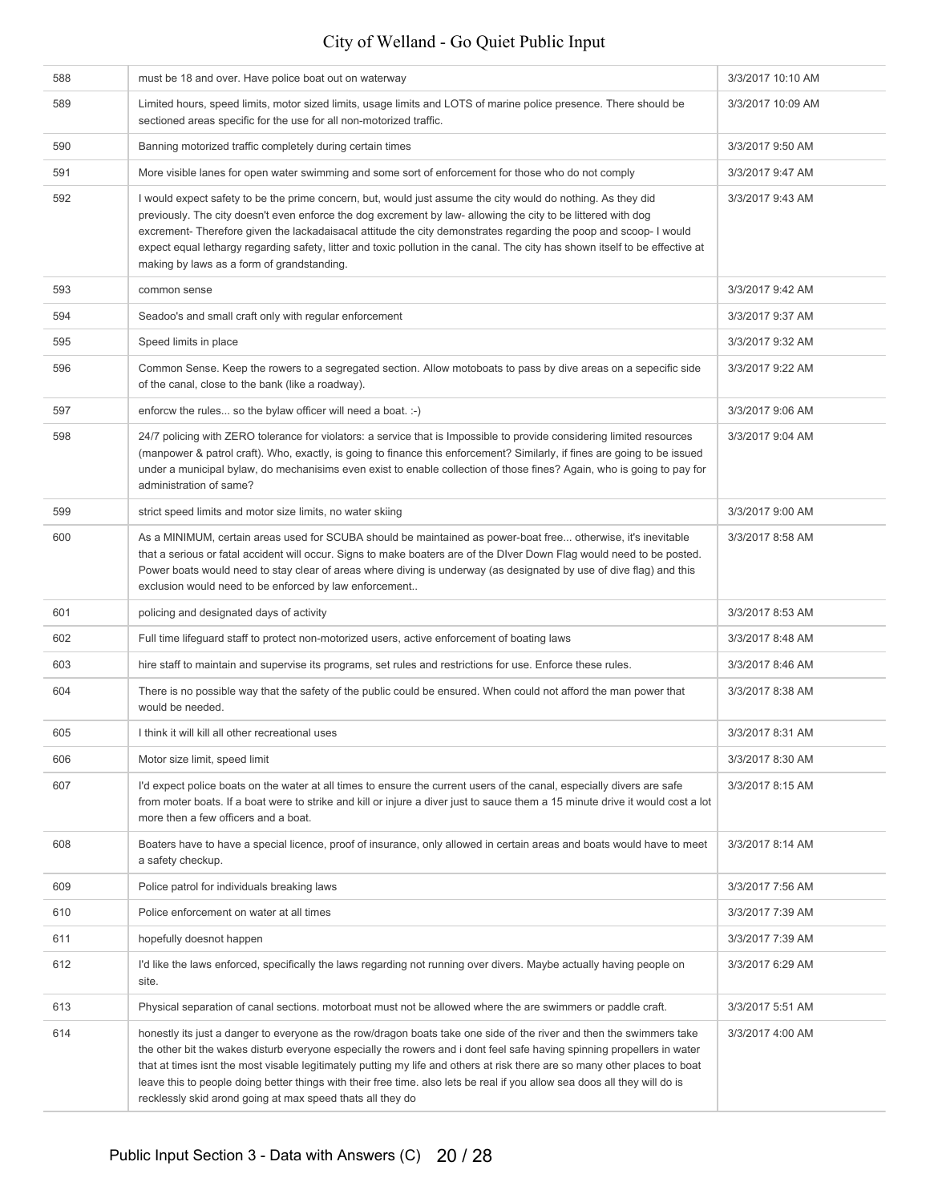| 588 | must be 18 and over. Have police boat out on waterway                                                                                                                                                                                                                                                                                                                                                                                                                                                                                                                     | 3/3/2017 10:10 AM |
|-----|---------------------------------------------------------------------------------------------------------------------------------------------------------------------------------------------------------------------------------------------------------------------------------------------------------------------------------------------------------------------------------------------------------------------------------------------------------------------------------------------------------------------------------------------------------------------------|-------------------|
| 589 | Limited hours, speed limits, motor sized limits, usage limits and LOTS of marine police presence. There should be<br>sectioned areas specific for the use for all non-motorized traffic.                                                                                                                                                                                                                                                                                                                                                                                  | 3/3/2017 10:09 AM |
| 590 | Banning motorized traffic completely during certain times                                                                                                                                                                                                                                                                                                                                                                                                                                                                                                                 | 3/3/2017 9:50 AM  |
| 591 | More visible lanes for open water swimming and some sort of enforcement for those who do not comply                                                                                                                                                                                                                                                                                                                                                                                                                                                                       | 3/3/2017 9:47 AM  |
| 592 | I would expect safety to be the prime concern, but, would just assume the city would do nothing. As they did<br>previously. The city doesn't even enforce the dog excrement by law- allowing the city to be littered with dog<br>excrement- Therefore given the lackadaisacal attitude the city demonstrates regarding the poop and scoop- I would<br>expect equal lethargy regarding safety, litter and toxic pollution in the canal. The city has shown itself to be effective at<br>making by laws as a form of grandstanding.                                         | 3/3/2017 9:43 AM  |
| 593 | common sense                                                                                                                                                                                                                                                                                                                                                                                                                                                                                                                                                              | 3/3/2017 9:42 AM  |
| 594 | Seadoo's and small craft only with regular enforcement                                                                                                                                                                                                                                                                                                                                                                                                                                                                                                                    | 3/3/2017 9:37 AM  |
| 595 | Speed limits in place                                                                                                                                                                                                                                                                                                                                                                                                                                                                                                                                                     | 3/3/2017 9:32 AM  |
| 596 | Common Sense. Keep the rowers to a segregated section. Allow motoboats to pass by dive areas on a sepecific side<br>of the canal, close to the bank (like a roadway).                                                                                                                                                                                                                                                                                                                                                                                                     | 3/3/2017 9:22 AM  |
| 597 | enforcw the rules so the bylaw officer will need a boat. :-)                                                                                                                                                                                                                                                                                                                                                                                                                                                                                                              | 3/3/2017 9:06 AM  |
| 598 | 24/7 policing with ZERO tolerance for violators: a service that is Impossible to provide considering limited resources<br>(manpower & patrol craft). Who, exactly, is going to finance this enforcement? Similarly, if fines are going to be issued<br>under a municipal bylaw, do mechanisims even exist to enable collection of those fines? Again, who is going to pay for<br>administration of same?                                                                                                                                                                  | 3/3/2017 9:04 AM  |
| 599 | strict speed limits and motor size limits, no water skiing                                                                                                                                                                                                                                                                                                                                                                                                                                                                                                                | 3/3/2017 9:00 AM  |
| 600 | As a MINIMUM, certain areas used for SCUBA should be maintained as power-boat free otherwise, it's inevitable<br>that a serious or fatal accident will occur. Signs to make boaters are of the DIver Down Flag would need to be posted.<br>Power boats would need to stay clear of areas where diving is underway (as designated by use of dive flag) and this<br>exclusion would need to be enforced by law enforcement                                                                                                                                                  | 3/3/2017 8:58 AM  |
| 601 | policing and designated days of activity                                                                                                                                                                                                                                                                                                                                                                                                                                                                                                                                  | 3/3/2017 8:53 AM  |
| 602 | Full time lifeguard staff to protect non-motorized users, active enforcement of boating laws                                                                                                                                                                                                                                                                                                                                                                                                                                                                              | 3/3/2017 8:48 AM  |
| 603 | hire staff to maintain and supervise its programs, set rules and restrictions for use. Enforce these rules.                                                                                                                                                                                                                                                                                                                                                                                                                                                               | 3/3/2017 8:46 AM  |
| 604 | There is no possible way that the safety of the public could be ensured. When could not afford the man power that<br>would be needed.                                                                                                                                                                                                                                                                                                                                                                                                                                     | 3/3/2017 8:38 AM  |
| 605 | I think it will kill all other recreational uses                                                                                                                                                                                                                                                                                                                                                                                                                                                                                                                          | 3/3/2017 8:31 AM  |
| 606 | Motor size limit, speed limit                                                                                                                                                                                                                                                                                                                                                                                                                                                                                                                                             | 3/3/2017 8:30 AM  |
| 607 | I'd expect police boats on the water at all times to ensure the current users of the canal, especially divers are safe<br>from moter boats. If a boat were to strike and kill or injure a diver just to sauce them a 15 minute drive it would cost a lot<br>more then a few officers and a boat.                                                                                                                                                                                                                                                                          | 3/3/2017 8:15 AM  |
| 608 | Boaters have to have a special licence, proof of insurance, only allowed in certain areas and boats would have to meet<br>a safety checkup.                                                                                                                                                                                                                                                                                                                                                                                                                               | 3/3/2017 8:14 AM  |
| 609 | Police patrol for individuals breaking laws                                                                                                                                                                                                                                                                                                                                                                                                                                                                                                                               | 3/3/2017 7:56 AM  |
| 610 | Police enforcement on water at all times                                                                                                                                                                                                                                                                                                                                                                                                                                                                                                                                  | 3/3/2017 7:39 AM  |
| 611 | hopefully doesnot happen                                                                                                                                                                                                                                                                                                                                                                                                                                                                                                                                                  | 3/3/2017 7:39 AM  |
| 612 | I'd like the laws enforced, specifically the laws regarding not running over divers. Maybe actually having people on<br>site.                                                                                                                                                                                                                                                                                                                                                                                                                                             | 3/3/2017 6:29 AM  |
| 613 | Physical separation of canal sections. motorboat must not be allowed where the are swimmers or paddle craft.                                                                                                                                                                                                                                                                                                                                                                                                                                                              | 3/3/2017 5:51 AM  |
| 614 | honestly its just a danger to everyone as the row/dragon boats take one side of the river and then the swimmers take<br>the other bit the wakes disturb everyone especially the rowers and i dont feel safe having spinning propellers in water<br>that at times isnt the most visable legitimately putting my life and others at risk there are so many other places to boat<br>leave this to people doing better things with their free time. also lets be real if you allow sea doos all they will do is<br>recklessly skid arond going at max speed thats all they do | 3/3/2017 4:00 AM  |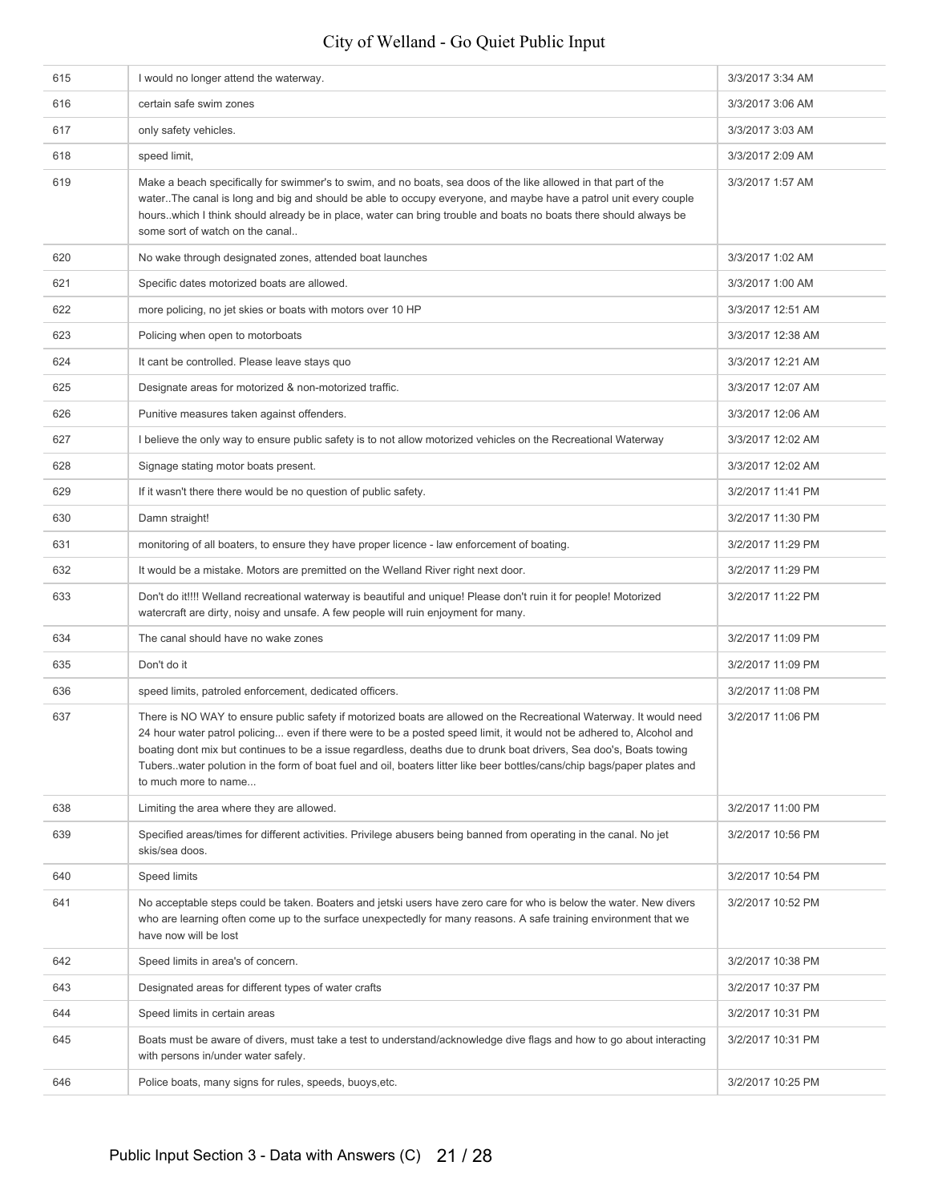| 615 | I would no longer attend the waterway.                                                                                                                                                                                                                                                                                                                                                                                                                                                                                | 3/3/2017 3:34 AM  |
|-----|-----------------------------------------------------------------------------------------------------------------------------------------------------------------------------------------------------------------------------------------------------------------------------------------------------------------------------------------------------------------------------------------------------------------------------------------------------------------------------------------------------------------------|-------------------|
| 616 | certain safe swim zones                                                                                                                                                                                                                                                                                                                                                                                                                                                                                               | 3/3/2017 3:06 AM  |
| 617 | only safety vehicles.                                                                                                                                                                                                                                                                                                                                                                                                                                                                                                 | 3/3/2017 3:03 AM  |
| 618 | speed limit,                                                                                                                                                                                                                                                                                                                                                                                                                                                                                                          | 3/3/2017 2:09 AM  |
| 619 | Make a beach specifically for swimmer's to swim, and no boats, sea doos of the like allowed in that part of the<br>waterThe canal is long and big and should be able to occupy everyone, and maybe have a patrol unit every couple<br>hourswhich I think should already be in place, water can bring trouble and boats no boats there should always be<br>some sort of watch on the canal                                                                                                                             | 3/3/2017 1:57 AM  |
| 620 | No wake through designated zones, attended boat launches                                                                                                                                                                                                                                                                                                                                                                                                                                                              | 3/3/2017 1:02 AM  |
| 621 | Specific dates motorized boats are allowed.                                                                                                                                                                                                                                                                                                                                                                                                                                                                           | 3/3/2017 1:00 AM  |
| 622 | more policing, no jet skies or boats with motors over 10 HP                                                                                                                                                                                                                                                                                                                                                                                                                                                           | 3/3/2017 12:51 AM |
| 623 | Policing when open to motorboats                                                                                                                                                                                                                                                                                                                                                                                                                                                                                      | 3/3/2017 12:38 AM |
| 624 | It cant be controlled. Please leave stays quo                                                                                                                                                                                                                                                                                                                                                                                                                                                                         | 3/3/2017 12:21 AM |
| 625 | Designate areas for motorized & non-motorized traffic.                                                                                                                                                                                                                                                                                                                                                                                                                                                                | 3/3/2017 12:07 AM |
| 626 | Punitive measures taken against offenders.                                                                                                                                                                                                                                                                                                                                                                                                                                                                            | 3/3/2017 12:06 AM |
| 627 | I believe the only way to ensure public safety is to not allow motorized vehicles on the Recreational Waterway                                                                                                                                                                                                                                                                                                                                                                                                        | 3/3/2017 12:02 AM |
| 628 | Signage stating motor boats present.                                                                                                                                                                                                                                                                                                                                                                                                                                                                                  | 3/3/2017 12:02 AM |
| 629 | If it wasn't there there would be no question of public safety.                                                                                                                                                                                                                                                                                                                                                                                                                                                       | 3/2/2017 11:41 PM |
| 630 | Damn straight!                                                                                                                                                                                                                                                                                                                                                                                                                                                                                                        | 3/2/2017 11:30 PM |
| 631 | monitoring of all boaters, to ensure they have proper licence - law enforcement of boating.                                                                                                                                                                                                                                                                                                                                                                                                                           | 3/2/2017 11:29 PM |
| 632 | It would be a mistake. Motors are premitted on the Welland River right next door.                                                                                                                                                                                                                                                                                                                                                                                                                                     | 3/2/2017 11:29 PM |
| 633 | Don't do it!!!! Welland recreational waterway is beautiful and unique! Please don't ruin it for people! Motorized<br>watercraft are dirty, noisy and unsafe. A few people will ruin enjoyment for many.                                                                                                                                                                                                                                                                                                               | 3/2/2017 11:22 PM |
| 634 | The canal should have no wake zones                                                                                                                                                                                                                                                                                                                                                                                                                                                                                   | 3/2/2017 11:09 PM |
| 635 | Don't do it                                                                                                                                                                                                                                                                                                                                                                                                                                                                                                           | 3/2/2017 11:09 PM |
| 636 | speed limits, patroled enforcement, dedicated officers.                                                                                                                                                                                                                                                                                                                                                                                                                                                               | 3/2/2017 11:08 PM |
| 637 | There is NO WAY to ensure public safety if motorized boats are allowed on the Recreational Waterway. It would need<br>24 hour water patrol policing even if there were to be a posted speed limit, it would not be adhered to, Alcohol and<br>boating dont mix but continues to be a issue regardless, deaths due to drunk boat drivers, Sea doo's, Boats towing<br>Tubers. water polution in the form of boat fuel and oil, boaters litter like beer bottles/cans/chip bags/paper plates and<br>to much more to name | 3/2/2017 11:06 PM |
| 638 | Limiting the area where they are allowed.                                                                                                                                                                                                                                                                                                                                                                                                                                                                             | 3/2/2017 11:00 PM |
| 639 | Specified areas/times for different activities. Privilege abusers being banned from operating in the canal. No jet<br>skis/sea doos.                                                                                                                                                                                                                                                                                                                                                                                  | 3/2/2017 10:56 PM |
| 640 | Speed limits                                                                                                                                                                                                                                                                                                                                                                                                                                                                                                          | 3/2/2017 10:54 PM |
| 641 | No acceptable steps could be taken. Boaters and jetski users have zero care for who is below the water. New divers<br>who are learning often come up to the surface unexpectedly for many reasons. A safe training environment that we<br>have now will be lost                                                                                                                                                                                                                                                       | 3/2/2017 10:52 PM |
| 642 | Speed limits in area's of concern.                                                                                                                                                                                                                                                                                                                                                                                                                                                                                    | 3/2/2017 10:38 PM |
| 643 | Designated areas for different types of water crafts                                                                                                                                                                                                                                                                                                                                                                                                                                                                  | 3/2/2017 10:37 PM |
| 644 | Speed limits in certain areas                                                                                                                                                                                                                                                                                                                                                                                                                                                                                         | 3/2/2017 10:31 PM |
| 645 | Boats must be aware of divers, must take a test to understand/acknowledge dive flags and how to go about interacting<br>with persons in/under water safely.                                                                                                                                                                                                                                                                                                                                                           | 3/2/2017 10:31 PM |
| 646 | Police boats, many signs for rules, speeds, buoys, etc.                                                                                                                                                                                                                                                                                                                                                                                                                                                               | 3/2/2017 10:25 PM |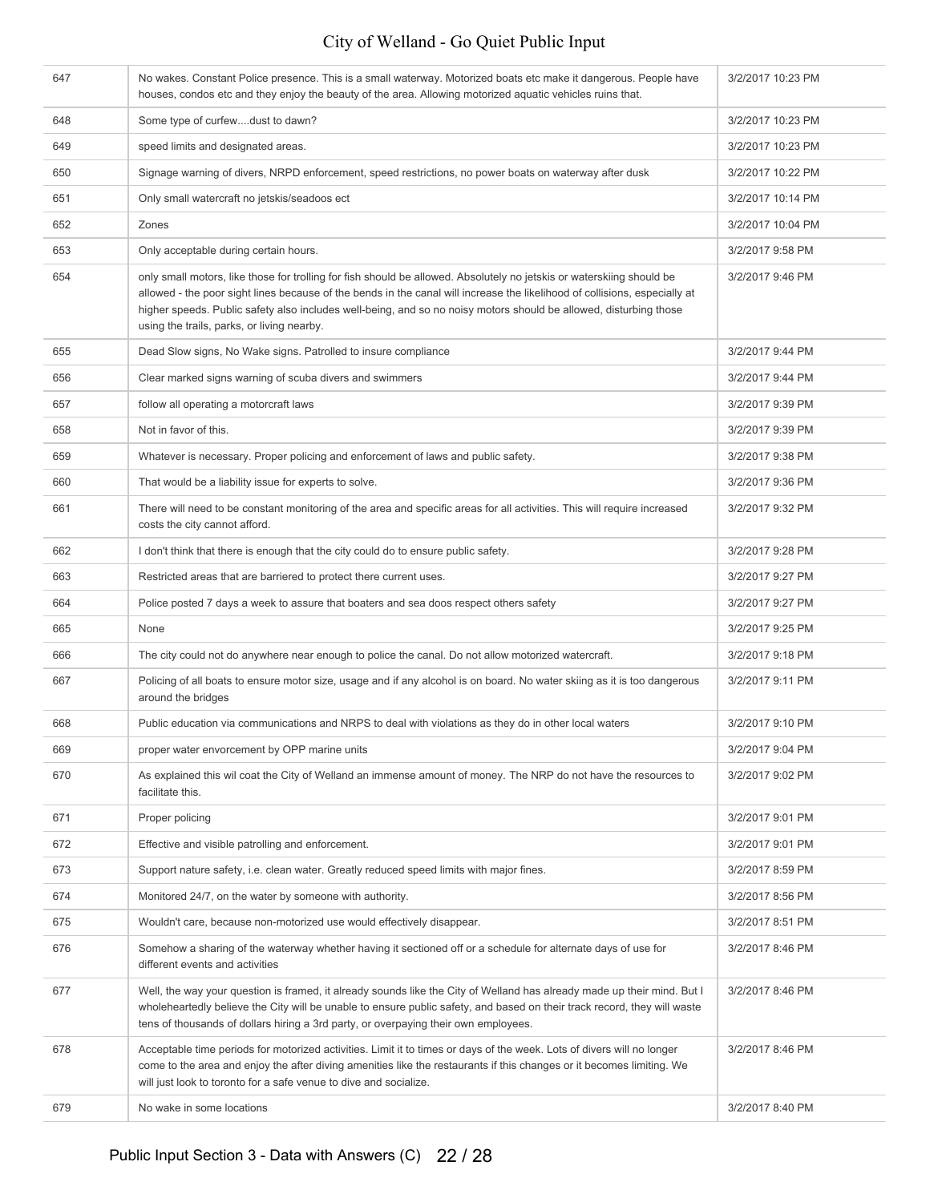| 647 | No wakes. Constant Police presence. This is a small waterway. Motorized boats etc make it dangerous. People have<br>houses, condos etc and they enjoy the beauty of the area. Allowing motorized aguatic vehicles ruins that.                                                                                                                                                                                          | 3/2/2017 10:23 PM |
|-----|------------------------------------------------------------------------------------------------------------------------------------------------------------------------------------------------------------------------------------------------------------------------------------------------------------------------------------------------------------------------------------------------------------------------|-------------------|
| 648 | Some type of curfewdust to dawn?                                                                                                                                                                                                                                                                                                                                                                                       | 3/2/2017 10:23 PM |
| 649 | speed limits and designated areas.                                                                                                                                                                                                                                                                                                                                                                                     | 3/2/2017 10:23 PM |
| 650 | Signage warning of divers, NRPD enforcement, speed restrictions, no power boats on waterway after dusk                                                                                                                                                                                                                                                                                                                 | 3/2/2017 10:22 PM |
| 651 | Only small watercraft no jetskis/seadoos ect                                                                                                                                                                                                                                                                                                                                                                           | 3/2/2017 10:14 PM |
| 652 | Zones                                                                                                                                                                                                                                                                                                                                                                                                                  | 3/2/2017 10:04 PM |
| 653 | Only acceptable during certain hours.                                                                                                                                                                                                                                                                                                                                                                                  | 3/2/2017 9:58 PM  |
| 654 | only small motors, like those for trolling for fish should be allowed. Absolutely no jetskis or waterskiing should be<br>allowed - the poor sight lines because of the bends in the canal will increase the likelihood of collisions, especially at<br>higher speeds. Public safety also includes well-being, and so no noisy motors should be allowed, disturbing those<br>using the trails, parks, or living nearby. | 3/2/2017 9:46 PM  |
| 655 | Dead Slow signs, No Wake signs. Patrolled to insure compliance                                                                                                                                                                                                                                                                                                                                                         | 3/2/2017 9:44 PM  |
| 656 | Clear marked signs warning of scuba divers and swimmers                                                                                                                                                                                                                                                                                                                                                                | 3/2/2017 9:44 PM  |
| 657 | follow all operating a motorcraft laws                                                                                                                                                                                                                                                                                                                                                                                 | 3/2/2017 9:39 PM  |
| 658 | Not in favor of this.                                                                                                                                                                                                                                                                                                                                                                                                  | 3/2/2017 9:39 PM  |
| 659 | Whatever is necessary. Proper policing and enforcement of laws and public safety.                                                                                                                                                                                                                                                                                                                                      | 3/2/2017 9:38 PM  |
| 660 | That would be a liability issue for experts to solve.                                                                                                                                                                                                                                                                                                                                                                  | 3/2/2017 9:36 PM  |
| 661 | There will need to be constant monitoring of the area and specific areas for all activities. This will require increased<br>costs the city cannot afford.                                                                                                                                                                                                                                                              | 3/2/2017 9:32 PM  |
| 662 | I don't think that there is enough that the city could do to ensure public safety.                                                                                                                                                                                                                                                                                                                                     | 3/2/2017 9:28 PM  |
| 663 | Restricted areas that are barriered to protect there current uses.                                                                                                                                                                                                                                                                                                                                                     | 3/2/2017 9:27 PM  |
| 664 | Police posted 7 days a week to assure that boaters and sea doos respect others safety                                                                                                                                                                                                                                                                                                                                  | 3/2/2017 9:27 PM  |
| 665 | None                                                                                                                                                                                                                                                                                                                                                                                                                   | 3/2/2017 9:25 PM  |
| 666 | The city could not do anywhere near enough to police the canal. Do not allow motorized watercraft.                                                                                                                                                                                                                                                                                                                     | 3/2/2017 9:18 PM  |
| 667 | Policing of all boats to ensure motor size, usage and if any alcohol is on board. No water skiing as it is too dangerous<br>around the bridges                                                                                                                                                                                                                                                                         | 3/2/2017 9:11 PM  |
| 668 | Public education via communications and NRPS to deal with violations as they do in other local waters                                                                                                                                                                                                                                                                                                                  | 3/2/2017 9:10 PM  |
| 669 | proper water envorcement by OPP marine units                                                                                                                                                                                                                                                                                                                                                                           | 3/2/2017 9:04 PM  |
| 670 | As explained this wil coat the City of Welland an immense amount of money. The NRP do not have the resources to<br>facilitate this.                                                                                                                                                                                                                                                                                    | 3/2/2017 9:02 PM  |
| 671 | Proper policing                                                                                                                                                                                                                                                                                                                                                                                                        | 3/2/2017 9:01 PM  |
| 672 | Effective and visible patrolling and enforcement.                                                                                                                                                                                                                                                                                                                                                                      | 3/2/2017 9:01 PM  |
| 673 | Support nature safety, i.e. clean water. Greatly reduced speed limits with major fines.                                                                                                                                                                                                                                                                                                                                | 3/2/2017 8:59 PM  |
| 674 | Monitored 24/7, on the water by someone with authority.                                                                                                                                                                                                                                                                                                                                                                | 3/2/2017 8:56 PM  |
| 675 | Wouldn't care, because non-motorized use would effectively disappear.                                                                                                                                                                                                                                                                                                                                                  | 3/2/2017 8:51 PM  |
| 676 | Somehow a sharing of the waterway whether having it sectioned off or a schedule for alternate days of use for<br>different events and activities                                                                                                                                                                                                                                                                       | 3/2/2017 8:46 PM  |
| 677 | Well, the way your question is framed, it already sounds like the City of Welland has already made up their mind. But I<br>wholeheartedly believe the City will be unable to ensure public safety, and based on their track record, they will waste<br>tens of thousands of dollars hiring a 3rd party, or overpaying their own employees.                                                                             | 3/2/2017 8:46 PM  |
| 678 | Acceptable time periods for motorized activities. Limit it to times or days of the week. Lots of divers will no longer<br>come to the area and enjoy the after diving amenities like the restaurants if this changes or it becomes limiting. We<br>will just look to toronto for a safe venue to dive and socialize.                                                                                                   | 3/2/2017 8:46 PM  |
| 679 | No wake in some locations                                                                                                                                                                                                                                                                                                                                                                                              | 3/2/2017 8:40 PM  |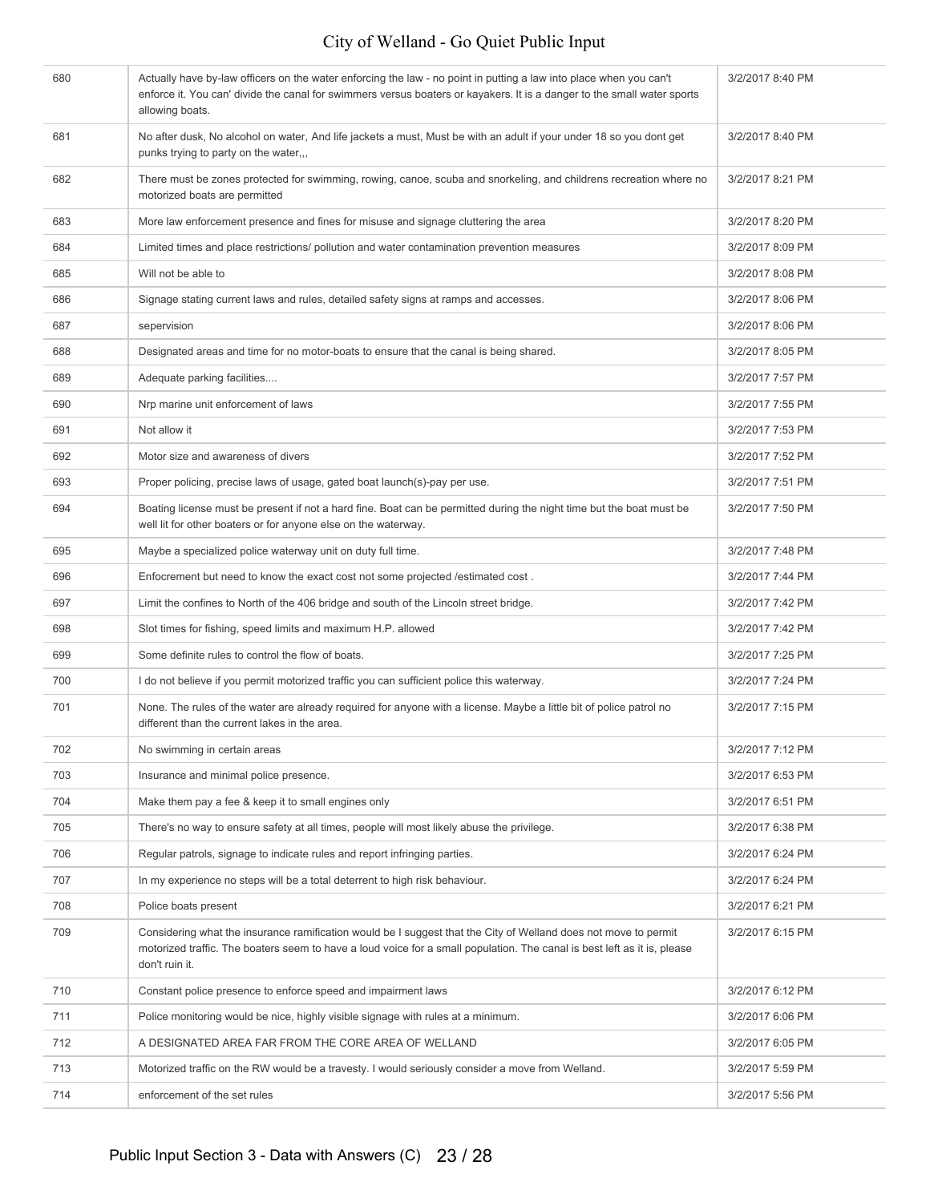| 680 | Actually have by-law officers on the water enforcing the law - no point in putting a law into place when you can't<br>enforce it. You can' divide the canal for swimmers versus boaters or kayakers. It is a danger to the small water sports<br>allowing boats. | 3/2/2017 8:40 PM |
|-----|------------------------------------------------------------------------------------------------------------------------------------------------------------------------------------------------------------------------------------------------------------------|------------------|
| 681 | No after dusk, No alcohol on water, And life jackets a must, Must be with an adult if your under 18 so you dont get<br>punks trying to party on the water,,,                                                                                                     | 3/2/2017 8:40 PM |
| 682 | There must be zones protected for swimming, rowing, canoe, scuba and snorkeling, and childrens recreation where no<br>motorized boats are permitted                                                                                                              | 3/2/2017 8:21 PM |
| 683 | More law enforcement presence and fines for misuse and signage cluttering the area                                                                                                                                                                               | 3/2/2017 8:20 PM |
| 684 | Limited times and place restrictions/ pollution and water contamination prevention measures                                                                                                                                                                      | 3/2/2017 8:09 PM |
| 685 | Will not be able to                                                                                                                                                                                                                                              | 3/2/2017 8:08 PM |
| 686 | Signage stating current laws and rules, detailed safety signs at ramps and accesses.                                                                                                                                                                             | 3/2/2017 8:06 PM |
| 687 | sepervision                                                                                                                                                                                                                                                      | 3/2/2017 8:06 PM |
| 688 | Designated areas and time for no motor-boats to ensure that the canal is being shared.                                                                                                                                                                           | 3/2/2017 8:05 PM |
| 689 | Adequate parking facilities                                                                                                                                                                                                                                      | 3/2/2017 7:57 PM |
| 690 | Nrp marine unit enforcement of laws                                                                                                                                                                                                                              | 3/2/2017 7:55 PM |
| 691 | Not allow it                                                                                                                                                                                                                                                     | 3/2/2017 7:53 PM |
| 692 | Motor size and awareness of divers                                                                                                                                                                                                                               | 3/2/2017 7:52 PM |
| 693 | Proper policing, precise laws of usage, gated boat launch(s)-pay per use.                                                                                                                                                                                        | 3/2/2017 7:51 PM |
| 694 | Boating license must be present if not a hard fine. Boat can be permitted during the night time but the boat must be<br>well lit for other boaters or for anyone else on the waterway.                                                                           | 3/2/2017 7:50 PM |
| 695 | Maybe a specialized police waterway unit on duty full time.                                                                                                                                                                                                      | 3/2/2017 7:48 PM |
| 696 | Enfocrement but need to know the exact cost not some projected /estimated cost.                                                                                                                                                                                  | 3/2/2017 7:44 PM |
| 697 | Limit the confines to North of the 406 bridge and south of the Lincoln street bridge.                                                                                                                                                                            | 3/2/2017 7:42 PM |
| 698 | Slot times for fishing, speed limits and maximum H.P. allowed                                                                                                                                                                                                    | 3/2/2017 7:42 PM |
| 699 | Some definite rules to control the flow of boats.                                                                                                                                                                                                                | 3/2/2017 7:25 PM |
| 700 | I do not believe if you permit motorized traffic you can sufficient police this waterway.                                                                                                                                                                        | 3/2/2017 7:24 PM |
| 701 | None. The rules of the water are already required for anyone with a license. Maybe a little bit of police patrol no<br>different than the current lakes in the area.                                                                                             | 3/2/2017 7:15 PM |
| 702 | No swimming in certain areas                                                                                                                                                                                                                                     | 3/2/2017 7:12 PM |
| 703 | Insurance and minimal police presence.                                                                                                                                                                                                                           | 3/2/2017 6:53 PM |
| 704 | Make them pay a fee & keep it to small engines only                                                                                                                                                                                                              | 3/2/2017 6:51 PM |
| 705 | There's no way to ensure safety at all times, people will most likely abuse the privilege.                                                                                                                                                                       | 3/2/2017 6:38 PM |
| 706 | Regular patrols, signage to indicate rules and report infringing parties.                                                                                                                                                                                        | 3/2/2017 6:24 PM |
| 707 | In my experience no steps will be a total deterrent to high risk behaviour.                                                                                                                                                                                      | 3/2/2017 6:24 PM |
| 708 | Police boats present                                                                                                                                                                                                                                             | 3/2/2017 6:21 PM |
| 709 | Considering what the insurance ramification would be I suggest that the City of Welland does not move to permit<br>motorized traffic. The boaters seem to have a loud voice for a small population. The canal is best left as it is, please<br>don't ruin it.    | 3/2/2017 6:15 PM |
| 710 | Constant police presence to enforce speed and impairment laws                                                                                                                                                                                                    | 3/2/2017 6:12 PM |
| 711 | Police monitoring would be nice, highly visible signage with rules at a minimum.                                                                                                                                                                                 | 3/2/2017 6:06 PM |
| 712 | A DESIGNATED AREA FAR FROM THE CORE AREA OF WELLAND                                                                                                                                                                                                              | 3/2/2017 6:05 PM |
| 713 | Motorized traffic on the RW would be a travesty. I would seriously consider a move from Welland.                                                                                                                                                                 | 3/2/2017 5:59 PM |
| 714 | enforcement of the set rules                                                                                                                                                                                                                                     | 3/2/2017 5:56 PM |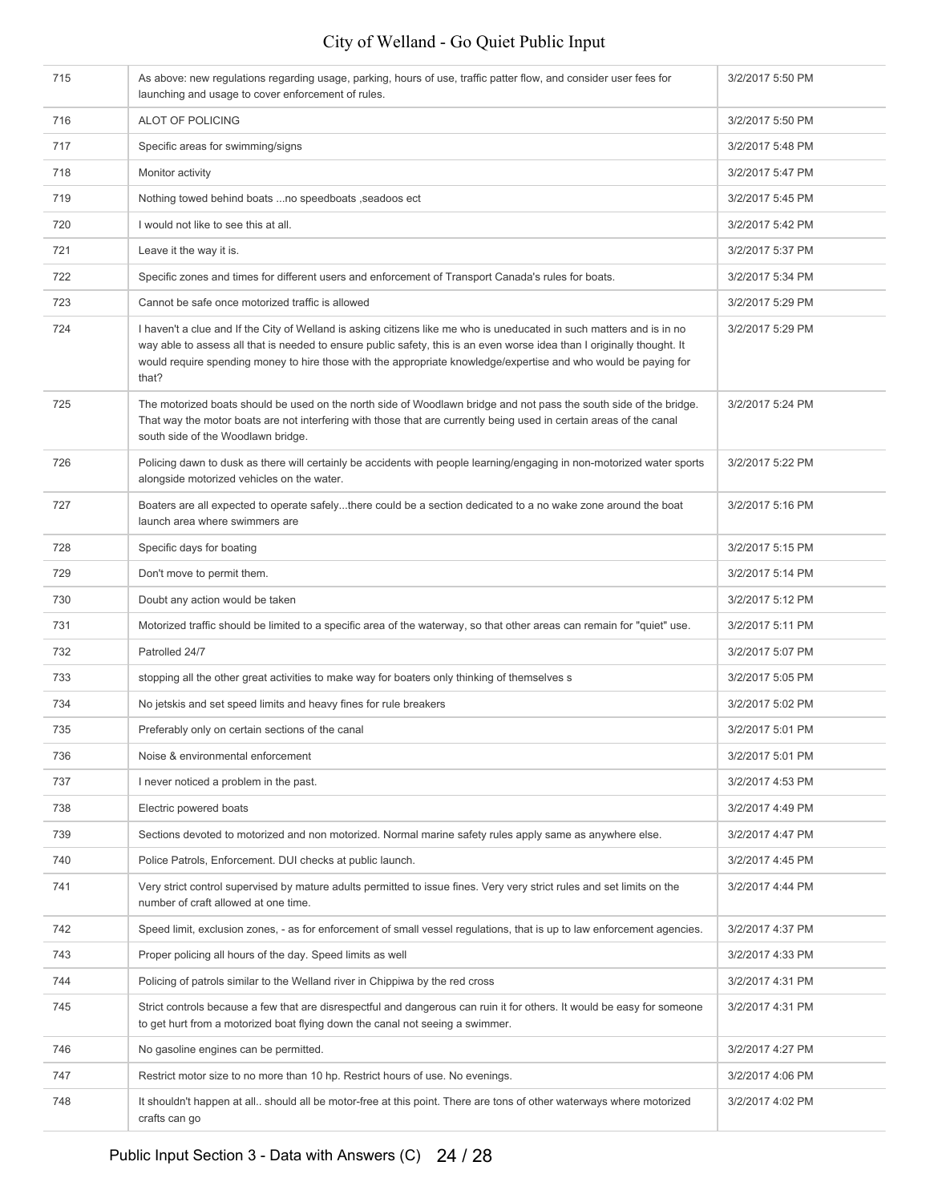| 715 | As above: new regulations regarding usage, parking, hours of use, traffic patter flow, and consider user fees for<br>launching and usage to cover enforcement of rules.                                                                                                                                                                                                      | 3/2/2017 5:50 PM |
|-----|------------------------------------------------------------------------------------------------------------------------------------------------------------------------------------------------------------------------------------------------------------------------------------------------------------------------------------------------------------------------------|------------------|
| 716 | ALOT OF POLICING                                                                                                                                                                                                                                                                                                                                                             | 3/2/2017 5:50 PM |
| 717 | Specific areas for swimming/signs                                                                                                                                                                                                                                                                                                                                            | 3/2/2017 5:48 PM |
| 718 | Monitor activity                                                                                                                                                                                                                                                                                                                                                             | 3/2/2017 5:47 PM |
| 719 | Nothing towed behind boats  no speedboats, seadoos ect                                                                                                                                                                                                                                                                                                                       | 3/2/2017 5:45 PM |
| 720 | I would not like to see this at all.                                                                                                                                                                                                                                                                                                                                         | 3/2/2017 5:42 PM |
| 721 | Leave it the way it is.                                                                                                                                                                                                                                                                                                                                                      | 3/2/2017 5:37 PM |
| 722 | Specific zones and times for different users and enforcement of Transport Canada's rules for boats.                                                                                                                                                                                                                                                                          | 3/2/2017 5:34 PM |
| 723 | Cannot be safe once motorized traffic is allowed                                                                                                                                                                                                                                                                                                                             | 3/2/2017 5:29 PM |
| 724 | I haven't a clue and If the City of Welland is asking citizens like me who is uneducated in such matters and is in no<br>way able to assess all that is needed to ensure public safety, this is an even worse idea than I originally thought. It<br>would require spending money to hire those with the appropriate knowledge/expertise and who would be paying for<br>that? | 3/2/2017 5:29 PM |
| 725 | The motorized boats should be used on the north side of Woodlawn bridge and not pass the south side of the bridge.<br>That way the motor boats are not interfering with those that are currently being used in certain areas of the canal<br>south side of the Woodlawn bridge.                                                                                              | 3/2/2017 5:24 PM |
| 726 | Policing dawn to dusk as there will certainly be accidents with people learning/engaging in non-motorized water sports<br>alongside motorized vehicles on the water.                                                                                                                                                                                                         | 3/2/2017 5:22 PM |
| 727 | Boaters are all expected to operate safelythere could be a section dedicated to a no wake zone around the boat<br>launch area where swimmers are                                                                                                                                                                                                                             | 3/2/2017 5:16 PM |
| 728 | Specific days for boating                                                                                                                                                                                                                                                                                                                                                    | 3/2/2017 5:15 PM |
| 729 | Don't move to permit them.                                                                                                                                                                                                                                                                                                                                                   | 3/2/2017 5:14 PM |
| 730 | Doubt any action would be taken                                                                                                                                                                                                                                                                                                                                              | 3/2/2017 5:12 PM |
| 731 | Motorized traffic should be limited to a specific area of the waterway, so that other areas can remain for "quiet" use.                                                                                                                                                                                                                                                      | 3/2/2017 5:11 PM |
| 732 | Patrolled 24/7                                                                                                                                                                                                                                                                                                                                                               | 3/2/2017 5:07 PM |
| 733 | stopping all the other great activities to make way for boaters only thinking of themselves s                                                                                                                                                                                                                                                                                | 3/2/2017 5:05 PM |
| 734 | No jetskis and set speed limits and heavy fines for rule breakers                                                                                                                                                                                                                                                                                                            | 3/2/2017 5:02 PM |
| 735 | Preferably only on certain sections of the canal                                                                                                                                                                                                                                                                                                                             | 3/2/2017 5:01 PM |
| 736 | Noise & environmental enforcement                                                                                                                                                                                                                                                                                                                                            | 3/2/2017 5:01 PM |
| 737 | I never noticed a problem in the past.                                                                                                                                                                                                                                                                                                                                       | 3/2/2017 4:53 PM |
| 738 | Electric powered boats                                                                                                                                                                                                                                                                                                                                                       | 3/2/2017 4:49 PM |
| 739 | Sections devoted to motorized and non motorized. Normal marine safety rules apply same as anywhere else.                                                                                                                                                                                                                                                                     | 3/2/2017 4:47 PM |
| 740 | Police Patrols, Enforcement. DUI checks at public launch.                                                                                                                                                                                                                                                                                                                    | 3/2/2017 4:45 PM |
| 741 | Very strict control supervised by mature adults permitted to issue fines. Very very strict rules and set limits on the<br>number of craft allowed at one time.                                                                                                                                                                                                               | 3/2/2017 4:44 PM |
| 742 | Speed limit, exclusion zones, - as for enforcement of small vessel regulations, that is up to law enforcement agencies.                                                                                                                                                                                                                                                      | 3/2/2017 4:37 PM |
| 743 | Proper policing all hours of the day. Speed limits as well                                                                                                                                                                                                                                                                                                                   | 3/2/2017 4:33 PM |
| 744 | Policing of patrols similar to the Welland river in Chippiwa by the red cross                                                                                                                                                                                                                                                                                                | 3/2/2017 4:31 PM |
| 745 | Strict controls because a few that are disrespectful and dangerous can ruin it for others. It would be easy for someone<br>to get hurt from a motorized boat flying down the canal not seeing a swimmer.                                                                                                                                                                     | 3/2/2017 4:31 PM |
| 746 | No gasoline engines can be permitted.                                                                                                                                                                                                                                                                                                                                        | 3/2/2017 4:27 PM |
| 747 | Restrict motor size to no more than 10 hp. Restrict hours of use. No evenings.                                                                                                                                                                                                                                                                                               | 3/2/2017 4:06 PM |
| 748 | It shouldn't happen at all should all be motor-free at this point. There are tons of other waterways where motorized<br>crafts can go                                                                                                                                                                                                                                        | 3/2/2017 4:02 PM |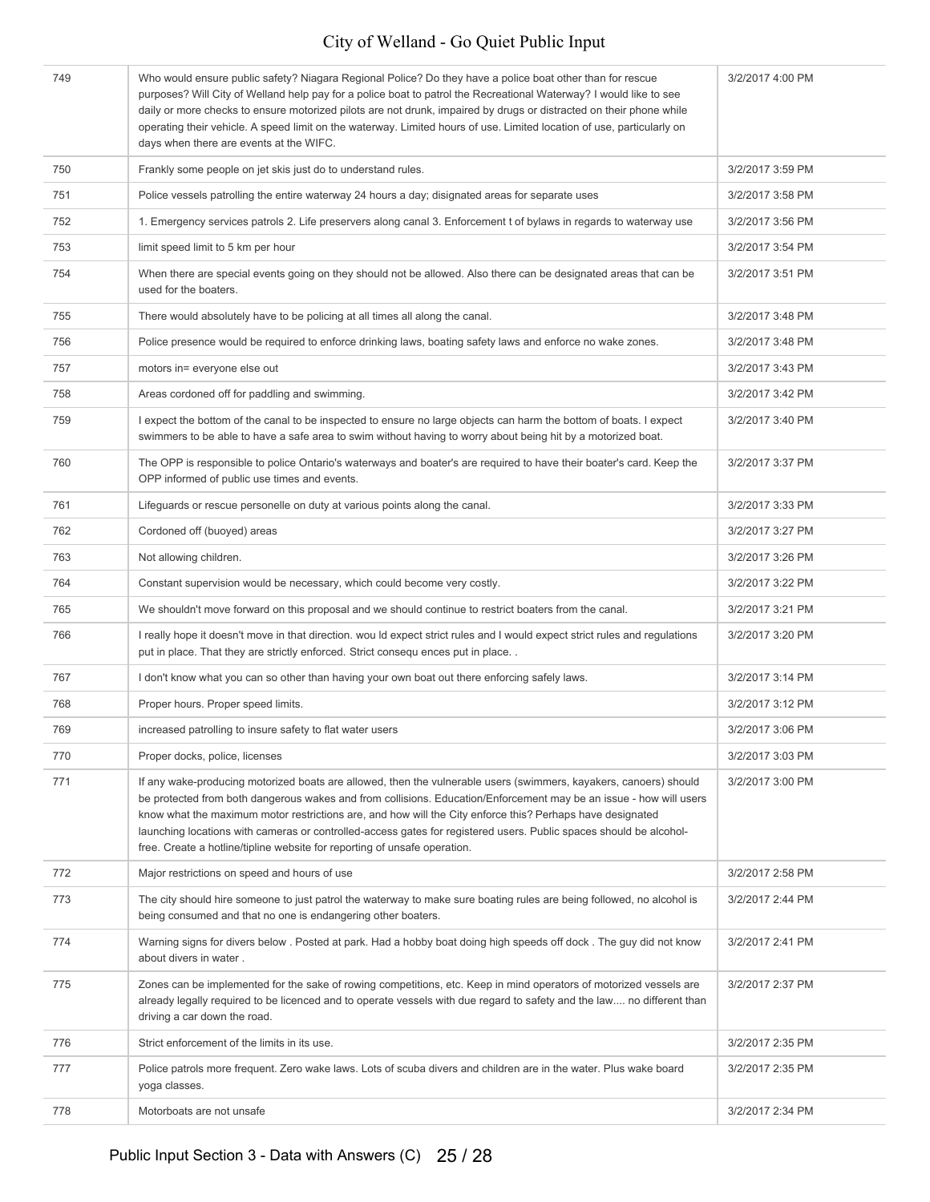| 749 | Who would ensure public safety? Niagara Regional Police? Do they have a police boat other than for rescue<br>purposes? Will City of Welland help pay for a police boat to patrol the Recreational Waterway? I would like to see<br>daily or more checks to ensure motorized pilots are not drunk, impaired by drugs or distracted on their phone while<br>operating their vehicle. A speed limit on the waterway. Limited hours of use. Limited location of use, particularly on<br>days when there are events at the WIFC.                             | 3/2/2017 4:00 PM |
|-----|---------------------------------------------------------------------------------------------------------------------------------------------------------------------------------------------------------------------------------------------------------------------------------------------------------------------------------------------------------------------------------------------------------------------------------------------------------------------------------------------------------------------------------------------------------|------------------|
| 750 | Frankly some people on jet skis just do to understand rules.                                                                                                                                                                                                                                                                                                                                                                                                                                                                                            | 3/2/2017 3:59 PM |
| 751 | Police vessels patrolling the entire waterway 24 hours a day; disignated areas for separate uses                                                                                                                                                                                                                                                                                                                                                                                                                                                        | 3/2/2017 3:58 PM |
| 752 | 1. Emergency services patrols 2. Life preservers along canal 3. Enforcement t of bylaws in regards to waterway use                                                                                                                                                                                                                                                                                                                                                                                                                                      | 3/2/2017 3:56 PM |
| 753 | limit speed limit to 5 km per hour                                                                                                                                                                                                                                                                                                                                                                                                                                                                                                                      | 3/2/2017 3:54 PM |
| 754 | When there are special events going on they should not be allowed. Also there can be designated areas that can be<br>used for the boaters.                                                                                                                                                                                                                                                                                                                                                                                                              | 3/2/2017 3:51 PM |
| 755 | There would absolutely have to be policing at all times all along the canal.                                                                                                                                                                                                                                                                                                                                                                                                                                                                            | 3/2/2017 3:48 PM |
| 756 | Police presence would be required to enforce drinking laws, boating safety laws and enforce no wake zones.                                                                                                                                                                                                                                                                                                                                                                                                                                              | 3/2/2017 3:48 PM |
| 757 | motors in= everyone else out                                                                                                                                                                                                                                                                                                                                                                                                                                                                                                                            | 3/2/2017 3:43 PM |
| 758 | Areas cordoned off for paddling and swimming.                                                                                                                                                                                                                                                                                                                                                                                                                                                                                                           | 3/2/2017 3:42 PM |
| 759 | I expect the bottom of the canal to be inspected to ensure no large objects can harm the bottom of boats. I expect<br>swimmers to be able to have a safe area to swim without having to worry about being hit by a motorized boat.                                                                                                                                                                                                                                                                                                                      | 3/2/2017 3:40 PM |
| 760 | The OPP is responsible to police Ontario's waterways and boater's are required to have their boater's card. Keep the<br>OPP informed of public use times and events.                                                                                                                                                                                                                                                                                                                                                                                    | 3/2/2017 3:37 PM |
| 761 | Lifeguards or rescue personelle on duty at various points along the canal.                                                                                                                                                                                                                                                                                                                                                                                                                                                                              | 3/2/2017 3:33 PM |
| 762 | Cordoned off (buoyed) areas                                                                                                                                                                                                                                                                                                                                                                                                                                                                                                                             | 3/2/2017 3:27 PM |
| 763 | Not allowing children.                                                                                                                                                                                                                                                                                                                                                                                                                                                                                                                                  | 3/2/2017 3:26 PM |
| 764 | Constant supervision would be necessary, which could become very costly.                                                                                                                                                                                                                                                                                                                                                                                                                                                                                | 3/2/2017 3:22 PM |
| 765 | We shouldn't move forward on this proposal and we should continue to restrict boaters from the canal.                                                                                                                                                                                                                                                                                                                                                                                                                                                   | 3/2/2017 3:21 PM |
| 766 | I really hope it doesn't move in that direction. wou Id expect strict rules and I would expect strict rules and regulations<br>put in place. That they are strictly enforced. Strict consequ ences put in place. .                                                                                                                                                                                                                                                                                                                                      | 3/2/2017 3:20 PM |
| 767 | I don't know what you can so other than having your own boat out there enforcing safely laws.                                                                                                                                                                                                                                                                                                                                                                                                                                                           | 3/2/2017 3:14 PM |
| 768 | Proper hours. Proper speed limits.                                                                                                                                                                                                                                                                                                                                                                                                                                                                                                                      | 3/2/2017 3:12 PM |
| 769 | increased patrolling to insure safety to flat water users                                                                                                                                                                                                                                                                                                                                                                                                                                                                                               | 3/2/2017 3:06 PM |
| 770 | Proper docks, police, licenses                                                                                                                                                                                                                                                                                                                                                                                                                                                                                                                          | 3/2/2017 3:03 PM |
| 771 | If any wake-producing motorized boats are allowed, then the vulnerable users (swimmers, kayakers, canoers) should<br>be protected from both dangerous wakes and from collisions. Education/Enforcement may be an issue - how will users<br>know what the maximum motor restrictions are, and how will the City enforce this? Perhaps have designated<br>launching locations with cameras or controlled-access gates for registered users. Public spaces should be alcohol-<br>free. Create a hotline/tipline website for reporting of unsafe operation. | 3/2/2017 3:00 PM |
| 772 | Major restrictions on speed and hours of use                                                                                                                                                                                                                                                                                                                                                                                                                                                                                                            | 3/2/2017 2:58 PM |
| 773 | The city should hire someone to just patrol the waterway to make sure boating rules are being followed, no alcohol is<br>being consumed and that no one is endangering other boaters.                                                                                                                                                                                                                                                                                                                                                                   | 3/2/2017 2:44 PM |
| 774 | Warning signs for divers below . Posted at park. Had a hobby boat doing high speeds off dock. The guy did not know<br>about divers in water.                                                                                                                                                                                                                                                                                                                                                                                                            | 3/2/2017 2:41 PM |
| 775 | Zones can be implemented for the sake of rowing competitions, etc. Keep in mind operators of motorized vessels are<br>already legally required to be licenced and to operate vessels with due regard to safety and the law no different than<br>driving a car down the road.                                                                                                                                                                                                                                                                            | 3/2/2017 2:37 PM |
| 776 | Strict enforcement of the limits in its use.                                                                                                                                                                                                                                                                                                                                                                                                                                                                                                            | 3/2/2017 2:35 PM |
| 777 | Police patrols more frequent. Zero wake laws. Lots of scuba divers and children are in the water. Plus wake board<br>yoga classes.                                                                                                                                                                                                                                                                                                                                                                                                                      | 3/2/2017 2:35 PM |
| 778 | Motorboats are not unsafe                                                                                                                                                                                                                                                                                                                                                                                                                                                                                                                               | 3/2/2017 2:34 PM |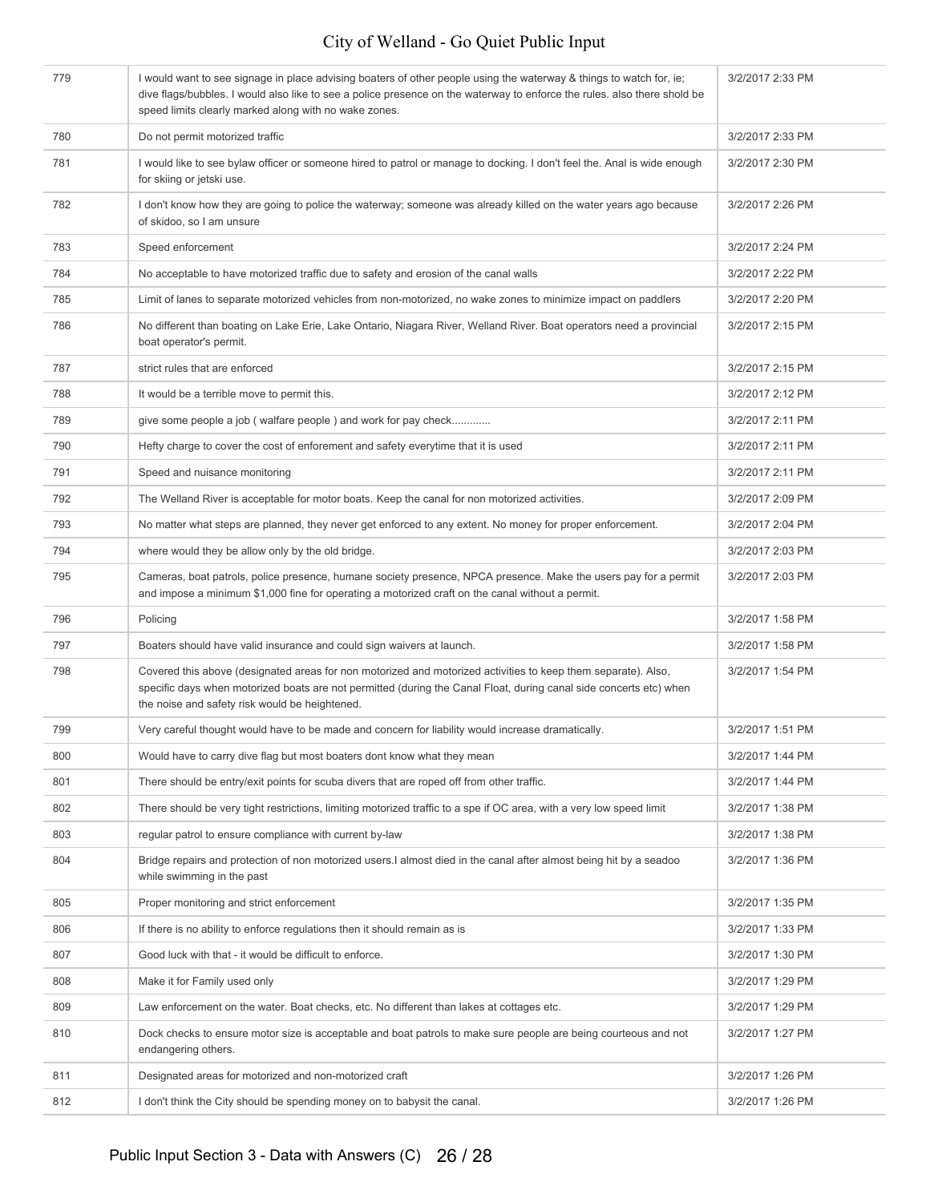| 779 | I would want to see signage in place advising boaters of other people using the waterway & things to watch for, ie;<br>dive flags/bubbles. I would also like to see a police presence on the waterway to enforce the rules, also there shold be<br>speed limits clearly marked along with no wake zones. | 3/2/2017 2:33 PM |
|-----|----------------------------------------------------------------------------------------------------------------------------------------------------------------------------------------------------------------------------------------------------------------------------------------------------------|------------------|
| 780 | Do not permit motorized traffic                                                                                                                                                                                                                                                                          | 3/2/2017 2:33 PM |
| 781 | I would like to see bylaw officer or someone hired to patrol or manage to docking. I don't feel the. Anal is wide enough<br>for skiing or jetski use.                                                                                                                                                    | 3/2/2017 2:30 PM |
| 782 | I don't know how they are going to police the waterway; someone was already killed on the water years ago because<br>of skidoo, so I am unsure                                                                                                                                                           | 3/2/2017 2:26 PM |
| 783 | Speed enforcement                                                                                                                                                                                                                                                                                        | 3/2/2017 2:24 PM |
| 784 | No acceptable to have motorized traffic due to safety and erosion of the canal walls                                                                                                                                                                                                                     | 3/2/2017 2:22 PM |
| 785 | Limit of lanes to separate motorized vehicles from non-motorized, no wake zones to minimize impact on paddlers                                                                                                                                                                                           | 3/2/2017 2:20 PM |
| 786 | No different than boating on Lake Erie, Lake Ontario, Niagara River, Welland River. Boat operators need a provincial<br>boat operator's permit.                                                                                                                                                          | 3/2/2017 2:15 PM |
| 787 | strict rules that are enforced                                                                                                                                                                                                                                                                           | 3/2/2017 2:15 PM |
| 788 | It would be a terrible move to permit this.                                                                                                                                                                                                                                                              | 3/2/2017 2:12 PM |
| 789 | give some people a job (walfare people) and work for pay check                                                                                                                                                                                                                                           | 3/2/2017 2:11 PM |
| 790 | Hefty charge to cover the cost of enforement and safety everytime that it is used                                                                                                                                                                                                                        | 3/2/2017 2:11 PM |
| 791 | Speed and nuisance monitoring                                                                                                                                                                                                                                                                            | 3/2/2017 2:11 PM |
| 792 | The Welland River is acceptable for motor boats. Keep the canal for non motorized activities.                                                                                                                                                                                                            | 3/2/2017 2:09 PM |
| 793 | No matter what steps are planned, they never get enforced to any extent. No money for proper enforcement.                                                                                                                                                                                                | 3/2/2017 2:04 PM |
| 794 | where would they be allow only by the old bridge.                                                                                                                                                                                                                                                        | 3/2/2017 2:03 PM |
| 795 | Cameras, boat patrols, police presence, humane society presence, NPCA presence. Make the users pay for a permit<br>and impose a minimum \$1,000 fine for operating a motorized craft on the canal without a permit.                                                                                      | 3/2/2017 2:03 PM |
| 796 | Policing                                                                                                                                                                                                                                                                                                 | 3/2/2017 1:58 PM |
| 797 | Boaters should have valid insurance and could sign waivers at launch.                                                                                                                                                                                                                                    | 3/2/2017 1:58 PM |
| 798 | Covered this above (designated areas for non motorized and motorized activities to keep them separate). Also,<br>specific days when motorized boats are not permitted (during the Canal Float, during canal side concerts etc) when<br>the noise and safety risk would be heightened.                    | 3/2/2017 1:54 PM |
| 799 | Very careful thought would have to be made and concern for liability would increase dramatically.                                                                                                                                                                                                        | 3/2/2017 1:51 PM |
| 800 | Would have to carry dive flag but most boaters dont know what they mean                                                                                                                                                                                                                                  | 3/2/2017 1:44 PM |
| 801 | There should be entry/exit points for scuba divers that are roped off from other traffic.                                                                                                                                                                                                                | 3/2/2017 1:44 PM |
| 802 | There should be very tight restrictions, limiting motorized traffic to a spe if OC area, with a very low speed limit                                                                                                                                                                                     | 3/2/2017 1:38 PM |
| 803 | regular patrol to ensure compliance with current by-law                                                                                                                                                                                                                                                  | 3/2/2017 1:38 PM |
| 804 | Bridge repairs and protection of non motorized users. I almost died in the canal after almost being hit by a seadoo<br>while swimming in the past                                                                                                                                                        | 3/2/2017 1:36 PM |
| 805 | Proper monitoring and strict enforcement                                                                                                                                                                                                                                                                 | 3/2/2017 1:35 PM |
| 806 | If there is no ability to enforce regulations then it should remain as is                                                                                                                                                                                                                                | 3/2/2017 1:33 PM |
| 807 | Good luck with that - it would be difficult to enforce.                                                                                                                                                                                                                                                  | 3/2/2017 1:30 PM |
| 808 | Make it for Family used only                                                                                                                                                                                                                                                                             | 3/2/2017 1:29 PM |
| 809 | Law enforcement on the water. Boat checks, etc. No different than lakes at cottages etc.                                                                                                                                                                                                                 | 3/2/2017 1:29 PM |
| 810 | Dock checks to ensure motor size is acceptable and boat patrols to make sure people are being courteous and not<br>endangering others.                                                                                                                                                                   | 3/2/2017 1:27 PM |
| 811 | Designated areas for motorized and non-motorized craft                                                                                                                                                                                                                                                   | 3/2/2017 1:26 PM |
| 812 | I don't think the City should be spending money on to babysit the canal.                                                                                                                                                                                                                                 | 3/2/2017 1:26 PM |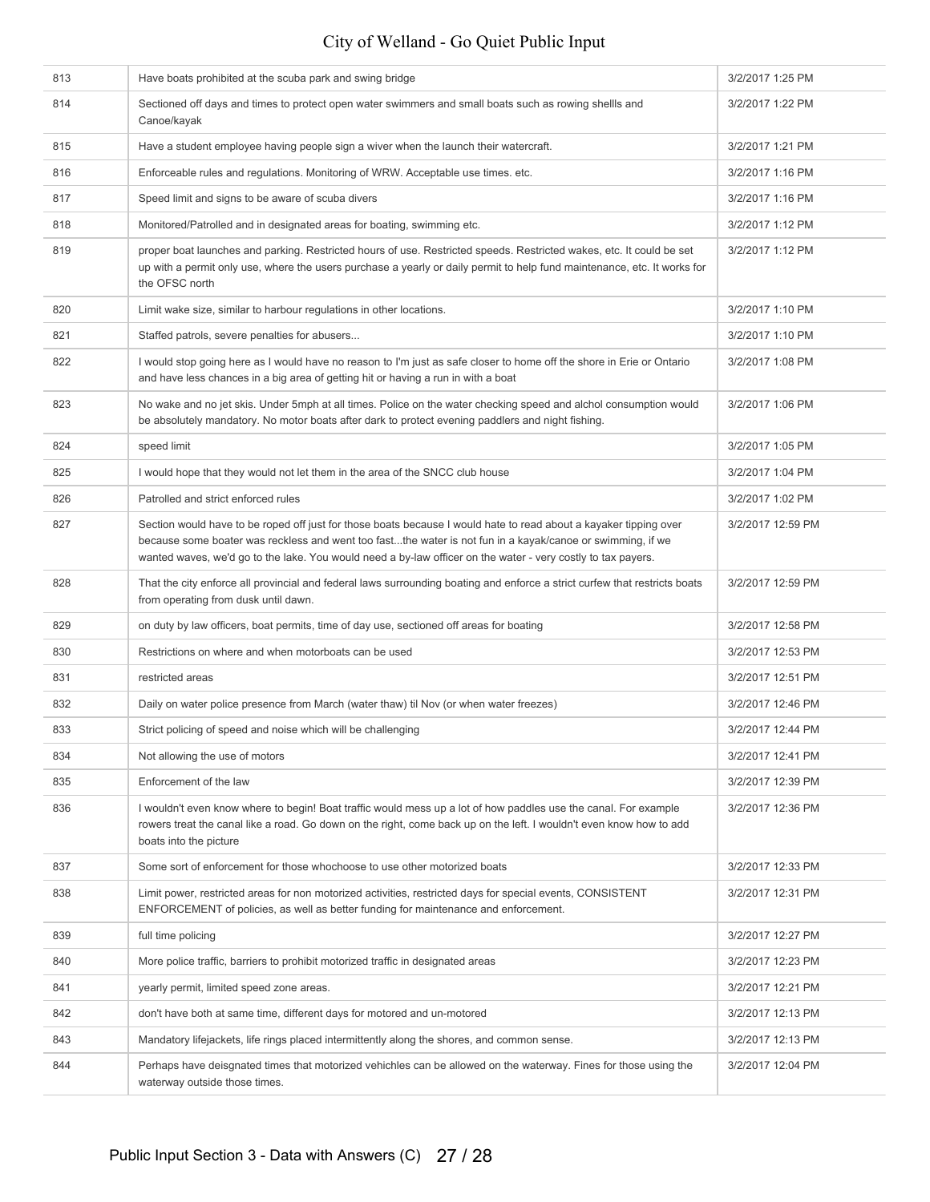| 813 | Have boats prohibited at the scuba park and swing bridge                                                                                                                                                                                                                                                                                        | 3/2/2017 1:25 PM  |
|-----|-------------------------------------------------------------------------------------------------------------------------------------------------------------------------------------------------------------------------------------------------------------------------------------------------------------------------------------------------|-------------------|
| 814 | Sectioned off days and times to protect open water swimmers and small boats such as rowing shellls and<br>Canoe/kayak                                                                                                                                                                                                                           | 3/2/2017 1:22 PM  |
| 815 | Have a student employee having people sign a wiver when the launch their watercraft.                                                                                                                                                                                                                                                            | 3/2/2017 1:21 PM  |
| 816 | Enforceable rules and regulations. Monitoring of WRW. Acceptable use times. etc.                                                                                                                                                                                                                                                                | 3/2/2017 1:16 PM  |
| 817 | Speed limit and signs to be aware of scuba divers                                                                                                                                                                                                                                                                                               | 3/2/2017 1:16 PM  |
| 818 | Monitored/Patrolled and in designated areas for boating, swimming etc.                                                                                                                                                                                                                                                                          | 3/2/2017 1:12 PM  |
| 819 | proper boat launches and parking. Restricted hours of use. Restricted speeds. Restricted wakes, etc. It could be set<br>up with a permit only use, where the users purchase a yearly or daily permit to help fund maintenance, etc. It works for<br>the OFSC north                                                                              | 3/2/2017 1:12 PM  |
| 820 | Limit wake size, similar to harbour regulations in other locations.                                                                                                                                                                                                                                                                             | 3/2/2017 1:10 PM  |
| 821 | Staffed patrols, severe penalties for abusers                                                                                                                                                                                                                                                                                                   | 3/2/2017 1:10 PM  |
| 822 | I would stop going here as I would have no reason to I'm just as safe closer to home off the shore in Erie or Ontario<br>and have less chances in a big area of getting hit or having a run in with a boat                                                                                                                                      | 3/2/2017 1:08 PM  |
| 823 | No wake and no jet skis. Under 5mph at all times. Police on the water checking speed and alchol consumption would<br>be absolutely mandatory. No motor boats after dark to protect evening paddlers and night fishing.                                                                                                                          | 3/2/2017 1:06 PM  |
| 824 | speed limit                                                                                                                                                                                                                                                                                                                                     | 3/2/2017 1:05 PM  |
| 825 | I would hope that they would not let them in the area of the SNCC club house                                                                                                                                                                                                                                                                    | 3/2/2017 1:04 PM  |
| 826 | Patrolled and strict enforced rules                                                                                                                                                                                                                                                                                                             | 3/2/2017 1:02 PM  |
| 827 | Section would have to be roped off just for those boats because I would hate to read about a kayaker tipping over<br>because some boater was reckless and went too fastthe water is not fun in a kayak/canoe or swimming, if we<br>wanted waves, we'd go to the lake. You would need a by-law officer on the water - very costly to tax payers. | 3/2/2017 12:59 PM |
| 828 | That the city enforce all provincial and federal laws surrounding boating and enforce a strict curfew that restricts boats<br>from operating from dusk until dawn.                                                                                                                                                                              | 3/2/2017 12:59 PM |
| 829 | on duty by law officers, boat permits, time of day use, sectioned off areas for boating                                                                                                                                                                                                                                                         | 3/2/2017 12:58 PM |
| 830 | Restrictions on where and when motorboats can be used                                                                                                                                                                                                                                                                                           | 3/2/2017 12:53 PM |
| 831 | restricted areas                                                                                                                                                                                                                                                                                                                                | 3/2/2017 12:51 PM |
| 832 | Daily on water police presence from March (water thaw) til Nov (or when water freezes)                                                                                                                                                                                                                                                          | 3/2/2017 12:46 PM |
| 833 | Strict policing of speed and noise which will be challenging                                                                                                                                                                                                                                                                                    | 3/2/2017 12:44 PM |
| 834 | Not allowing the use of motors                                                                                                                                                                                                                                                                                                                  | 3/2/2017 12:41 PM |
| 835 | Enforcement of the law                                                                                                                                                                                                                                                                                                                          | 3/2/2017 12:39 PM |
| 836 | I wouldn't even know where to begin! Boat traffic would mess up a lot of how paddles use the canal. For example<br>rowers treat the canal like a road. Go down on the right, come back up on the left. I wouldn't even know how to add<br>boats into the picture                                                                                | 3/2/2017 12:36 PM |
| 837 | Some sort of enforcement for those whochoose to use other motorized boats                                                                                                                                                                                                                                                                       | 3/2/2017 12:33 PM |
| 838 | Limit power, restricted areas for non motorized activities, restricted days for special events, CONSISTENT<br>ENFORCEMENT of policies, as well as better funding for maintenance and enforcement.                                                                                                                                               | 3/2/2017 12:31 PM |
| 839 | full time policing                                                                                                                                                                                                                                                                                                                              | 3/2/2017 12:27 PM |
| 840 | More police traffic, barriers to prohibit motorized traffic in designated areas                                                                                                                                                                                                                                                                 | 3/2/2017 12:23 PM |
| 841 | yearly permit, limited speed zone areas.                                                                                                                                                                                                                                                                                                        | 3/2/2017 12:21 PM |
| 842 | don't have both at same time, different days for motored and un-motored                                                                                                                                                                                                                                                                         | 3/2/2017 12:13 PM |
| 843 | Mandatory lifejackets, life rings placed intermittently along the shores, and common sense.                                                                                                                                                                                                                                                     | 3/2/2017 12:13 PM |
| 844 | Perhaps have deisgnated times that motorized vehichles can be allowed on the waterway. Fines for those using the<br>waterway outside those times.                                                                                                                                                                                               | 3/2/2017 12:04 PM |